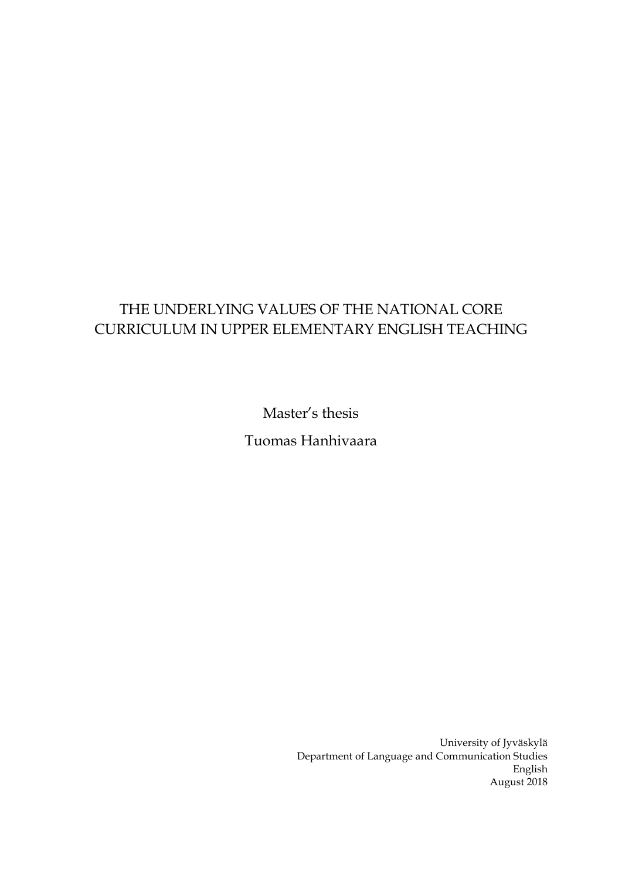# THE UNDERLYING VALUES OF THE NATIONAL CORE CURRICULUM IN UPPER ELEMENTARY ENGLISH TEACHING

Master's thesis

Tuomas Hanhivaara

University of Jyväskylä Department of Language and Communication Studies English August 2018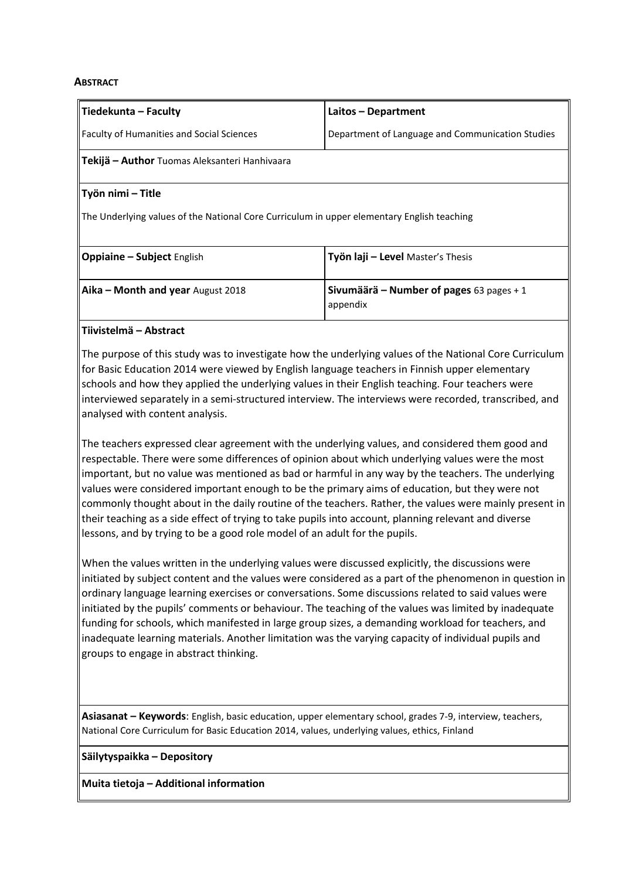#### **ABSTRACT**

| Tiedekunta – Faculty                                                                       | Laitos - Department                                         |
|--------------------------------------------------------------------------------------------|-------------------------------------------------------------|
| <b>Faculty of Humanities and Social Sciences</b>                                           | Department of Language and Communication Studies            |
| Tekijä – Author Tuomas Aleksanteri Hanhivaara                                              |                                                             |
| Työn nimi – Title                                                                          |                                                             |
| The Underlying values of the National Core Curriculum in upper elementary English teaching |                                                             |
| <b>Oppiaine - Subject English</b>                                                          | Työn laji - Level Master's Thesis                           |
| Aika - Month and year August 2018                                                          | <b>Sivumäärä – Number of pages</b> 63 pages + 1<br>appendix |

### **Tiivistelmä – Abstract**

The purpose of this study was to investigate how the underlying values of the National Core Curriculum for Basic Education 2014 were viewed by English language teachers in Finnish upper elementary schools and how they applied the underlying values in their English teaching. Four teachers were interviewed separately in a semi-structured interview. The interviews were recorded, transcribed, and analysed with content analysis.

The teachers expressed clear agreement with the underlying values, and considered them good and respectable. There were some differences of opinion about which underlying values were the most important, but no value was mentioned as bad or harmful in any way by the teachers. The underlying values were considered important enough to be the primary aims of education, but they were not commonly thought about in the daily routine of the teachers. Rather, the values were mainly present in their teaching as a side effect of trying to take pupils into account, planning relevant and diverse lessons, and by trying to be a good role model of an adult for the pupils.

When the values written in the underlying values were discussed explicitly, the discussions were initiated by subject content and the values were considered as a part of the phenomenon in question in ordinary language learning exercises or conversations. Some discussions related to said values were initiated by the pupils' comments or behaviour. The teaching of the values was limited by inadequate funding for schools, which manifested in large group sizes, a demanding workload for teachers, and inadequate learning materials. Another limitation was the varying capacity of individual pupils and groups to engage in abstract thinking.

**Asiasanat – Keywords**: English, basic education, upper elementary school, grades 7-9, interview, teachers, National Core Curriculum for Basic Education 2014, values, underlying values, ethics, Finland

**Säilytyspaikka – Depository**

**Muita tietoja – Additional information**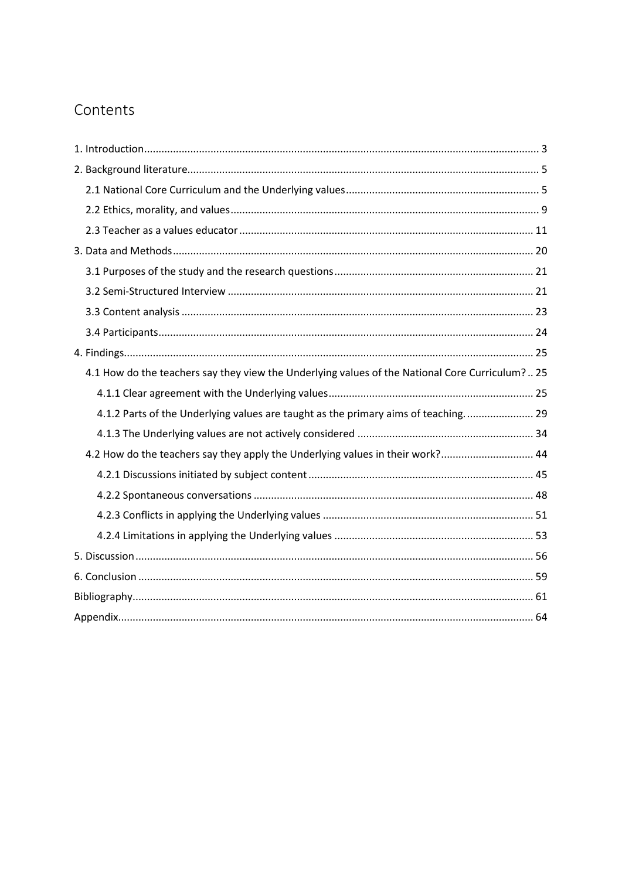# Contents

| 4.1 How do the teachers say they view the Underlying values of the National Core Curriculum? 25 |
|-------------------------------------------------------------------------------------------------|
|                                                                                                 |
| 4.1.2 Parts of the Underlying values are taught as the primary aims of teaching 29              |
|                                                                                                 |
| 4.2 How do the teachers say they apply the Underlying values in their work? 44                  |
|                                                                                                 |
|                                                                                                 |
|                                                                                                 |
|                                                                                                 |
|                                                                                                 |
|                                                                                                 |
|                                                                                                 |
|                                                                                                 |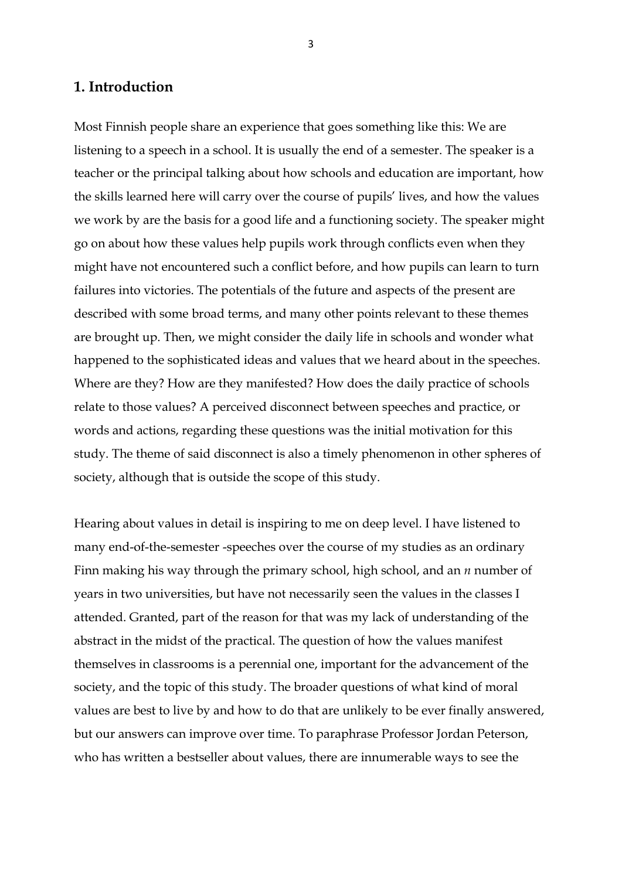### <span id="page-3-0"></span>**1. Introduction**

Most Finnish people share an experience that goes something like this: We are listening to a speech in a school. It is usually the end of a semester. The speaker is a teacher or the principal talking about how schools and education are important, how the skills learned here will carry over the course of pupils' lives, and how the values we work by are the basis for a good life and a functioning society. The speaker might go on about how these values help pupils work through conflicts even when they might have not encountered such a conflict before, and how pupils can learn to turn failures into victories. The potentials of the future and aspects of the present are described with some broad terms, and many other points relevant to these themes are brought up. Then, we might consider the daily life in schools and wonder what happened to the sophisticated ideas and values that we heard about in the speeches. Where are they? How are they manifested? How does the daily practice of schools relate to those values? A perceived disconnect between speeches and practice, or words and actions, regarding these questions was the initial motivation for this study. The theme of said disconnect is also a timely phenomenon in other spheres of society, although that is outside the scope of this study.

Hearing about values in detail is inspiring to me on deep level. I have listened to many end-of-the-semester -speeches over the course of my studies as an ordinary Finn making his way through the primary school, high school, and an *n* number of years in two universities, but have not necessarily seen the values in the classes I attended. Granted, part of the reason for that was my lack of understanding of the abstract in the midst of the practical. The question of how the values manifest themselves in classrooms is a perennial one, important for the advancement of the society, and the topic of this study. The broader questions of what kind of moral values are best to live by and how to do that are unlikely to be ever finally answered, but our answers can improve over time. To paraphrase Professor Jordan Peterson, who has written a bestseller about values, there are innumerable ways to see the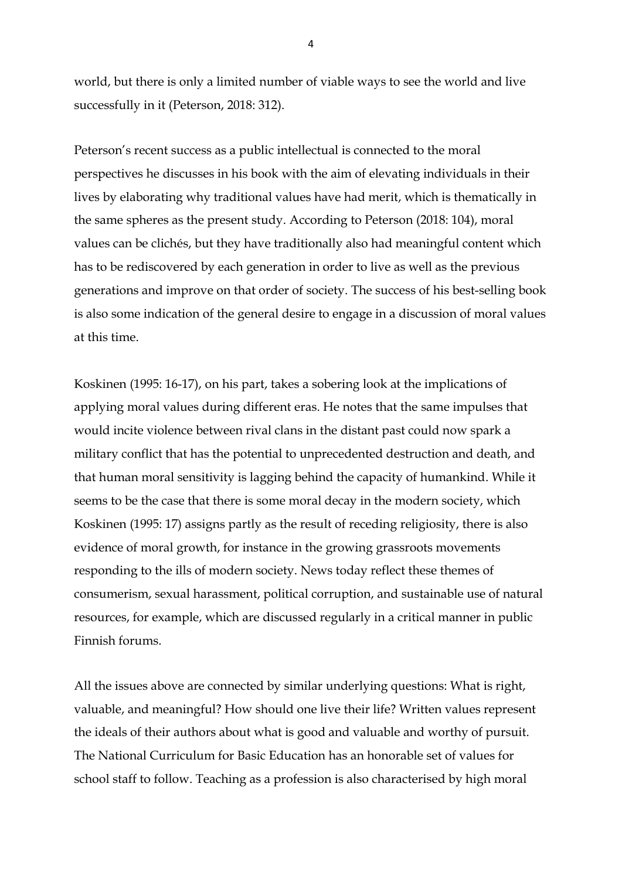world, but there is only a limited number of viable ways to see the world and live successfully in it (Peterson, 2018: 312).

Peterson's recent success as a public intellectual is connected to the moral perspectives he discusses in his book with the aim of elevating individuals in their lives by elaborating why traditional values have had merit, which is thematically in the same spheres as the present study. According to Peterson (2018: 104), moral values can be clichés, but they have traditionally also had meaningful content which has to be rediscovered by each generation in order to live as well as the previous generations and improve on that order of society. The success of his best-selling book is also some indication of the general desire to engage in a discussion of moral values at this time.

Koskinen (1995: 16-17), on his part, takes a sobering look at the implications of applying moral values during different eras. He notes that the same impulses that would incite violence between rival clans in the distant past could now spark a military conflict that has the potential to unprecedented destruction and death, and that human moral sensitivity is lagging behind the capacity of humankind. While it seems to be the case that there is some moral decay in the modern society, which Koskinen (1995: 17) assigns partly as the result of receding religiosity, there is also evidence of moral growth, for instance in the growing grassroots movements responding to the ills of modern society. News today reflect these themes of consumerism, sexual harassment, political corruption, and sustainable use of natural resources, for example, which are discussed regularly in a critical manner in public Finnish forums.

All the issues above are connected by similar underlying questions: What is right, valuable, and meaningful? How should one live their life? Written values represent the ideals of their authors about what is good and valuable and worthy of pursuit. The National Curriculum for Basic Education has an honorable set of values for school staff to follow. Teaching as a profession is also characterised by high moral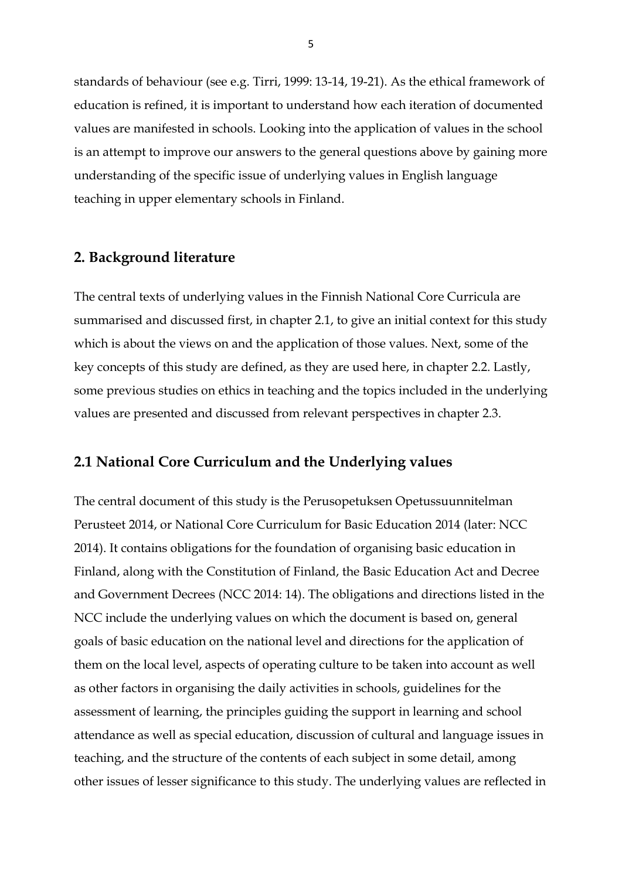standards of behaviour (see e.g. Tirri, 1999: 13-14, 19-21). As the ethical framework of education is refined, it is important to understand how each iteration of documented values are manifested in schools. Looking into the application of values in the school is an attempt to improve our answers to the general questions above by gaining more understanding of the specific issue of underlying values in English language teaching in upper elementary schools in Finland.

#### <span id="page-5-0"></span>**2. Background literature**

The central texts of underlying values in the Finnish National Core Curricula are summarised and discussed first, in chapter 2.1, to give an initial context for this study which is about the views on and the application of those values. Next, some of the key concepts of this study are defined, as they are used here, in chapter 2.2. Lastly, some previous studies on ethics in teaching and the topics included in the underlying values are presented and discussed from relevant perspectives in chapter 2.3.

### <span id="page-5-1"></span>**2.1 National Core Curriculum and the Underlying values**

The central document of this study is the Perusopetuksen Opetussuunnitelman Perusteet 2014, or National Core Curriculum for Basic Education 2014 (later: NCC 2014). It contains obligations for the foundation of organising basic education in Finland, along with the Constitution of Finland, the Basic Education Act and Decree and Government Decrees (NCC 2014: 14). The obligations and directions listed in the NCC include the underlying values on which the document is based on, general goals of basic education on the national level and directions for the application of them on the local level, aspects of operating culture to be taken into account as well as other factors in organising the daily activities in schools, guidelines for the assessment of learning, the principles guiding the support in learning and school attendance as well as special education, discussion of cultural and language issues in teaching, and the structure of the contents of each subject in some detail, among other issues of lesser significance to this study. The underlying values are reflected in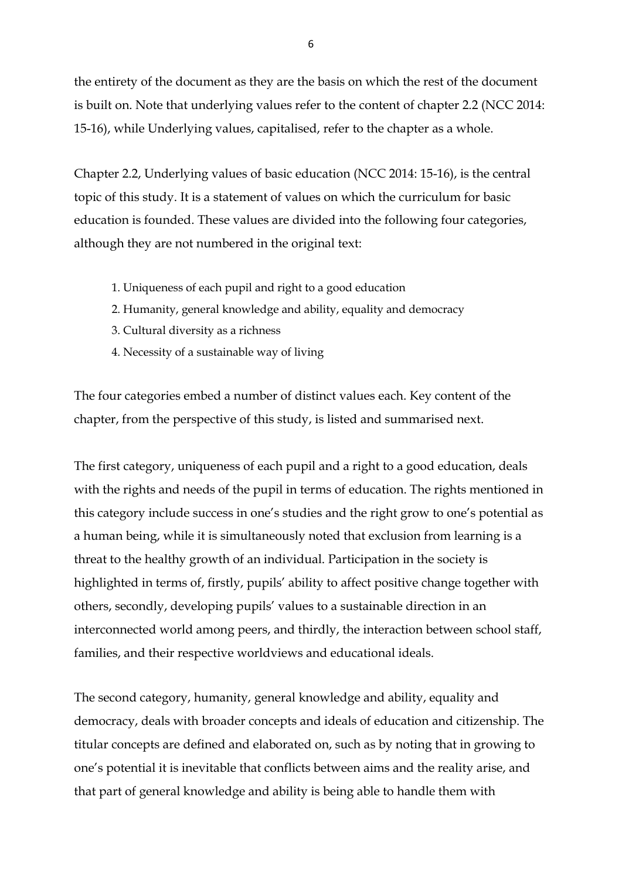the entirety of the document as they are the basis on which the rest of the document is built on. Note that underlying values refer to the content of chapter 2.2 (NCC 2014: 15-16), while Underlying values, capitalised, refer to the chapter as a whole.

Chapter 2.2, Underlying values of basic education (NCC 2014: 15-16), is the central topic of this study. It is a statement of values on which the curriculum for basic education is founded. These values are divided into the following four categories, although they are not numbered in the original text:

- 1. Uniqueness of each pupil and right to a good education
- 2. Humanity, general knowledge and ability, equality and democracy
- 3. Cultural diversity as a richness
- 4. Necessity of a sustainable way of living

The four categories embed a number of distinct values each. Key content of the chapter, from the perspective of this study, is listed and summarised next.

The first category, uniqueness of each pupil and a right to a good education, deals with the rights and needs of the pupil in terms of education. The rights mentioned in this category include success in one's studies and the right grow to one's potential as a human being, while it is simultaneously noted that exclusion from learning is a threat to the healthy growth of an individual. Participation in the society is highlighted in terms of, firstly, pupils' ability to affect positive change together with others, secondly, developing pupils' values to a sustainable direction in an interconnected world among peers, and thirdly, the interaction between school staff, families, and their respective worldviews and educational ideals.

The second category, humanity, general knowledge and ability, equality and democracy, deals with broader concepts and ideals of education and citizenship. The titular concepts are defined and elaborated on, such as by noting that in growing to one's potential it is inevitable that conflicts between aims and the reality arise, and that part of general knowledge and ability is being able to handle them with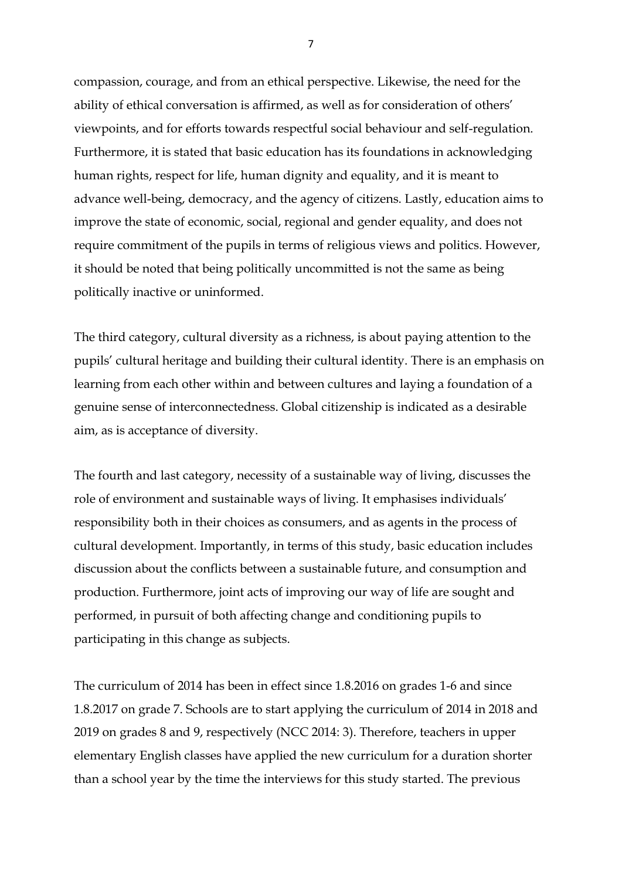compassion, courage, and from an ethical perspective. Likewise, the need for the ability of ethical conversation is affirmed, as well as for consideration of others' viewpoints, and for efforts towards respectful social behaviour and self-regulation. Furthermore, it is stated that basic education has its foundations in acknowledging human rights, respect for life, human dignity and equality, and it is meant to advance well-being, democracy, and the agency of citizens. Lastly, education aims to improve the state of economic, social, regional and gender equality, and does not require commitment of the pupils in terms of religious views and politics. However, it should be noted that being politically uncommitted is not the same as being politically inactive or uninformed.

The third category, cultural diversity as a richness, is about paying attention to the pupils' cultural heritage and building their cultural identity. There is an emphasis on learning from each other within and between cultures and laying a foundation of a genuine sense of interconnectedness. Global citizenship is indicated as a desirable aim, as is acceptance of diversity.

The fourth and last category, necessity of a sustainable way of living, discusses the role of environment and sustainable ways of living. It emphasises individuals' responsibility both in their choices as consumers, and as agents in the process of cultural development. Importantly, in terms of this study, basic education includes discussion about the conflicts between a sustainable future, and consumption and production. Furthermore, joint acts of improving our way of life are sought and performed, in pursuit of both affecting change and conditioning pupils to participating in this change as subjects.

The curriculum of 2014 has been in effect since 1.8.2016 on grades 1-6 and since 1.8.2017 on grade 7. Schools are to start applying the curriculum of 2014 in 2018 and 2019 on grades 8 and 9, respectively (NCC 2014: 3). Therefore, teachers in upper elementary English classes have applied the new curriculum for a duration shorter than a school year by the time the interviews for this study started. The previous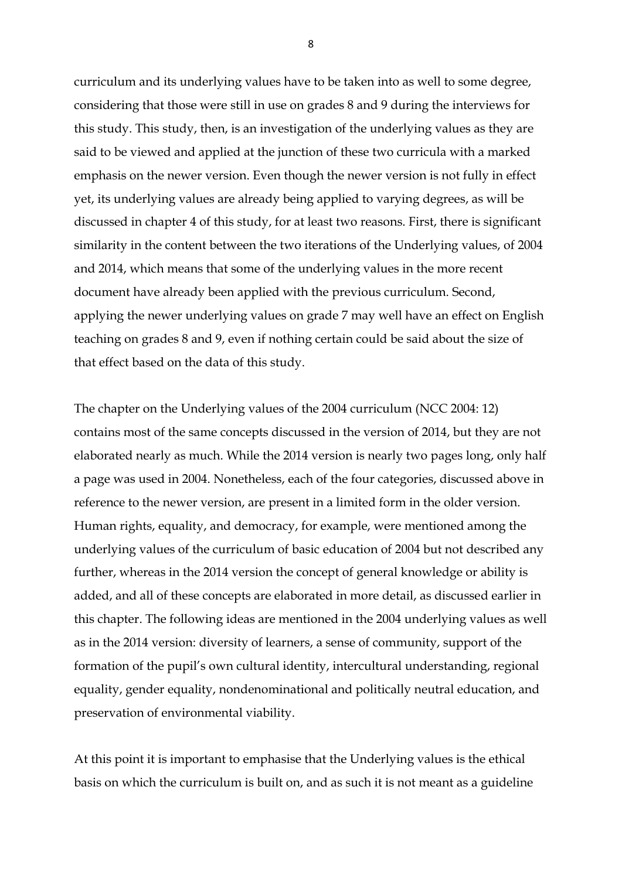curriculum and its underlying values have to be taken into as well to some degree, considering that those were still in use on grades 8 and 9 during the interviews for this study. This study, then, is an investigation of the underlying values as they are said to be viewed and applied at the junction of these two curricula with a marked emphasis on the newer version. Even though the newer version is not fully in effect yet, its underlying values are already being applied to varying degrees, as will be discussed in chapter 4 of this study, for at least two reasons. First, there is significant similarity in the content between the two iterations of the Underlying values, of 2004 and 2014, which means that some of the underlying values in the more recent document have already been applied with the previous curriculum. Second, applying the newer underlying values on grade 7 may well have an effect on English teaching on grades 8 and 9, even if nothing certain could be said about the size of that effect based on the data of this study.

The chapter on the Underlying values of the 2004 curriculum (NCC 2004: 12) contains most of the same concepts discussed in the version of 2014, but they are not elaborated nearly as much. While the 2014 version is nearly two pages long, only half a page was used in 2004. Nonetheless, each of the four categories, discussed above in reference to the newer version, are present in a limited form in the older version. Human rights, equality, and democracy, for example, were mentioned among the underlying values of the curriculum of basic education of 2004 but not described any further, whereas in the 2014 version the concept of general knowledge or ability is added, and all of these concepts are elaborated in more detail, as discussed earlier in this chapter. The following ideas are mentioned in the 2004 underlying values as well as in the 2014 version: diversity of learners, a sense of community, support of the formation of the pupil's own cultural identity, intercultural understanding, regional equality, gender equality, nondenominational and politically neutral education, and preservation of environmental viability.

At this point it is important to emphasise that the Underlying values is the ethical basis on which the curriculum is built on, and as such it is not meant as a guideline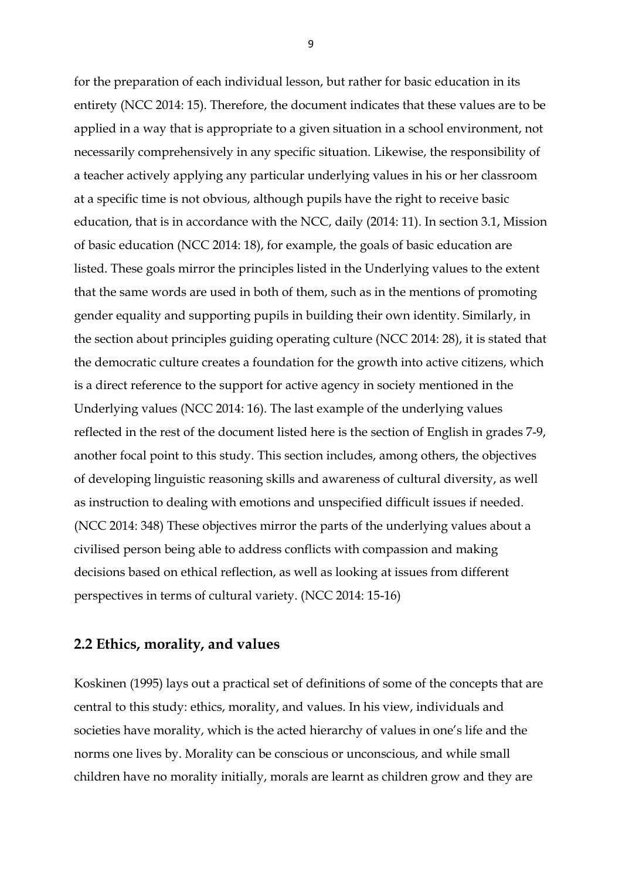for the preparation of each individual lesson, but rather for basic education in its entirety (NCC 2014: 15). Therefore, the document indicates that these values are to be applied in a way that is appropriate to a given situation in a school environment, not necessarily comprehensively in any specific situation. Likewise, the responsibility of a teacher actively applying any particular underlying values in his or her classroom at a specific time is not obvious, although pupils have the right to receive basic education, that is in accordance with the NCC, daily (2014: 11). In section 3.1, Mission of basic education (NCC 2014: 18), for example, the goals of basic education are listed. These goals mirror the principles listed in the Underlying values to the extent that the same words are used in both of them, such as in the mentions of promoting gender equality and supporting pupils in building their own identity. Similarly, in the section about principles guiding operating culture (NCC 2014: 28), it is stated that the democratic culture creates a foundation for the growth into active citizens, which is a direct reference to the support for active agency in society mentioned in the Underlying values (NCC 2014: 16). The last example of the underlying values reflected in the rest of the document listed here is the section of English in grades 7-9, another focal point to this study. This section includes, among others, the objectives of developing linguistic reasoning skills and awareness of cultural diversity, as well as instruction to dealing with emotions and unspecified difficult issues if needed. (NCC 2014: 348) These objectives mirror the parts of the underlying values about a civilised person being able to address conflicts with compassion and making decisions based on ethical reflection, as well as looking at issues from different perspectives in terms of cultural variety. (NCC 2014: 15-16)

#### <span id="page-9-0"></span>**2.2 Ethics, morality, and values**

Koskinen (1995) lays out a practical set of definitions of some of the concepts that are central to this study: ethics, morality, and values. In his view, individuals and societies have morality, which is the acted hierarchy of values in one's life and the norms one lives by. Morality can be conscious or unconscious, and while small children have no morality initially, morals are learnt as children grow and they are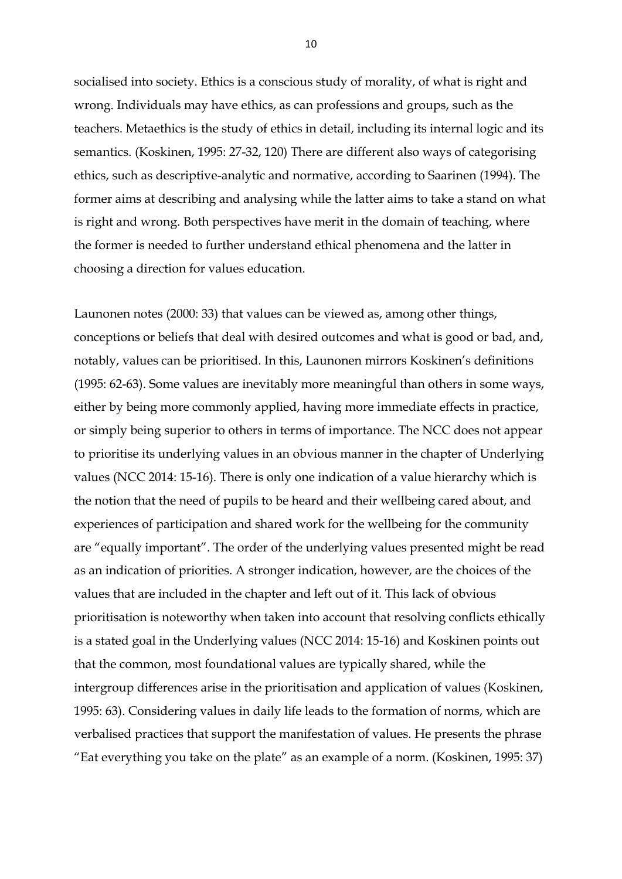socialised into society. Ethics is a conscious study of morality, of what is right and wrong. Individuals may have ethics, as can professions and groups, such as the teachers. Metaethics is the study of ethics in detail, including its internal logic and its semantics. (Koskinen, 1995: 27-32, 120) There are different also ways of categorising ethics, such as descriptive-analytic and normative, according to Saarinen (1994). The former aims at describing and analysing while the latter aims to take a stand on what is right and wrong. Both perspectives have merit in the domain of teaching, where the former is needed to further understand ethical phenomena and the latter in choosing a direction for values education.

Launonen notes (2000: 33) that values can be viewed as, among other things, conceptions or beliefs that deal with desired outcomes and what is good or bad, and, notably, values can be prioritised. In this, Launonen mirrors Koskinen's definitions (1995: 62-63). Some values are inevitably more meaningful than others in some ways, either by being more commonly applied, having more immediate effects in practice, or simply being superior to others in terms of importance. The NCC does not appear to prioritise its underlying values in an obvious manner in the chapter of Underlying values (NCC 2014: 15-16). There is only one indication of a value hierarchy which is the notion that the need of pupils to be heard and their wellbeing cared about, and experiences of participation and shared work for the wellbeing for the community are "equally important". The order of the underlying values presented might be read as an indication of priorities. A stronger indication, however, are the choices of the values that are included in the chapter and left out of it. This lack of obvious prioritisation is noteworthy when taken into account that resolving conflicts ethically is a stated goal in the Underlying values (NCC 2014: 15-16) and Koskinen points out that the common, most foundational values are typically shared, while the intergroup differences arise in the prioritisation and application of values (Koskinen, 1995: 63). Considering values in daily life leads to the formation of norms, which are verbalised practices that support the manifestation of values. He presents the phrase "Eat everything you take on the plate" as an example of a norm. (Koskinen, 1995: 37)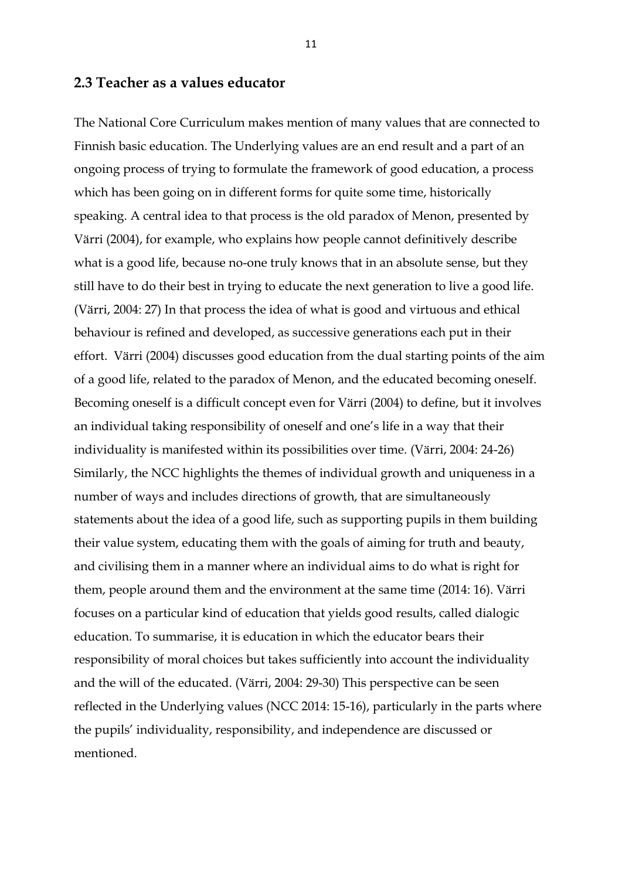### <span id="page-11-0"></span>**2.3 Teacher as a values educator**

The National Core Curriculum makes mention of many values that are connected to Finnish basic education. The Underlying values are an end result and a part of an ongoing process of trying to formulate the framework of good education, a process which has been going on in different forms for quite some time, historically speaking. A central idea to that process is the old paradox of Menon, presented by Värri (2004), for example, who explains how people cannot definitively describe what is a good life, because no-one truly knows that in an absolute sense, but they still have to do their best in trying to educate the next generation to live a good life. (Värri, 2004: 27) In that process the idea of what is good and virtuous and ethical behaviour is refined and developed, as successive generations each put in their effort. Värri (2004) discusses good education from the dual starting points of the aim of a good life, related to the paradox of Menon, and the educated becoming oneself. Becoming oneself is a difficult concept even for Värri (2004) to define, but it involves an individual taking responsibility of oneself and one's life in a way that their individuality is manifested within its possibilities over time. (Värri, 2004: 24-26) Similarly, the NCC highlights the themes of individual growth and uniqueness in a number of ways and includes directions of growth, that are simultaneously statements about the idea of a good life, such as supporting pupils in them building their value system, educating them with the goals of aiming for truth and beauty, and civilising them in a manner where an individual aims to do what is right for them, people around them and the environment at the same time (2014: 16). Värri focuses on a particular kind of education that yields good results, called dialogic education. To summarise, it is education in which the educator bears their responsibility of moral choices but takes sufficiently into account the individuality and the will of the educated. (Värri, 2004: 29-30) This perspective can be seen reflected in the Underlying values (NCC 2014: 15-16), particularly in the parts where the pupils' individuality, responsibility, and independence are discussed or mentioned.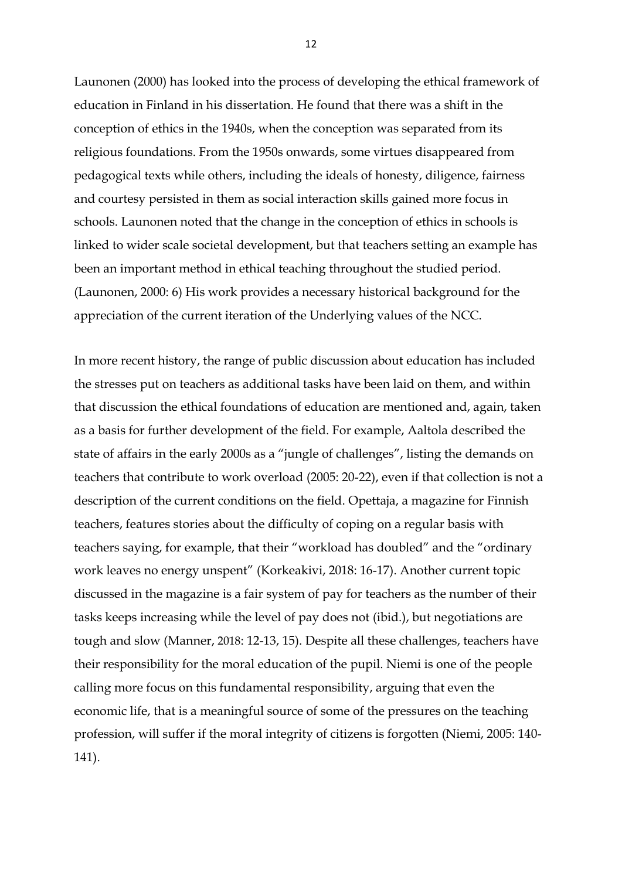Launonen (2000) has looked into the process of developing the ethical framework of education in Finland in his dissertation. He found that there was a shift in the conception of ethics in the 1940s, when the conception was separated from its religious foundations. From the 1950s onwards, some virtues disappeared from pedagogical texts while others, including the ideals of honesty, diligence, fairness and courtesy persisted in them as social interaction skills gained more focus in schools. Launonen noted that the change in the conception of ethics in schools is linked to wider scale societal development, but that teachers setting an example has been an important method in ethical teaching throughout the studied period. (Launonen, 2000: 6) His work provides a necessary historical background for the appreciation of the current iteration of the Underlying values of the NCC.

In more recent history, the range of public discussion about education has included the stresses put on teachers as additional tasks have been laid on them, and within that discussion the ethical foundations of education are mentioned and, again, taken as a basis for further development of the field. For example, Aaltola described the state of affairs in the early 2000s as a "jungle of challenges", listing the demands on teachers that contribute to work overload (2005: 20-22), even if that collection is not a description of the current conditions on the field. Opettaja, a magazine for Finnish teachers, features stories about the difficulty of coping on a regular basis with teachers saying, for example, that their "workload has doubled" and the "ordinary work leaves no energy unspent" (Korkeakivi, 2018: 16-17). Another current topic discussed in the magazine is a fair system of pay for teachers as the number of their tasks keeps increasing while the level of pay does not (ibid.), but negotiations are tough and slow (Manner, 2018: 12-13, 15). Despite all these challenges, teachers have their responsibility for the moral education of the pupil. Niemi is one of the people calling more focus on this fundamental responsibility, arguing that even the economic life, that is a meaningful source of some of the pressures on the teaching profession, will suffer if the moral integrity of citizens is forgotten (Niemi, 2005: 140- 141).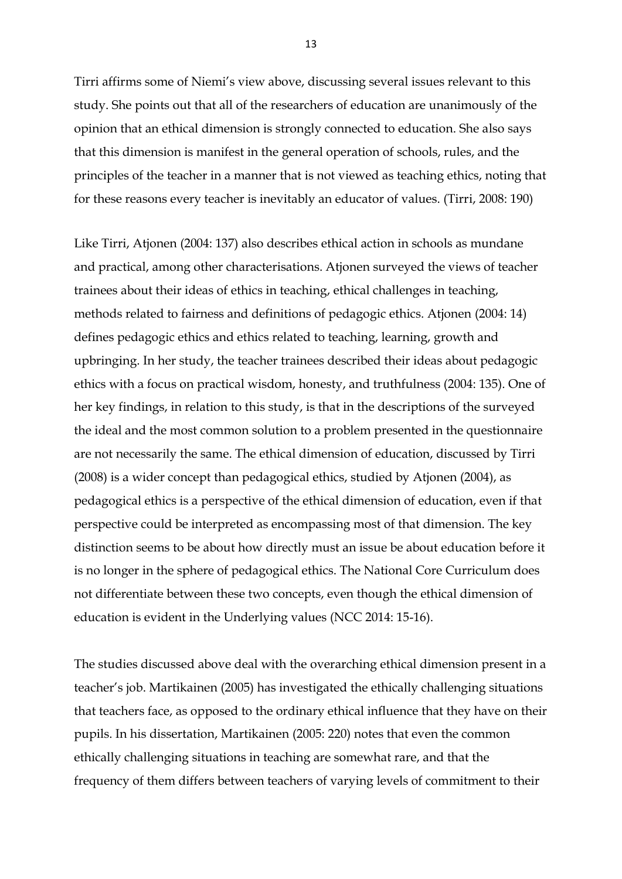Tirri affirms some of Niemi's view above, discussing several issues relevant to this study. She points out that all of the researchers of education are unanimously of the opinion that an ethical dimension is strongly connected to education. She also says that this dimension is manifest in the general operation of schools, rules, and the principles of the teacher in a manner that is not viewed as teaching ethics, noting that for these reasons every teacher is inevitably an educator of values. (Tirri, 2008: 190)

Like Tirri, Atjonen (2004: 137) also describes ethical action in schools as mundane and practical, among other characterisations. Atjonen surveyed the views of teacher trainees about their ideas of ethics in teaching, ethical challenges in teaching, methods related to fairness and definitions of pedagogic ethics. Atjonen (2004: 14) defines pedagogic ethics and ethics related to teaching, learning, growth and upbringing. In her study, the teacher trainees described their ideas about pedagogic ethics with a focus on practical wisdom, honesty, and truthfulness (2004: 135). One of her key findings, in relation to this study, is that in the descriptions of the surveyed the ideal and the most common solution to a problem presented in the questionnaire are not necessarily the same. The ethical dimension of education, discussed by Tirri (2008) is a wider concept than pedagogical ethics, studied by Atjonen (2004), as pedagogical ethics is a perspective of the ethical dimension of education, even if that perspective could be interpreted as encompassing most of that dimension. The key distinction seems to be about how directly must an issue be about education before it is no longer in the sphere of pedagogical ethics. The National Core Curriculum does not differentiate between these two concepts, even though the ethical dimension of education is evident in the Underlying values (NCC 2014: 15-16).

The studies discussed above deal with the overarching ethical dimension present in a teacher's job. Martikainen (2005) has investigated the ethically challenging situations that teachers face, as opposed to the ordinary ethical influence that they have on their pupils. In his dissertation, Martikainen (2005: 220) notes that even the common ethically challenging situations in teaching are somewhat rare, and that the frequency of them differs between teachers of varying levels of commitment to their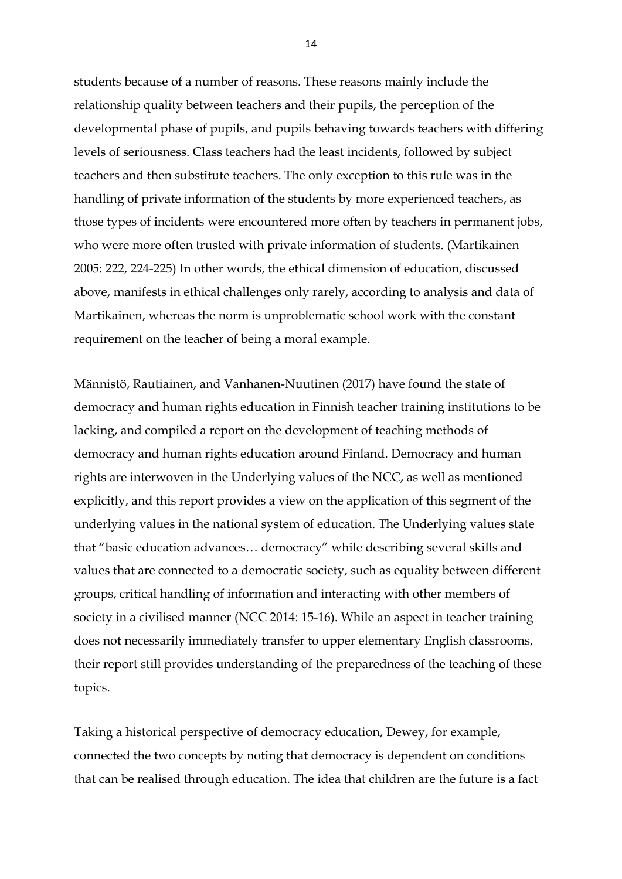students because of a number of reasons. These reasons mainly include the relationship quality between teachers and their pupils, the perception of the developmental phase of pupils, and pupils behaving towards teachers with differing levels of seriousness. Class teachers had the least incidents, followed by subject teachers and then substitute teachers. The only exception to this rule was in the handling of private information of the students by more experienced teachers, as those types of incidents were encountered more often by teachers in permanent jobs, who were more often trusted with private information of students. (Martikainen 2005: 222, 224-225) In other words, the ethical dimension of education, discussed above, manifests in ethical challenges only rarely, according to analysis and data of Martikainen, whereas the norm is unproblematic school work with the constant requirement on the teacher of being a moral example.

Männistö, Rautiainen, and Vanhanen-Nuutinen (2017) have found the state of democracy and human rights education in Finnish teacher training institutions to be lacking, and compiled a report on the development of teaching methods of democracy and human rights education around Finland. Democracy and human rights are interwoven in the Underlying values of the NCC, as well as mentioned explicitly, and this report provides a view on the application of this segment of the underlying values in the national system of education. The Underlying values state that "basic education advances… democracy" while describing several skills and values that are connected to a democratic society, such as equality between different groups, critical handling of information and interacting with other members of society in a civilised manner (NCC 2014: 15-16). While an aspect in teacher training does not necessarily immediately transfer to upper elementary English classrooms, their report still provides understanding of the preparedness of the teaching of these topics.

Taking a historical perspective of democracy education, Dewey, for example, connected the two concepts by noting that democracy is dependent on conditions that can be realised through education. The idea that children are the future is a fact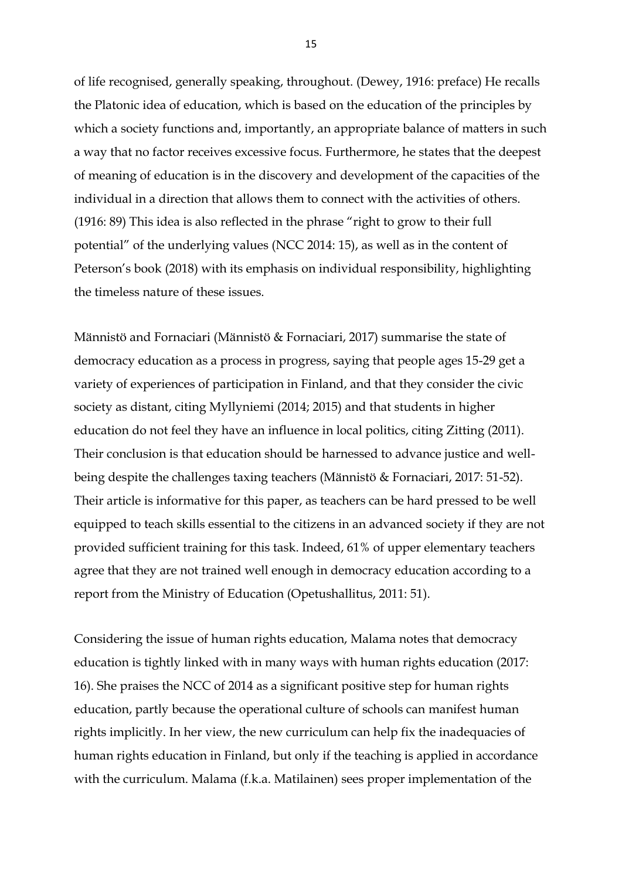of life recognised, generally speaking, throughout. (Dewey, 1916: preface) He recalls the Platonic idea of education, which is based on the education of the principles by which a society functions and, importantly, an appropriate balance of matters in such a way that no factor receives excessive focus. Furthermore, he states that the deepest of meaning of education is in the discovery and development of the capacities of the individual in a direction that allows them to connect with the activities of others. (1916: 89) This idea is also reflected in the phrase "right to grow to their full potential" of the underlying values (NCC 2014: 15), as well as in the content of Peterson's book (2018) with its emphasis on individual responsibility, highlighting the timeless nature of these issues.

Männistö and Fornaciari (Männistö & Fornaciari, 2017) summarise the state of democracy education as a process in progress, saying that people ages 15-29 get a variety of experiences of participation in Finland, and that they consider the civic society as distant, citing Myllyniemi (2014; 2015) and that students in higher education do not feel they have an influence in local politics, citing Zitting (2011). Their conclusion is that education should be harnessed to advance justice and wellbeing despite the challenges taxing teachers (Männistö & Fornaciari, 2017: 51-52). Their article is informative for this paper, as teachers can be hard pressed to be well equipped to teach skills essential to the citizens in an advanced society if they are not provided sufficient training for this task. Indeed, 61% of upper elementary teachers agree that they are not trained well enough in democracy education according to a report from the Ministry of Education (Opetushallitus, 2011: 51).

Considering the issue of human rights education, Malama notes that democracy education is tightly linked with in many ways with human rights education (2017: 16). She praises the NCC of 2014 as a significant positive step for human rights education, partly because the operational culture of schools can manifest human rights implicitly. In her view, the new curriculum can help fix the inadequacies of human rights education in Finland, but only if the teaching is applied in accordance with the curriculum. Malama (f.k.a. Matilainen) sees proper implementation of the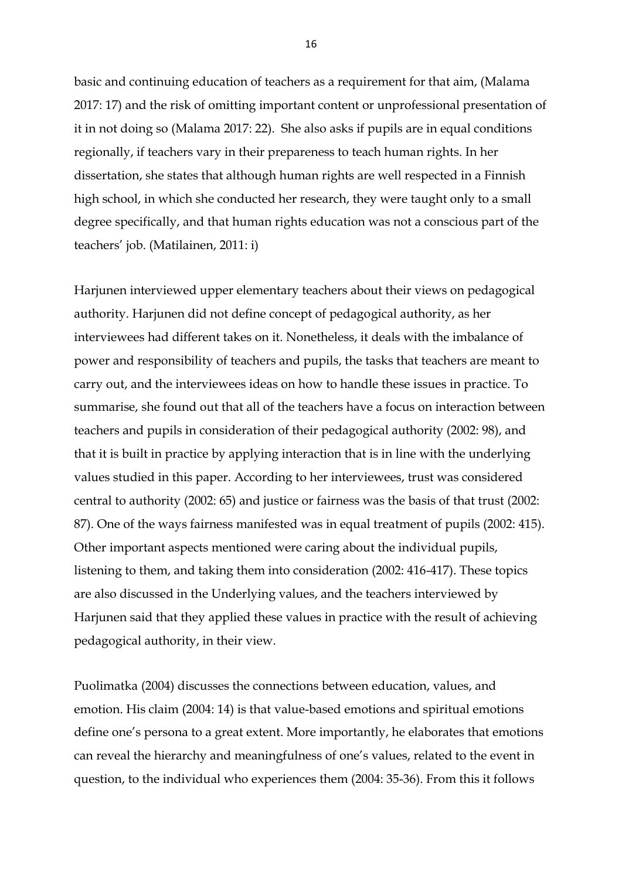basic and continuing education of teachers as a requirement for that aim, (Malama 2017: 17) and the risk of omitting important content or unprofessional presentation of it in not doing so (Malama 2017: 22). She also asks if pupils are in equal conditions regionally, if teachers vary in their prepareness to teach human rights. In her dissertation, she states that although human rights are well respected in a Finnish high school, in which she conducted her research, they were taught only to a small degree specifically, and that human rights education was not a conscious part of the teachers' job. (Matilainen, 2011: i)

Harjunen interviewed upper elementary teachers about their views on pedagogical authority. Harjunen did not define concept of pedagogical authority, as her interviewees had different takes on it. Nonetheless, it deals with the imbalance of power and responsibility of teachers and pupils, the tasks that teachers are meant to carry out, and the interviewees ideas on how to handle these issues in practice. To summarise, she found out that all of the teachers have a focus on interaction between teachers and pupils in consideration of their pedagogical authority (2002: 98), and that it is built in practice by applying interaction that is in line with the underlying values studied in this paper. According to her interviewees, trust was considered central to authority (2002: 65) and justice or fairness was the basis of that trust (2002: 87). One of the ways fairness manifested was in equal treatment of pupils (2002: 415). Other important aspects mentioned were caring about the individual pupils, listening to them, and taking them into consideration (2002: 416-417). These topics are also discussed in the Underlying values, and the teachers interviewed by Harjunen said that they applied these values in practice with the result of achieving pedagogical authority, in their view.

Puolimatka (2004) discusses the connections between education, values, and emotion. His claim (2004: 14) is that value-based emotions and spiritual emotions define one's persona to a great extent. More importantly, he elaborates that emotions can reveal the hierarchy and meaningfulness of one's values, related to the event in question, to the individual who experiences them (2004: 35-36). From this it follows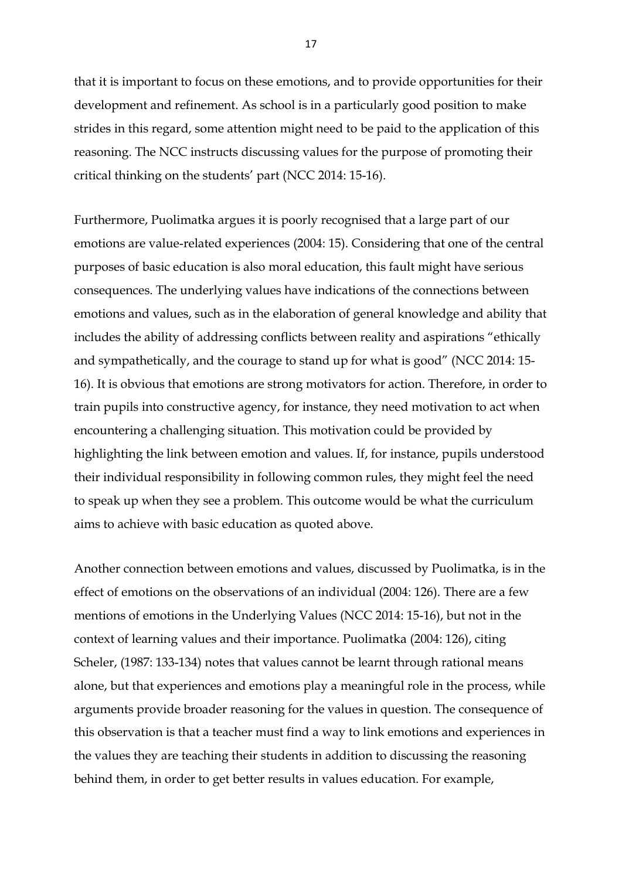that it is important to focus on these emotions, and to provide opportunities for their development and refinement. As school is in a particularly good position to make strides in this regard, some attention might need to be paid to the application of this reasoning. The NCC instructs discussing values for the purpose of promoting their critical thinking on the students' part (NCC 2014: 15-16).

Furthermore, Puolimatka argues it is poorly recognised that a large part of our emotions are value-related experiences (2004: 15). Considering that one of the central purposes of basic education is also moral education, this fault might have serious consequences. The underlying values have indications of the connections between emotions and values, such as in the elaboration of general knowledge and ability that includes the ability of addressing conflicts between reality and aspirations "ethically and sympathetically, and the courage to stand up for what is good" (NCC 2014: 15- 16). It is obvious that emotions are strong motivators for action. Therefore, in order to train pupils into constructive agency, for instance, they need motivation to act when encountering a challenging situation. This motivation could be provided by highlighting the link between emotion and values. If, for instance, pupils understood their individual responsibility in following common rules, they might feel the need to speak up when they see a problem. This outcome would be what the curriculum aims to achieve with basic education as quoted above.

Another connection between emotions and values, discussed by Puolimatka, is in the effect of emotions on the observations of an individual (2004: 126). There are a few mentions of emotions in the Underlying Values (NCC 2014: 15-16), but not in the context of learning values and their importance. Puolimatka (2004: 126), citing Scheler, (1987: 133-134) notes that values cannot be learnt through rational means alone, but that experiences and emotions play a meaningful role in the process, while arguments provide broader reasoning for the values in question. The consequence of this observation is that a teacher must find a way to link emotions and experiences in the values they are teaching their students in addition to discussing the reasoning behind them, in order to get better results in values education. For example,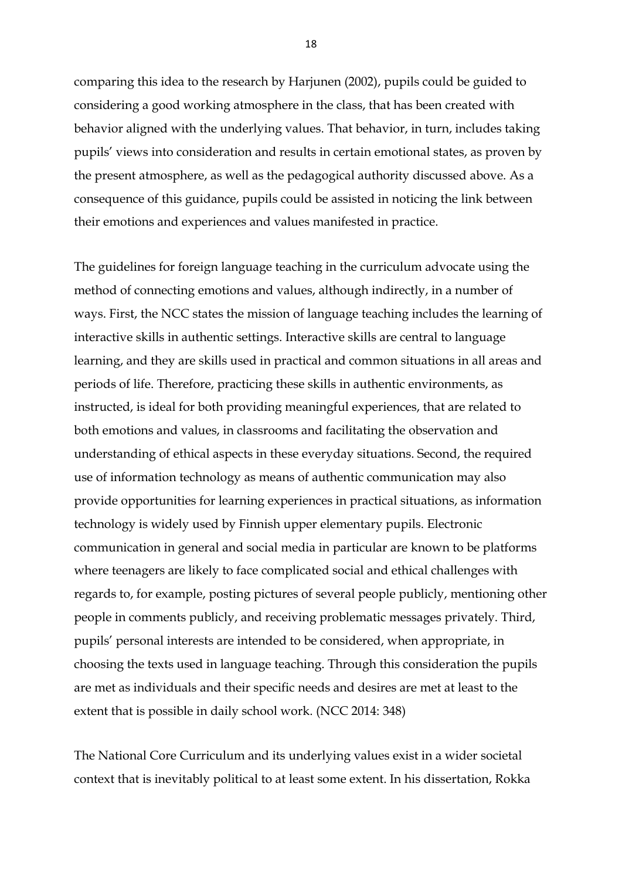comparing this idea to the research by Harjunen (2002), pupils could be guided to considering a good working atmosphere in the class, that has been created with behavior aligned with the underlying values. That behavior, in turn, includes taking pupils' views into consideration and results in certain emotional states, as proven by the present atmosphere, as well as the pedagogical authority discussed above. As a consequence of this guidance, pupils could be assisted in noticing the link between their emotions and experiences and values manifested in practice.

The guidelines for foreign language teaching in the curriculum advocate using the method of connecting emotions and values, although indirectly, in a number of ways. First, the NCC states the mission of language teaching includes the learning of interactive skills in authentic settings. Interactive skills are central to language learning, and they are skills used in practical and common situations in all areas and periods of life. Therefore, practicing these skills in authentic environments, as instructed, is ideal for both providing meaningful experiences, that are related to both emotions and values, in classrooms and facilitating the observation and understanding of ethical aspects in these everyday situations. Second, the required use of information technology as means of authentic communication may also provide opportunities for learning experiences in practical situations, as information technology is widely used by Finnish upper elementary pupils. Electronic communication in general and social media in particular are known to be platforms where teenagers are likely to face complicated social and ethical challenges with regards to, for example, posting pictures of several people publicly, mentioning other people in comments publicly, and receiving problematic messages privately. Third, pupils' personal interests are intended to be considered, when appropriate, in choosing the texts used in language teaching. Through this consideration the pupils are met as individuals and their specific needs and desires are met at least to the extent that is possible in daily school work. (NCC 2014: 348)

The National Core Curriculum and its underlying values exist in a wider societal context that is inevitably political to at least some extent. In his dissertation, Rokka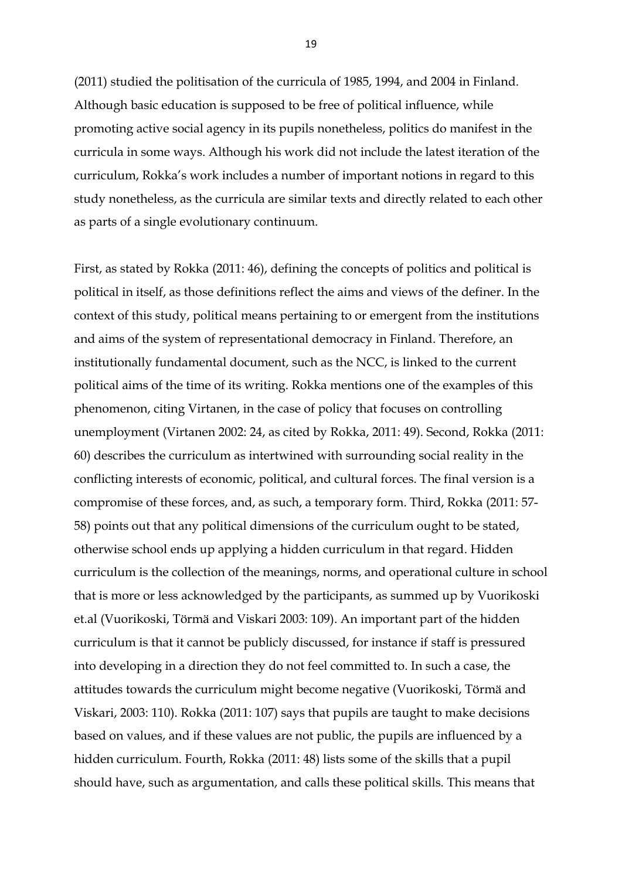(2011) studied the politisation of the curricula of 1985, 1994, and 2004 in Finland. Although basic education is supposed to be free of political influence, while promoting active social agency in its pupils nonetheless, politics do manifest in the curricula in some ways. Although his work did not include the latest iteration of the curriculum, Rokka's work includes a number of important notions in regard to this study nonetheless, as the curricula are similar texts and directly related to each other as parts of a single evolutionary continuum.

First, as stated by Rokka (2011: 46), defining the concepts of politics and political is political in itself, as those definitions reflect the aims and views of the definer. In the context of this study, political means pertaining to or emergent from the institutions and aims of the system of representational democracy in Finland. Therefore, an institutionally fundamental document, such as the NCC, is linked to the current political aims of the time of its writing. Rokka mentions one of the examples of this phenomenon, citing Virtanen, in the case of policy that focuses on controlling unemployment (Virtanen 2002: 24, as cited by Rokka, 2011: 49). Second, Rokka (2011: 60) describes the curriculum as intertwined with surrounding social reality in the conflicting interests of economic, political, and cultural forces. The final version is a compromise of these forces, and, as such, a temporary form. Third, Rokka (2011: 57- 58) points out that any political dimensions of the curriculum ought to be stated, otherwise school ends up applying a hidden curriculum in that regard. Hidden curriculum is the collection of the meanings, norms, and operational culture in school that is more or less acknowledged by the participants, as summed up by Vuorikoski et.al (Vuorikoski, Törmä and Viskari 2003: 109). An important part of the hidden curriculum is that it cannot be publicly discussed, for instance if staff is pressured into developing in a direction they do not feel committed to. In such a case, the attitudes towards the curriculum might become negative (Vuorikoski, Törmä and Viskari, 2003: 110). Rokka (2011: 107) says that pupils are taught to make decisions based on values, and if these values are not public, the pupils are influenced by a hidden curriculum. Fourth, Rokka (2011: 48) lists some of the skills that a pupil should have, such as argumentation, and calls these political skills. This means that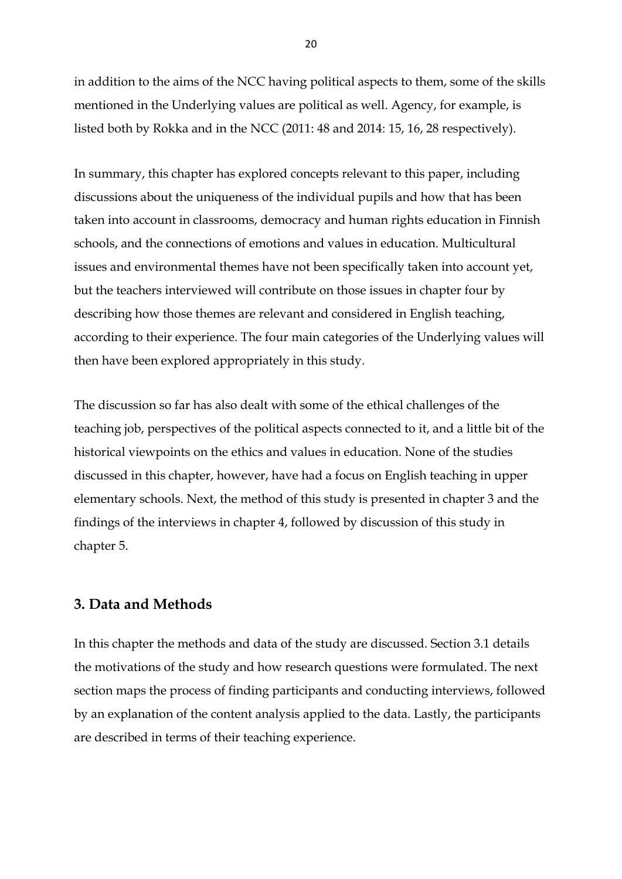in addition to the aims of the NCC having political aspects to them, some of the skills mentioned in the Underlying values are political as well. Agency, for example, is listed both by Rokka and in the NCC (2011: 48 and 2014: 15, 16, 28 respectively).

In summary, this chapter has explored concepts relevant to this paper, including discussions about the uniqueness of the individual pupils and how that has been taken into account in classrooms, democracy and human rights education in Finnish schools, and the connections of emotions and values in education. Multicultural issues and environmental themes have not been specifically taken into account yet, but the teachers interviewed will contribute on those issues in chapter four by describing how those themes are relevant and considered in English teaching, according to their experience. The four main categories of the Underlying values will then have been explored appropriately in this study.

The discussion so far has also dealt with some of the ethical challenges of the teaching job, perspectives of the political aspects connected to it, and a little bit of the historical viewpoints on the ethics and values in education. None of the studies discussed in this chapter, however, have had a focus on English teaching in upper elementary schools. Next, the method of this study is presented in chapter 3 and the findings of the interviews in chapter 4, followed by discussion of this study in chapter 5.

### <span id="page-20-0"></span>**3. Data and Methods**

In this chapter the methods and data of the study are discussed. Section 3.1 details the motivations of the study and how research questions were formulated. The next section maps the process of finding participants and conducting interviews, followed by an explanation of the content analysis applied to the data. Lastly, the participants are described in terms of their teaching experience.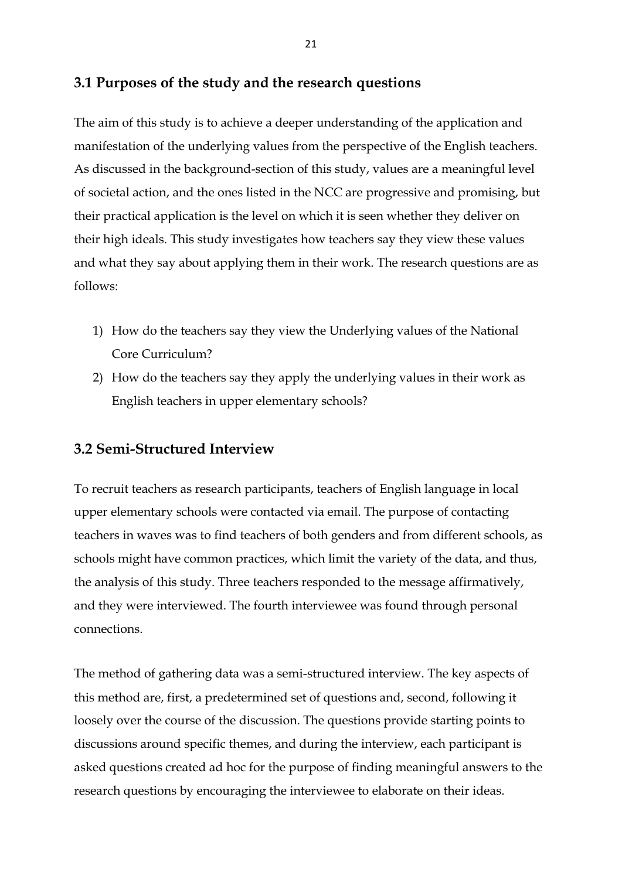## <span id="page-21-0"></span>**3.1 Purposes of the study and the research questions**

The aim of this study is to achieve a deeper understanding of the application and manifestation of the underlying values from the perspective of the English teachers. As discussed in the background-section of this study, values are a meaningful level of societal action, and the ones listed in the NCC are progressive and promising, but their practical application is the level on which it is seen whether they deliver on their high ideals. This study investigates how teachers say they view these values and what they say about applying them in their work. The research questions are as follows:

- 1) How do the teachers say they view the Underlying values of the National Core Curriculum?
- 2) How do the teachers say they apply the underlying values in their work as English teachers in upper elementary schools?

## <span id="page-21-1"></span>**3.2 Semi-Structured Interview**

To recruit teachers as research participants, teachers of English language in local upper elementary schools were contacted via email. The purpose of contacting teachers in waves was to find teachers of both genders and from different schools, as schools might have common practices, which limit the variety of the data, and thus, the analysis of this study. Three teachers responded to the message affirmatively, and they were interviewed. The fourth interviewee was found through personal connections.

The method of gathering data was a semi-structured interview. The key aspects of this method are, first, a predetermined set of questions and, second, following it loosely over the course of the discussion. The questions provide starting points to discussions around specific themes, and during the interview, each participant is asked questions created ad hoc for the purpose of finding meaningful answers to the research questions by encouraging the interviewee to elaborate on their ideas.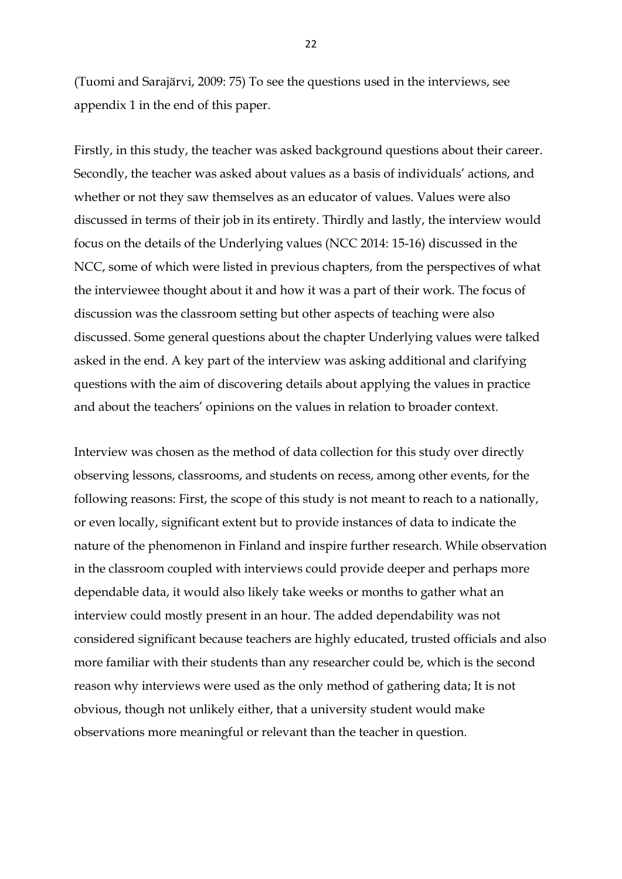(Tuomi and Sarajärvi, 2009: 75) To see the questions used in the interviews, see appendix 1 in the end of this paper.

Firstly, in this study, the teacher was asked background questions about their career. Secondly, the teacher was asked about values as a basis of individuals' actions, and whether or not they saw themselves as an educator of values. Values were also discussed in terms of their job in its entirety. Thirdly and lastly, the interview would focus on the details of the Underlying values (NCC 2014: 15-16) discussed in the NCC, some of which were listed in previous chapters, from the perspectives of what the interviewee thought about it and how it was a part of their work. The focus of discussion was the classroom setting but other aspects of teaching were also discussed. Some general questions about the chapter Underlying values were talked asked in the end. A key part of the interview was asking additional and clarifying questions with the aim of discovering details about applying the values in practice and about the teachers' opinions on the values in relation to broader context.

Interview was chosen as the method of data collection for this study over directly observing lessons, classrooms, and students on recess, among other events, for the following reasons: First, the scope of this study is not meant to reach to a nationally, or even locally, significant extent but to provide instances of data to indicate the nature of the phenomenon in Finland and inspire further research. While observation in the classroom coupled with interviews could provide deeper and perhaps more dependable data, it would also likely take weeks or months to gather what an interview could mostly present in an hour. The added dependability was not considered significant because teachers are highly educated, trusted officials and also more familiar with their students than any researcher could be, which is the second reason why interviews were used as the only method of gathering data; It is not obvious, though not unlikely either, that a university student would make observations more meaningful or relevant than the teacher in question.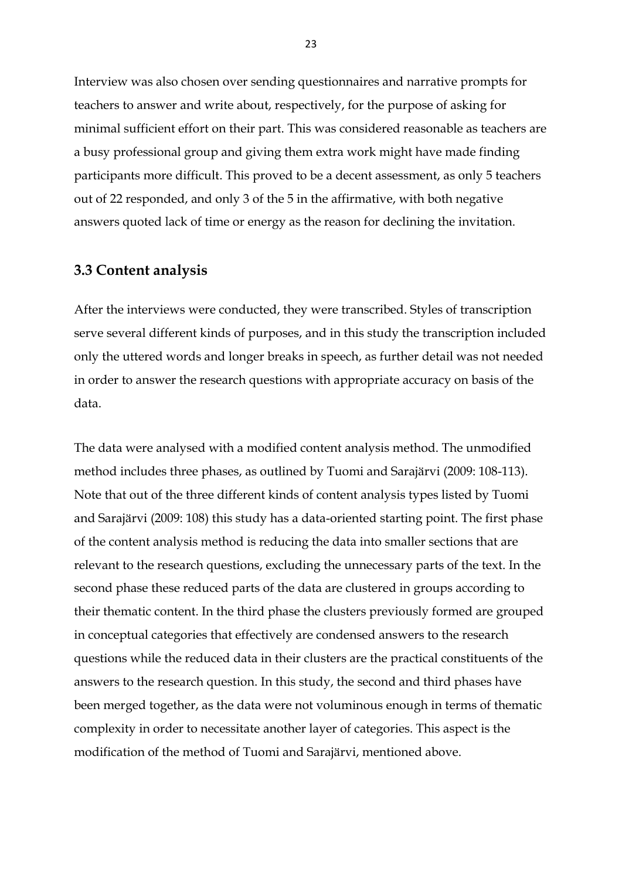Interview was also chosen over sending questionnaires and narrative prompts for teachers to answer and write about, respectively, for the purpose of asking for minimal sufficient effort on their part. This was considered reasonable as teachers are a busy professional group and giving them extra work might have made finding participants more difficult. This proved to be a decent assessment, as only 5 teachers out of 22 responded, and only 3 of the 5 in the affirmative, with both negative answers quoted lack of time or energy as the reason for declining the invitation.

## <span id="page-23-0"></span>**3.3 Content analysis**

After the interviews were conducted, they were transcribed. Styles of transcription serve several different kinds of purposes, and in this study the transcription included only the uttered words and longer breaks in speech, as further detail was not needed in order to answer the research questions with appropriate accuracy on basis of the data.

The data were analysed with a modified content analysis method. The unmodified method includes three phases, as outlined by Tuomi and Sarajärvi (2009: 108-113). Note that out of the three different kinds of content analysis types listed by Tuomi and Sarajärvi (2009: 108) this study has a data-oriented starting point. The first phase of the content analysis method is reducing the data into smaller sections that are relevant to the research questions, excluding the unnecessary parts of the text. In the second phase these reduced parts of the data are clustered in groups according to their thematic content. In the third phase the clusters previously formed are grouped in conceptual categories that effectively are condensed answers to the research questions while the reduced data in their clusters are the practical constituents of the answers to the research question. In this study, the second and third phases have been merged together, as the data were not voluminous enough in terms of thematic complexity in order to necessitate another layer of categories. This aspect is the modification of the method of Tuomi and Sarajärvi, mentioned above.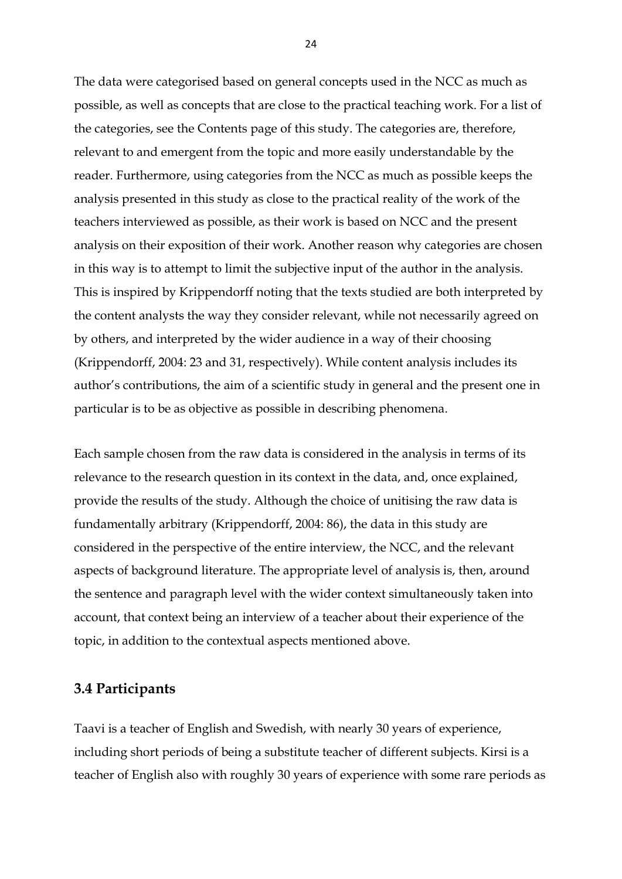The data were categorised based on general concepts used in the NCC as much as possible, as well as concepts that are close to the practical teaching work. For a list of the categories, see the Contents page of this study. The categories are, therefore, relevant to and emergent from the topic and more easily understandable by the reader. Furthermore, using categories from the NCC as much as possible keeps the analysis presented in this study as close to the practical reality of the work of the teachers interviewed as possible, as their work is based on NCC and the present analysis on their exposition of their work. Another reason why categories are chosen in this way is to attempt to limit the subjective input of the author in the analysis. This is inspired by Krippendorff noting that the texts studied are both interpreted by the content analysts the way they consider relevant, while not necessarily agreed on by others, and interpreted by the wider audience in a way of their choosing (Krippendorff, 2004: 23 and 31, respectively). While content analysis includes its author's contributions, the aim of a scientific study in general and the present one in particular is to be as objective as possible in describing phenomena.

Each sample chosen from the raw data is considered in the analysis in terms of its relevance to the research question in its context in the data, and, once explained, provide the results of the study. Although the choice of unitising the raw data is fundamentally arbitrary (Krippendorff, 2004: 86), the data in this study are considered in the perspective of the entire interview, the NCC, and the relevant aspects of background literature. The appropriate level of analysis is, then, around the sentence and paragraph level with the wider context simultaneously taken into account, that context being an interview of a teacher about their experience of the topic, in addition to the contextual aspects mentioned above.

### <span id="page-24-0"></span>**3.4 Participants**

Taavi is a teacher of English and Swedish, with nearly 30 years of experience, including short periods of being a substitute teacher of different subjects. Kirsi is a teacher of English also with roughly 30 years of experience with some rare periods as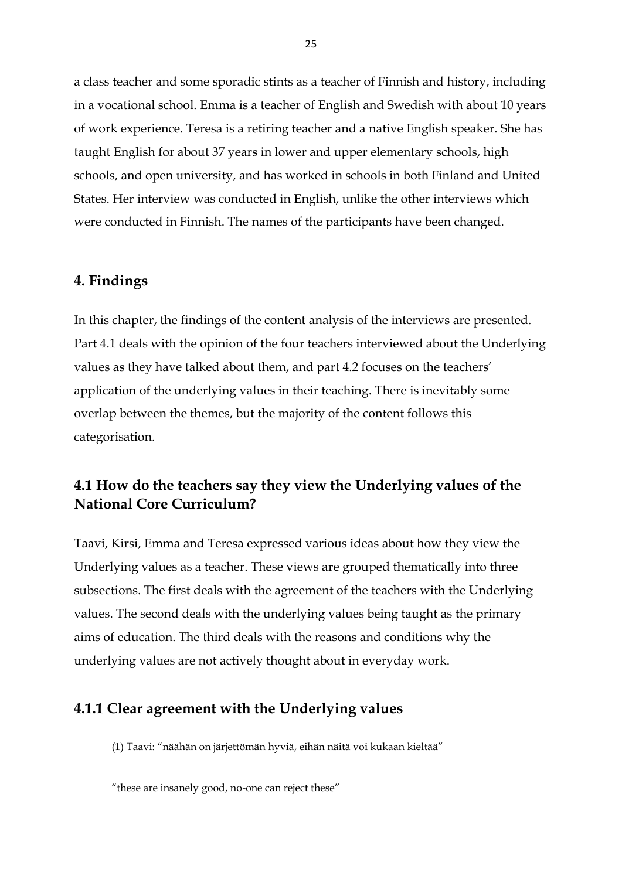a class teacher and some sporadic stints as a teacher of Finnish and history, including in a vocational school. Emma is a teacher of English and Swedish with about 10 years of work experience. Teresa is a retiring teacher and a native English speaker. She has taught English for about 37 years in lower and upper elementary schools, high schools, and open university, and has worked in schools in both Finland and United States. Her interview was conducted in English, unlike the other interviews which were conducted in Finnish. The names of the participants have been changed.

### <span id="page-25-0"></span>**4. Findings**

In this chapter, the findings of the content analysis of the interviews are presented. Part 4.1 deals with the opinion of the four teachers interviewed about the Underlying values as they have talked about them, and part 4.2 focuses on the teachers' application of the underlying values in their teaching. There is inevitably some overlap between the themes, but the majority of the content follows this categorisation.

# <span id="page-25-1"></span>**4.1 How do the teachers say they view the Underlying values of the National Core Curriculum?**

Taavi, Kirsi, Emma and Teresa expressed various ideas about how they view the Underlying values as a teacher. These views are grouped thematically into three subsections. The first deals with the agreement of the teachers with the Underlying values. The second deals with the underlying values being taught as the primary aims of education. The third deals with the reasons and conditions why the underlying values are not actively thought about in everyday work.

### <span id="page-25-2"></span>**4.1.1 Clear agreement with the Underlying values**

(1) Taavi: "näähän on järjettömän hyviä, eihän näitä voi kukaan kieltää"

<sup>&</sup>quot;these are insanely good, no-one can reject these"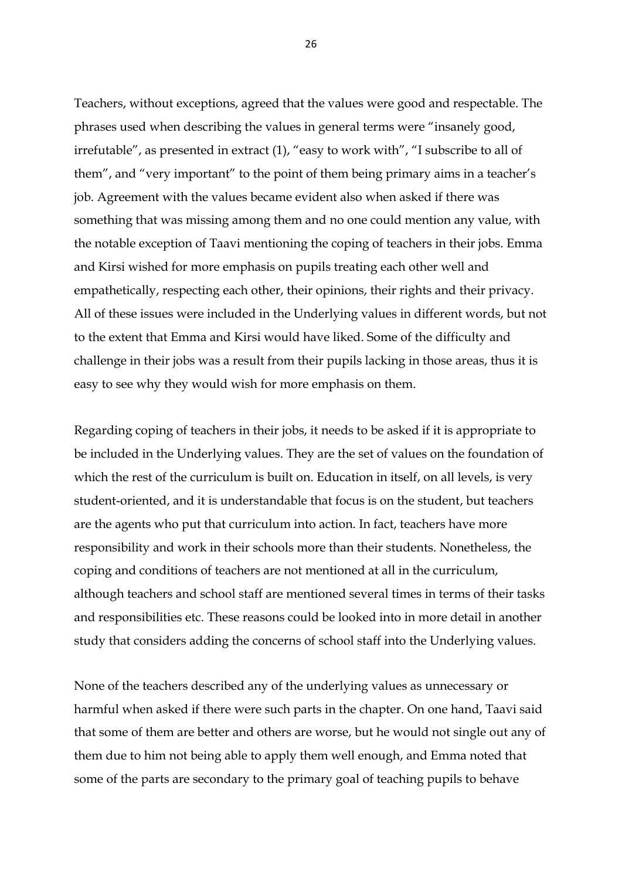Teachers, without exceptions, agreed that the values were good and respectable. The phrases used when describing the values in general terms were "insanely good, irrefutable", as presented in extract (1), "easy to work with", "I subscribe to all of them", and "very important" to the point of them being primary aims in a teacher's job. Agreement with the values became evident also when asked if there was something that was missing among them and no one could mention any value, with the notable exception of Taavi mentioning the coping of teachers in their jobs. Emma and Kirsi wished for more emphasis on pupils treating each other well and empathetically, respecting each other, their opinions, their rights and their privacy. All of these issues were included in the Underlying values in different words, but not to the extent that Emma and Kirsi would have liked. Some of the difficulty and challenge in their jobs was a result from their pupils lacking in those areas, thus it is easy to see why they would wish for more emphasis on them.

Regarding coping of teachers in their jobs, it needs to be asked if it is appropriate to be included in the Underlying values. They are the set of values on the foundation of which the rest of the curriculum is built on. Education in itself, on all levels, is very student-oriented, and it is understandable that focus is on the student, but teachers are the agents who put that curriculum into action. In fact, teachers have more responsibility and work in their schools more than their students. Nonetheless, the coping and conditions of teachers are not mentioned at all in the curriculum, although teachers and school staff are mentioned several times in terms of their tasks and responsibilities etc. These reasons could be looked into in more detail in another study that considers adding the concerns of school staff into the Underlying values.

None of the teachers described any of the underlying values as unnecessary or harmful when asked if there were such parts in the chapter. On one hand, Taavi said that some of them are better and others are worse, but he would not single out any of them due to him not being able to apply them well enough, and Emma noted that some of the parts are secondary to the primary goal of teaching pupils to behave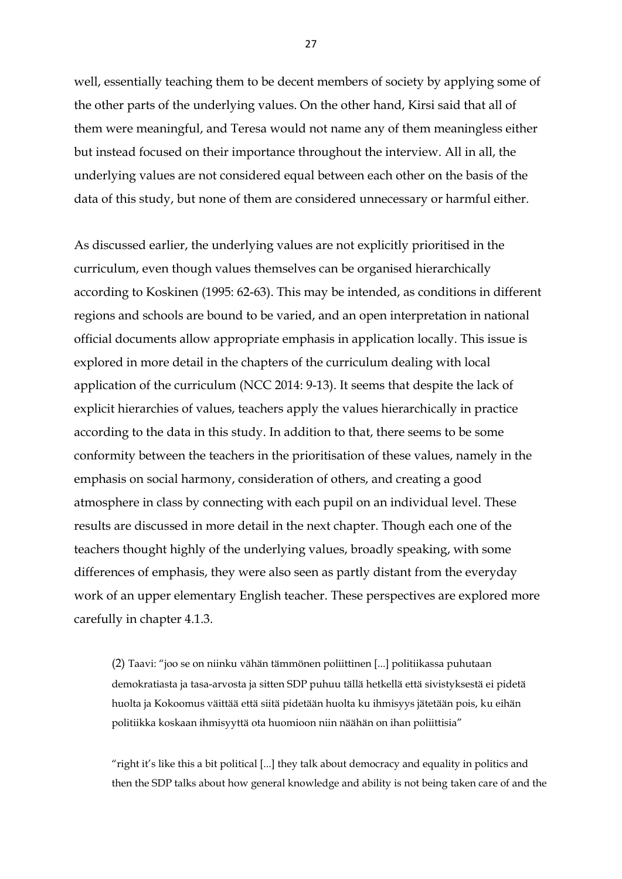well, essentially teaching them to be decent members of society by applying some of the other parts of the underlying values. On the other hand, Kirsi said that all of them were meaningful, and Teresa would not name any of them meaningless either but instead focused on their importance throughout the interview. All in all, the underlying values are not considered equal between each other on the basis of the data of this study, but none of them are considered unnecessary or harmful either.

As discussed earlier, the underlying values are not explicitly prioritised in the curriculum, even though values themselves can be organised hierarchically according to Koskinen (1995: 62-63). This may be intended, as conditions in different regions and schools are bound to be varied, and an open interpretation in national official documents allow appropriate emphasis in application locally. This issue is explored in more detail in the chapters of the curriculum dealing with local application of the curriculum (NCC 2014: 9-13). It seems that despite the lack of explicit hierarchies of values, teachers apply the values hierarchically in practice according to the data in this study. In addition to that, there seems to be some conformity between the teachers in the prioritisation of these values, namely in the emphasis on social harmony, consideration of others, and creating a good atmosphere in class by connecting with each pupil on an individual level. These results are discussed in more detail in the next chapter. Though each one of the teachers thought highly of the underlying values, broadly speaking, with some differences of emphasis, they were also seen as partly distant from the everyday work of an upper elementary English teacher. These perspectives are explored more carefully in chapter 4.1.3.

(2) Taavi: "joo se on niinku vähän tämmönen poliittinen [...] politiikassa puhutaan demokratiasta ja tasa-arvosta ja sitten SDP puhuu tällä hetkellä että sivistyksestä ei pidetä huolta ja Kokoomus väittää että siitä pidetään huolta ku ihmisyys jätetään pois, ku eihän politiikka koskaan ihmisyyttä ota huomioon niin näähän on ihan poliittisia"

"right it's like this a bit political [...] they talk about democracy and equality in politics and then the SDP talks about how general knowledge and ability is not being taken care of and the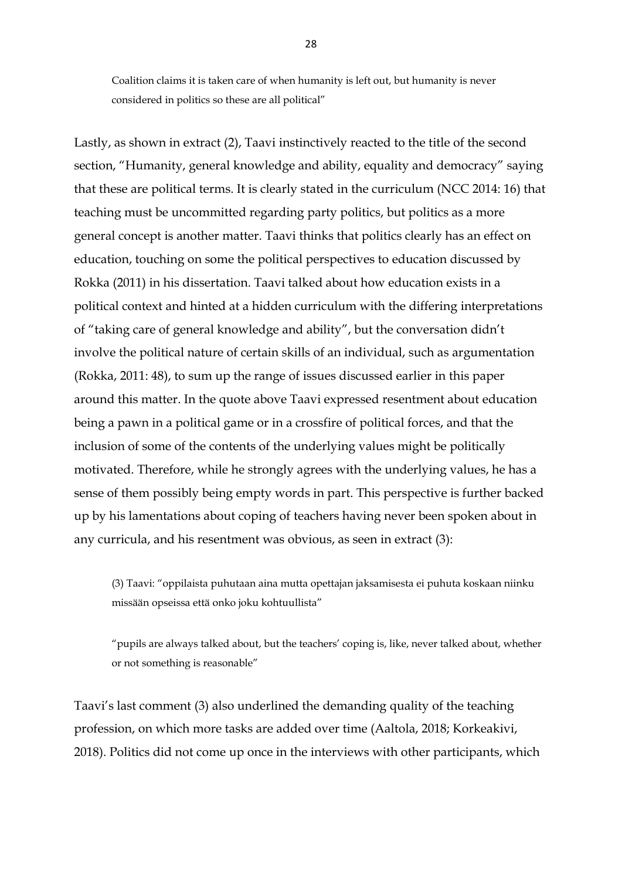Coalition claims it is taken care of when humanity is left out, but humanity is never considered in politics so these are all political"

Lastly, as shown in extract (2), Taavi instinctively reacted to the title of the second section, "Humanity, general knowledge and ability, equality and democracy" saying that these are political terms. It is clearly stated in the curriculum (NCC 2014: 16) that teaching must be uncommitted regarding party politics, but politics as a more general concept is another matter. Taavi thinks that politics clearly has an effect on education, touching on some the political perspectives to education discussed by Rokka (2011) in his dissertation. Taavi talked about how education exists in a political context and hinted at a hidden curriculum with the differing interpretations of "taking care of general knowledge and ability", but the conversation didn't involve the political nature of certain skills of an individual, such as argumentation (Rokka, 2011: 48), to sum up the range of issues discussed earlier in this paper around this matter. In the quote above Taavi expressed resentment about education being a pawn in a political game or in a crossfire of political forces, and that the inclusion of some of the contents of the underlying values might be politically motivated. Therefore, while he strongly agrees with the underlying values, he has a sense of them possibly being empty words in part. This perspective is further backed up by his lamentations about coping of teachers having never been spoken about in any curricula, and his resentment was obvious, as seen in extract (3):

(3) Taavi: "oppilaista puhutaan aina mutta opettajan jaksamisesta ei puhuta koskaan niinku missään opseissa että onko joku kohtuullista"

"pupils are always talked about, but the teachers' coping is, like, never talked about, whether or not something is reasonable"

Taavi's last comment (3) also underlined the demanding quality of the teaching profession, on which more tasks are added over time (Aaltola, 2018; Korkeakivi, 2018). Politics did not come up once in the interviews with other participants, which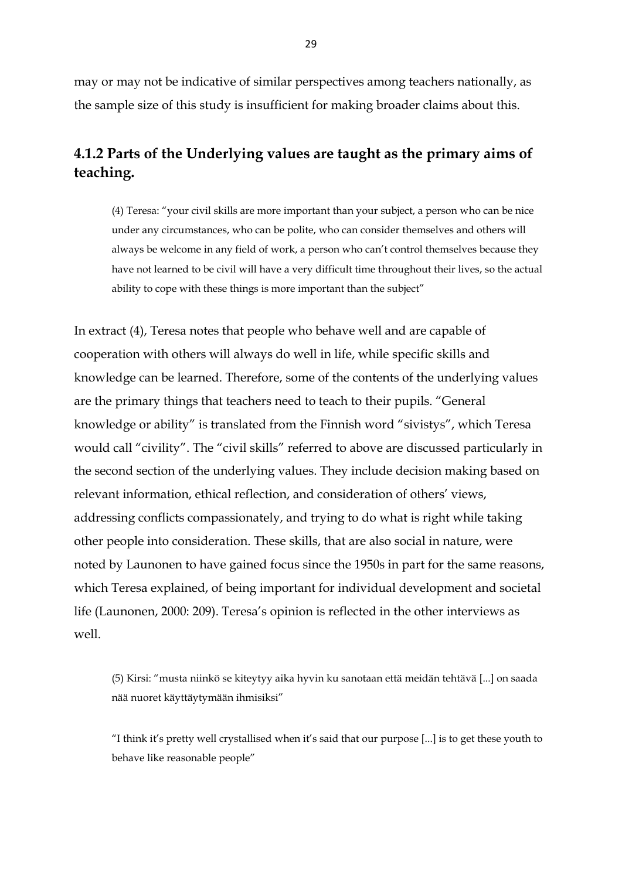may or may not be indicative of similar perspectives among teachers nationally, as the sample size of this study is insufficient for making broader claims about this.

# <span id="page-29-0"></span>**4.1.2 Parts of the Underlying values are taught as the primary aims of teaching.**

(4) Teresa: "your civil skills are more important than your subject, a person who can be nice under any circumstances, who can be polite, who can consider themselves and others will always be welcome in any field of work, a person who can't control themselves because they have not learned to be civil will have a very difficult time throughout their lives, so the actual ability to cope with these things is more important than the subject"

In extract (4), Teresa notes that people who behave well and are capable of cooperation with others will always do well in life, while specific skills and knowledge can be learned. Therefore, some of the contents of the underlying values are the primary things that teachers need to teach to their pupils. "General knowledge or ability" is translated from the Finnish word "sivistys", which Teresa would call "civility". The "civil skills" referred to above are discussed particularly in the second section of the underlying values. They include decision making based on relevant information, ethical reflection, and consideration of others' views, addressing conflicts compassionately, and trying to do what is right while taking other people into consideration. These skills, that are also social in nature, were noted by Launonen to have gained focus since the 1950s in part for the same reasons, which Teresa explained, of being important for individual development and societal life (Launonen, 2000: 209). Teresa's opinion is reflected in the other interviews as well.

(5) Kirsi: "musta niinkö se kiteytyy aika hyvin ku sanotaan että meidän tehtävä [...] on saada nää nuoret käyttäytymään ihmisiksi"

"I think it's pretty well crystallised when it's said that our purpose [...] is to get these youth to behave like reasonable people"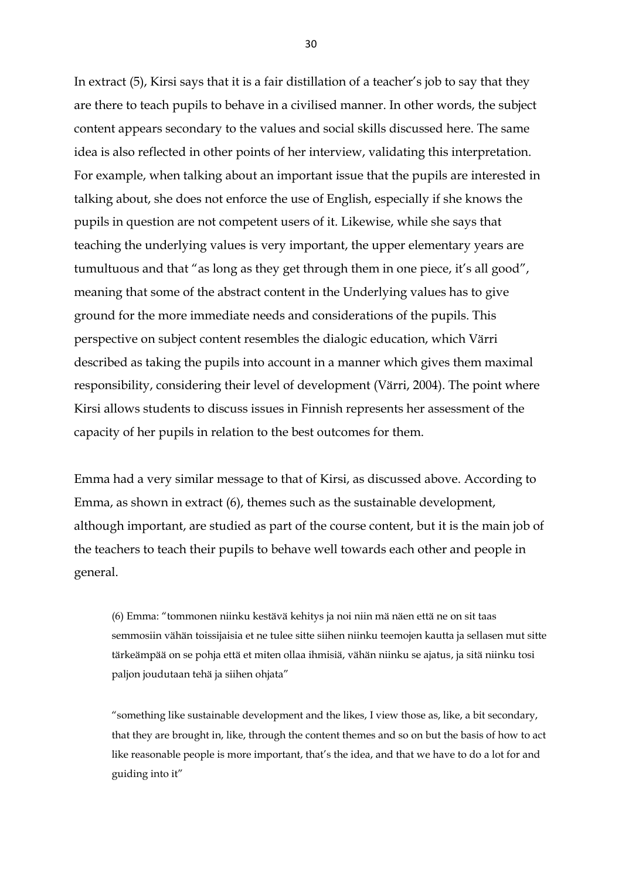In extract (5), Kirsi says that it is a fair distillation of a teacher's job to say that they are there to teach pupils to behave in a civilised manner. In other words, the subject content appears secondary to the values and social skills discussed here. The same idea is also reflected in other points of her interview, validating this interpretation. For example, when talking about an important issue that the pupils are interested in talking about, she does not enforce the use of English, especially if she knows the pupils in question are not competent users of it. Likewise, while she says that teaching the underlying values is very important, the upper elementary years are tumultuous and that "as long as they get through them in one piece, it's all good", meaning that some of the abstract content in the Underlying values has to give ground for the more immediate needs and considerations of the pupils. This perspective on subject content resembles the dialogic education, which Värri described as taking the pupils into account in a manner which gives them maximal responsibility, considering their level of development (Värri, 2004). The point where Kirsi allows students to discuss issues in Finnish represents her assessment of the capacity of her pupils in relation to the best outcomes for them.

Emma had a very similar message to that of Kirsi, as discussed above. According to Emma, as shown in extract (6), themes such as the sustainable development, although important, are studied as part of the course content, but it is the main job of the teachers to teach their pupils to behave well towards each other and people in general.

(6) Emma: "tommonen niinku kestävä kehitys ja noi niin mä näen että ne on sit taas semmosiin vähän toissijaisia et ne tulee sitte siihen niinku teemojen kautta ja sellasen mut sitte tärkeämpää on se pohja että et miten ollaa ihmisiä, vähän niinku se ajatus, ja sitä niinku tosi paljon joudutaan tehä ja siihen ohjata"

"something like sustainable development and the likes, I view those as, like, a bit secondary, that they are brought in, like, through the content themes and so on but the basis of how to act like reasonable people is more important, that's the idea, and that we have to do a lot for and guiding into it"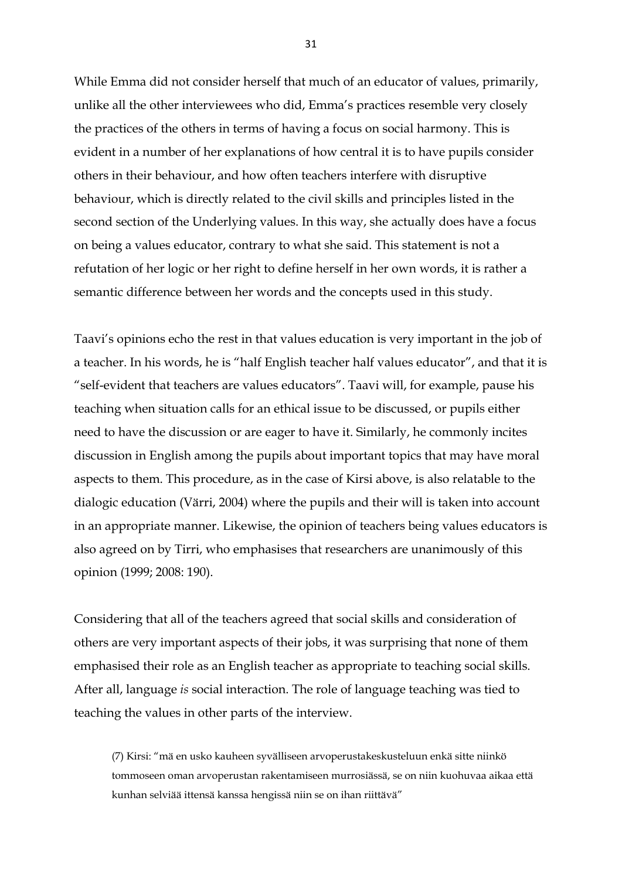While Emma did not consider herself that much of an educator of values, primarily, unlike all the other interviewees who did, Emma's practices resemble very closely the practices of the others in terms of having a focus on social harmony. This is evident in a number of her explanations of how central it is to have pupils consider others in their behaviour, and how often teachers interfere with disruptive behaviour, which is directly related to the civil skills and principles listed in the second section of the Underlying values. In this way, she actually does have a focus on being a values educator, contrary to what she said. This statement is not a refutation of her logic or her right to define herself in her own words, it is rather a semantic difference between her words and the concepts used in this study.

Taavi's opinions echo the rest in that values education is very important in the job of a teacher. In his words, he is "half English teacher half values educator", and that it is "self-evident that teachers are values educators". Taavi will, for example, pause his teaching when situation calls for an ethical issue to be discussed, or pupils either need to have the discussion or are eager to have it. Similarly, he commonly incites discussion in English among the pupils about important topics that may have moral aspects to them. This procedure, as in the case of Kirsi above, is also relatable to the dialogic education (Värri, 2004) where the pupils and their will is taken into account in an appropriate manner. Likewise, the opinion of teachers being values educators is also agreed on by Tirri, who emphasises that researchers are unanimously of this opinion (1999; 2008: 190).

Considering that all of the teachers agreed that social skills and consideration of others are very important aspects of their jobs, it was surprising that none of them emphasised their role as an English teacher as appropriate to teaching social skills. After all, language *is* social interaction. The role of language teaching was tied to teaching the values in other parts of the interview.

(7) Kirsi: "mä en usko kauheen syvälliseen arvoperustakeskusteluun enkä sitte niinkö tommoseen oman arvoperustan rakentamiseen murrosiässä, se on niin kuohuvaa aikaa että kunhan selviää ittensä kanssa hengissä niin se on ihan riittävä"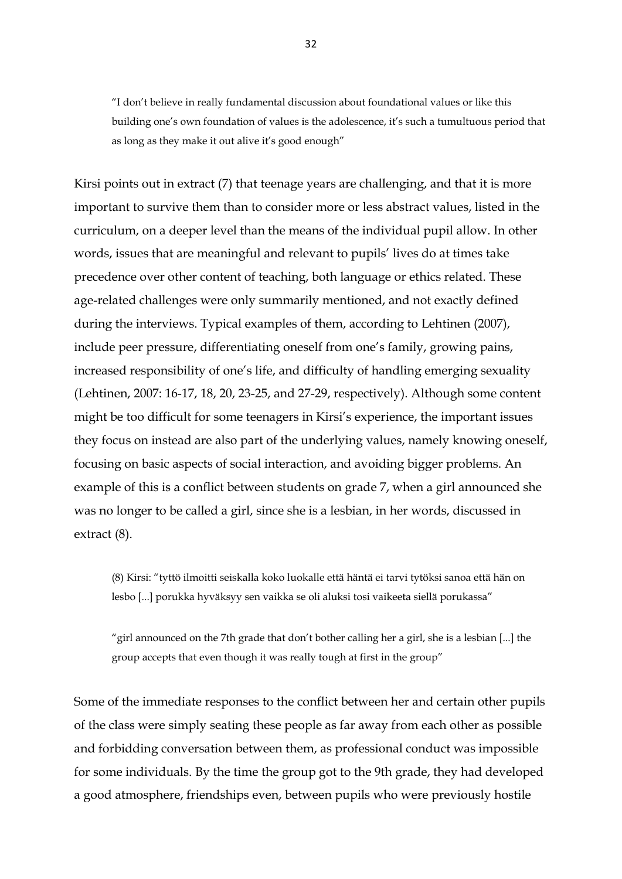"I don't believe in really fundamental discussion about foundational values or like this building one's own foundation of values is the adolescence, it's such a tumultuous period that as long as they make it out alive it's good enough"

Kirsi points out in extract (7) that teenage years are challenging, and that it is more important to survive them than to consider more or less abstract values, listed in the curriculum, on a deeper level than the means of the individual pupil allow. In other words, issues that are meaningful and relevant to pupils' lives do at times take precedence over other content of teaching, both language or ethics related. These age-related challenges were only summarily mentioned, and not exactly defined during the interviews. Typical examples of them, according to Lehtinen (2007), include peer pressure, differentiating oneself from one's family, growing pains, increased responsibility of one's life, and difficulty of handling emerging sexuality (Lehtinen, 2007: 16-17, 18, 20, 23-25, and 27-29, respectively). Although some content might be too difficult for some teenagers in Kirsi's experience, the important issues they focus on instead are also part of the underlying values, namely knowing oneself, focusing on basic aspects of social interaction, and avoiding bigger problems. An example of this is a conflict between students on grade 7, when a girl announced she was no longer to be called a girl, since she is a lesbian, in her words, discussed in extract (8).

(8) Kirsi: "tyttö ilmoitti seiskalla koko luokalle että häntä ei tarvi tytöksi sanoa että hän on lesbo [...] porukka hyväksyy sen vaikka se oli aluksi tosi vaikeeta siellä porukassa"

"girl announced on the 7th grade that don't bother calling her a girl, she is a lesbian [...] the group accepts that even though it was really tough at first in the group"

Some of the immediate responses to the conflict between her and certain other pupils of the class were simply seating these people as far away from each other as possible and forbidding conversation between them, as professional conduct was impossible for some individuals. By the time the group got to the 9th grade, they had developed a good atmosphere, friendships even, between pupils who were previously hostile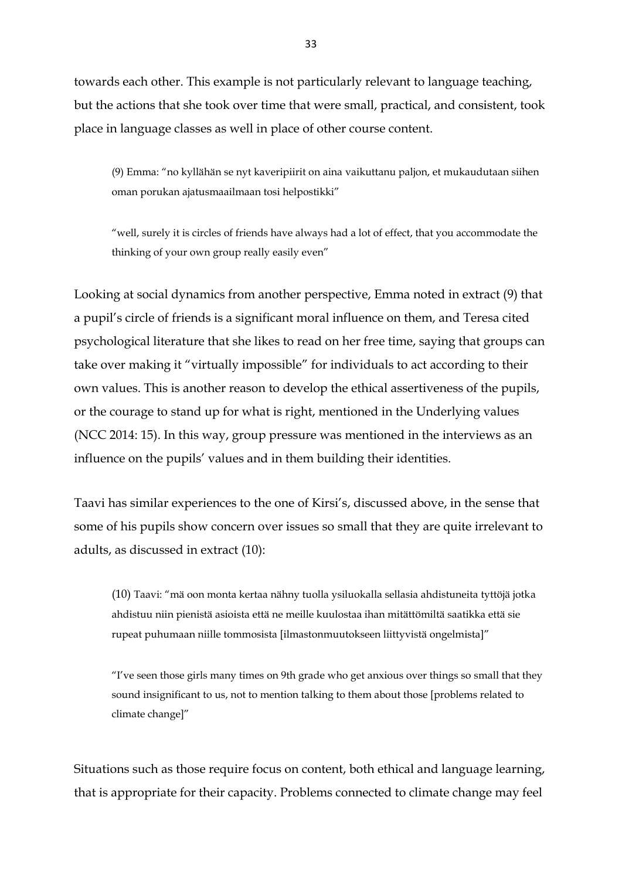towards each other. This example is not particularly relevant to language teaching, but the actions that she took over time that were small, practical, and consistent, took place in language classes as well in place of other course content.

(9) Emma: "no kyllähän se nyt kaveripiirit on aina vaikuttanu paljon, et mukaudutaan siihen oman porukan ajatusmaailmaan tosi helpostikki"

"well, surely it is circles of friends have always had a lot of effect, that you accommodate the thinking of your own group really easily even"

Looking at social dynamics from another perspective, Emma noted in extract (9) that a pupil's circle of friends is a significant moral influence on them, and Teresa cited psychological literature that she likes to read on her free time, saying that groups can take over making it "virtually impossible" for individuals to act according to their own values. This is another reason to develop the ethical assertiveness of the pupils, or the courage to stand up for what is right, mentioned in the Underlying values (NCC 2014: 15). In this way, group pressure was mentioned in the interviews as an influence on the pupils' values and in them building their identities.

Taavi has similar experiences to the one of Kirsi's, discussed above, in the sense that some of his pupils show concern over issues so small that they are quite irrelevant to adults, as discussed in extract (10):

(10) Taavi: "mä oon monta kertaa nähny tuolla ysiluokalla sellasia ahdistuneita tyttöjä jotka ahdistuu niin pienistä asioista että ne meille kuulostaa ihan mitättömiltä saatikka että sie rupeat puhumaan niille tommosista [ilmastonmuutokseen liittyvistä ongelmista]"

"I've seen those girls many times on 9th grade who get anxious over things so small that they sound insignificant to us, not to mention talking to them about those [problems related to climate change]"

Situations such as those require focus on content, both ethical and language learning, that is appropriate for their capacity. Problems connected to climate change may feel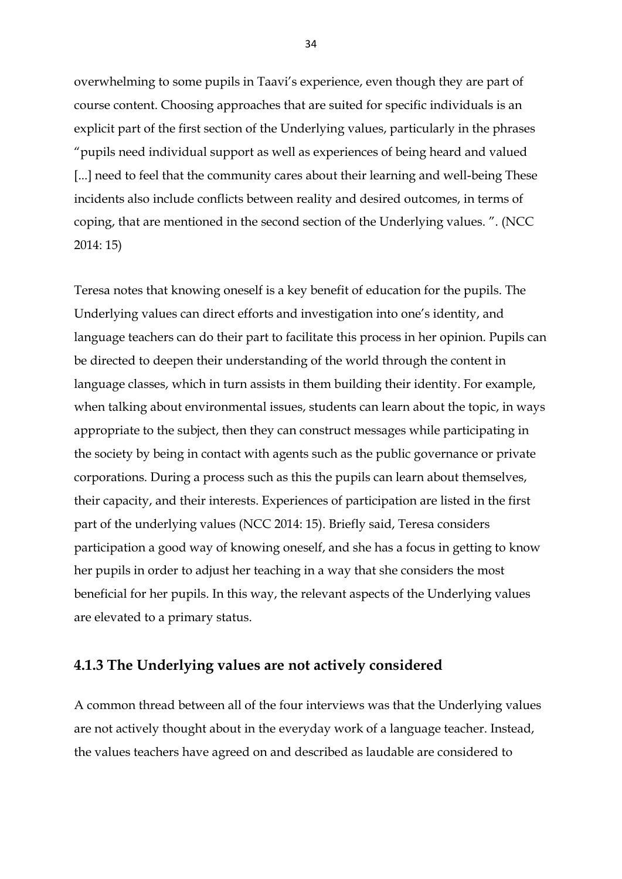overwhelming to some pupils in Taavi's experience, even though they are part of course content. Choosing approaches that are suited for specific individuals is an explicit part of the first section of the Underlying values, particularly in the phrases "pupils need individual support as well as experiences of being heard and valued [...] need to feel that the community cares about their learning and well-being These incidents also include conflicts between reality and desired outcomes, in terms of coping, that are mentioned in the second section of the Underlying values. ". (NCC 2014: 15)

Teresa notes that knowing oneself is a key benefit of education for the pupils. The Underlying values can direct efforts and investigation into one's identity, and language teachers can do their part to facilitate this process in her opinion. Pupils can be directed to deepen their understanding of the world through the content in language classes, which in turn assists in them building their identity. For example, when talking about environmental issues, students can learn about the topic, in ways appropriate to the subject, then they can construct messages while participating in the society by being in contact with agents such as the public governance or private corporations. During a process such as this the pupils can learn about themselves, their capacity, and their interests. Experiences of participation are listed in the first part of the underlying values (NCC 2014: 15). Briefly said, Teresa considers participation a good way of knowing oneself, and she has a focus in getting to know her pupils in order to adjust her teaching in a way that she considers the most beneficial for her pupils. In this way, the relevant aspects of the Underlying values are elevated to a primary status.

### <span id="page-34-0"></span>**4.1.3 The Underlying values are not actively considered**

A common thread between all of the four interviews was that the Underlying values are not actively thought about in the everyday work of a language teacher. Instead, the values teachers have agreed on and described as laudable are considered to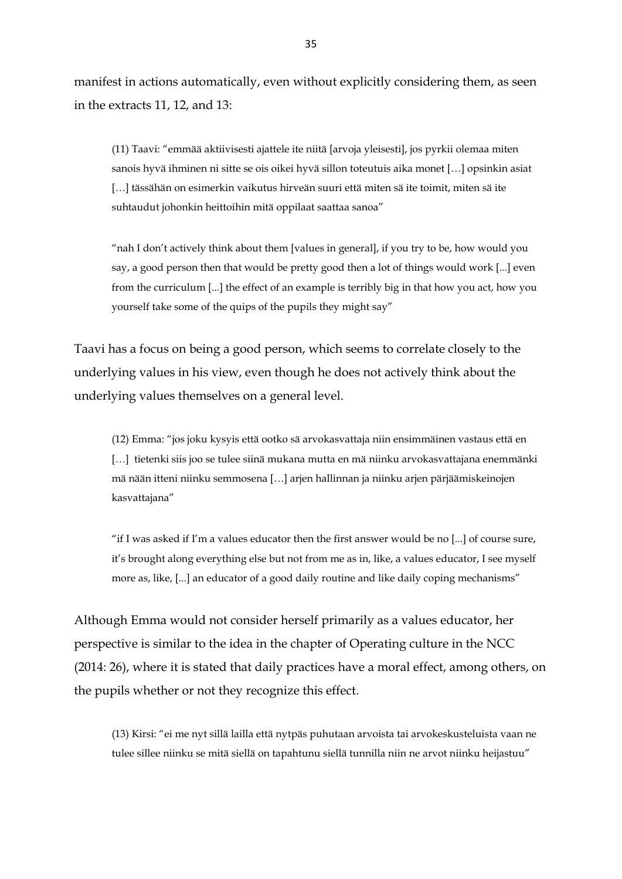manifest in actions automatically, even without explicitly considering them, as seen in the extracts 11, 12, and 13:

(11) Taavi: "emmää aktiivisesti ajattele ite niitä [arvoja yleisesti], jos pyrkii olemaa miten sanois hyvä ihminen ni sitte se ois oikei hyvä sillon toteutuis aika monet […] opsinkin asiat [...] tässähän on esimerkin vaikutus hirveän suuri että miten sä ite toimit, miten sä ite suhtaudut johonkin heittoihin mitä oppilaat saattaa sanoa"

"nah I don't actively think about them [values in general], if you try to be, how would you say, a good person then that would be pretty good then a lot of things would work [...] even from the curriculum [...] the effect of an example is terribly big in that how you act, how you yourself take some of the quips of the pupils they might say"

Taavi has a focus on being a good person, which seems to correlate closely to the underlying values in his view, even though he does not actively think about the underlying values themselves on a general level.

(12) Emma: "jos joku kysyis että ootko sä arvokasvattaja niin ensimmäinen vastaus että en [...] tietenki siis joo se tulee siinä mukana mutta en mä niinku arvokasvattajana enemmänki mä nään itteni niinku semmosena […] arjen hallinnan ja niinku arjen pärjäämiskeinojen kasvattajana"

"if I was asked if I'm a values educator then the first answer would be no  $[...]$  of course sure, it's brought along everything else but not from me as in, like, a values educator, I see myself more as, like, [...] an educator of a good daily routine and like daily coping mechanisms"

Although Emma would not consider herself primarily as a values educator, her perspective is similar to the idea in the chapter of Operating culture in the NCC (2014: 26), where it is stated that daily practices have a moral effect, among others, on the pupils whether or not they recognize this effect.

(13) Kirsi: "ei me nyt sillä lailla että nytpäs puhutaan arvoista tai arvokeskusteluista vaan ne tulee sillee niinku se mitä siellä on tapahtunu siellä tunnilla niin ne arvot niinku heijastuu"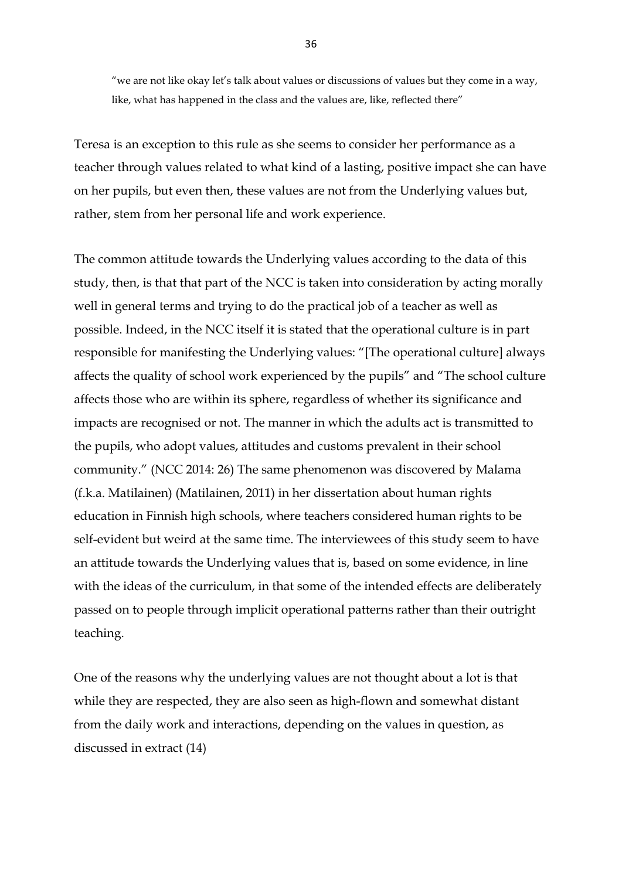"we are not like okay let's talk about values or discussions of values but they come in a way, like, what has happened in the class and the values are, like, reflected there"

Teresa is an exception to this rule as she seems to consider her performance as a teacher through values related to what kind of a lasting, positive impact she can have on her pupils, but even then, these values are not from the Underlying values but, rather, stem from her personal life and work experience.

The common attitude towards the Underlying values according to the data of this study, then, is that that part of the NCC is taken into consideration by acting morally well in general terms and trying to do the practical job of a teacher as well as possible. Indeed, in the NCC itself it is stated that the operational culture is in part responsible for manifesting the Underlying values: "[The operational culture] always affects the quality of school work experienced by the pupils" and "The school culture affects those who are within its sphere, regardless of whether its significance and impacts are recognised or not. The manner in which the adults act is transmitted to the pupils, who adopt values, attitudes and customs prevalent in their school community." (NCC 2014: 26) The same phenomenon was discovered by Malama (f.k.a. Matilainen) (Matilainen, 2011) in her dissertation about human rights education in Finnish high schools, where teachers considered human rights to be self-evident but weird at the same time. The interviewees of this study seem to have an attitude towards the Underlying values that is, based on some evidence, in line with the ideas of the curriculum, in that some of the intended effects are deliberately passed on to people through implicit operational patterns rather than their outright teaching.

One of the reasons why the underlying values are not thought about a lot is that while they are respected, they are also seen as high-flown and somewhat distant from the daily work and interactions, depending on the values in question, as discussed in extract (14)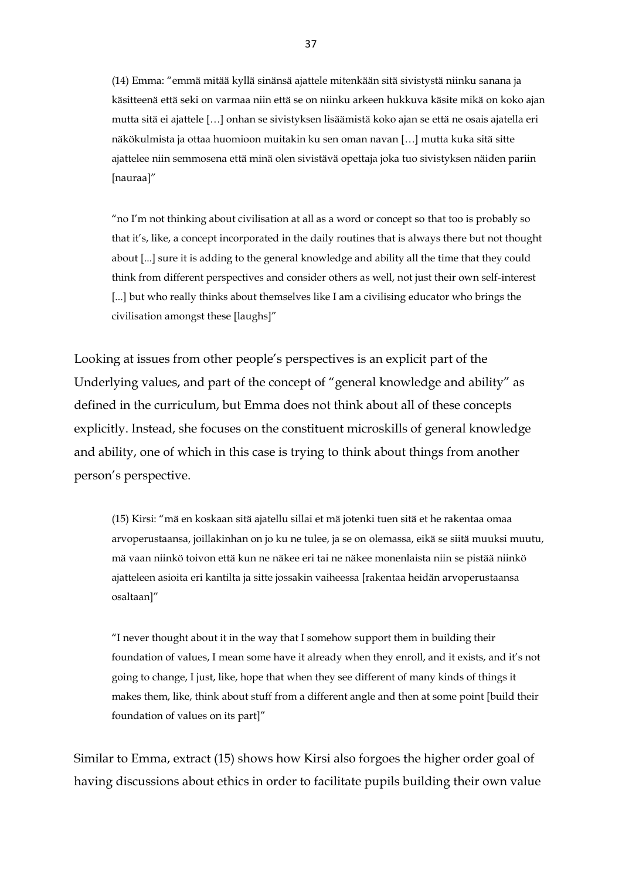(14) Emma: "emmä mitää kyllä sinänsä ajattele mitenkään sitä sivistystä niinku sanana ja käsitteenä että seki on varmaa niin että se on niinku arkeen hukkuva käsite mikä on koko ajan mutta sitä ei ajattele […] onhan se sivistyksen lisäämistä koko ajan se että ne osais ajatella eri näkökulmista ja ottaa huomioon muitakin ku sen oman navan […] mutta kuka sitä sitte ajattelee niin semmosena että minä olen sivistävä opettaja joka tuo sivistyksen näiden pariin [nauraa]"

"no I'm not thinking about civilisation at all as a word or concept so that too is probably so that it's, like, a concept incorporated in the daily routines that is always there but not thought about [...] sure it is adding to the general knowledge and ability all the time that they could think from different perspectives and consider others as well, not just their own self-interest [...] but who really thinks about themselves like I am a civilising educator who brings the civilisation amongst these [laughs]"

Looking at issues from other people's perspectives is an explicit part of the Underlying values, and part of the concept of "general knowledge and ability" as defined in the curriculum, but Emma does not think about all of these concepts explicitly. Instead, she focuses on the constituent microskills of general knowledge and ability, one of which in this case is trying to think about things from another person's perspective.

(15) Kirsi: "mä en koskaan sitä ajatellu sillai et mä jotenki tuen sitä et he rakentaa omaa arvoperustaansa, joillakinhan on jo ku ne tulee, ja se on olemassa, eikä se siitä muuksi muutu, mä vaan niinkö toivon että kun ne näkee eri tai ne näkee monenlaista niin se pistää niinkö ajatteleen asioita eri kantilta ja sitte jossakin vaiheessa [rakentaa heidän arvoperustaansa osaltaan]"

"I never thought about it in the way that I somehow support them in building their foundation of values, I mean some have it already when they enroll, and it exists, and it's not going to change, I just, like, hope that when they see different of many kinds of things it makes them, like, think about stuff from a different angle and then at some point [build their foundation of values on its part]"

Similar to Emma, extract (15) shows how Kirsi also forgoes the higher order goal of having discussions about ethics in order to facilitate pupils building their own value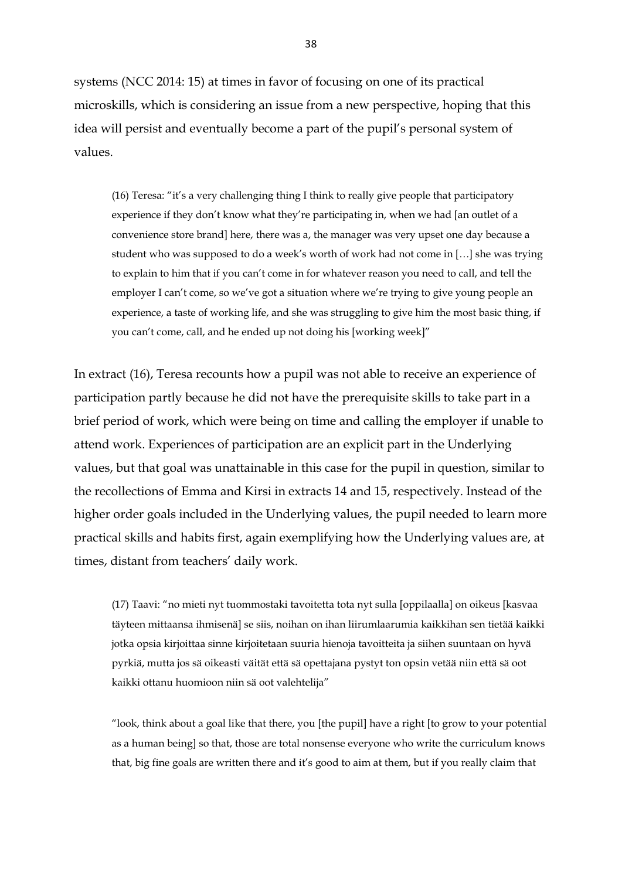systems (NCC 2014: 15) at times in favor of focusing on one of its practical microskills, which is considering an issue from a new perspective, hoping that this idea will persist and eventually become a part of the pupil's personal system of values.

(16) Teresa: "it's a very challenging thing I think to really give people that participatory experience if they don't know what they're participating in, when we had [an outlet of a convenience store brand] here, there was a, the manager was very upset one day because a student who was supposed to do a week's worth of work had not come in […] she was trying to explain to him that if you can't come in for whatever reason you need to call, and tell the employer I can't come, so we've got a situation where we're trying to give young people an experience, a taste of working life, and she was struggling to give him the most basic thing, if you can't come, call, and he ended up not doing his [working week]"

In extract (16), Teresa recounts how a pupil was not able to receive an experience of participation partly because he did not have the prerequisite skills to take part in a brief period of work, which were being on time and calling the employer if unable to attend work. Experiences of participation are an explicit part in the Underlying values, but that goal was unattainable in this case for the pupil in question, similar to the recollections of Emma and Kirsi in extracts 14 and 15, respectively. Instead of the higher order goals included in the Underlying values, the pupil needed to learn more practical skills and habits first, again exemplifying how the Underlying values are, at times, distant from teachers' daily work.

(17) Taavi: "no mieti nyt tuommostaki tavoitetta tota nyt sulla [oppilaalla] on oikeus [kasvaa täyteen mittaansa ihmisenä] se siis, noihan on ihan liirumlaarumia kaikkihan sen tietää kaikki jotka opsia kirjoittaa sinne kirjoitetaan suuria hienoja tavoitteita ja siihen suuntaan on hyvä pyrkiä, mutta jos sä oikeasti väität että sä opettajana pystyt ton opsin vetää niin että sä oot kaikki ottanu huomioon niin sä oot valehtelija"

"look, think about a goal like that there, you [the pupil] have a right [to grow to your potential as a human being] so that, those are total nonsense everyone who write the curriculum knows that, big fine goals are written there and it's good to aim at them, but if you really claim that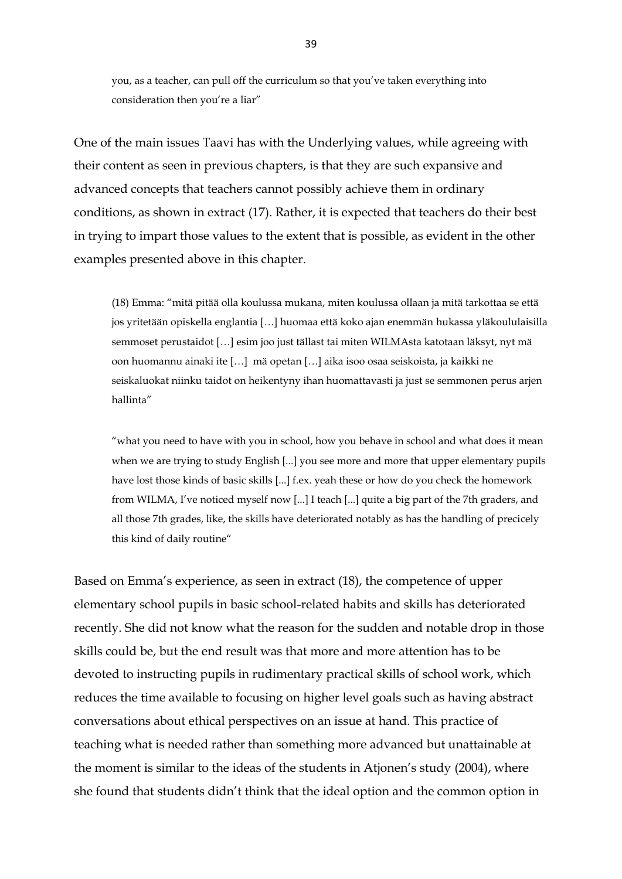you, as a teacher, can pull off the curriculum so that you've taken everything into consideration then you're a liar"

One of the main issues Taavi has with the Underlying values, while agreeing with their content as seen in previous chapters, is that they are such expansive and advanced concepts that teachers cannot possibly achieve them in ordinary conditions, as shown in extract (17). Rather, it is expected that teachers do their best in trying to impart those values to the extent that is possible, as evident in the other examples presented above in this chapter.

(18) Emma: "mitä pitää olla koulussa mukana, miten koulussa ollaan ja mitä tarkottaa se että jos yritetään opiskella englantia […] huomaa että koko ajan enemmän hukassa yläkoululaisilla semmoset perustaidot […] esim joo just tällast tai miten WILMAsta katotaan läksyt, nyt mä oon huomannu ainaki ite […] mä opetan […] aika isoo osaa seiskoista, ja kaikki ne seiskaluokat niinku taidot on heikentyny ihan huomattavasti ja just se semmonen perus arjen hallinta"

"what you need to have with you in school, how you behave in school and what does it mean when we are trying to study English [...] you see more and more that upper elementary pupils have lost those kinds of basic skills [...] f.ex. yeah these or how do you check the homework from WILMA, I've noticed myself now [...] I teach [...] quite a big part of the 7th graders, and all those 7th grades, like, the skills have deteriorated notably as has the handling of precicely this kind of daily routine"

Based on Emma's experience, as seen in extract (18), the competence of upper elementary school pupils in basic school-related habits and skills has deteriorated recently. She did not know what the reason for the sudden and notable drop in those skills could be, but the end result was that more and more attention has to be devoted to instructing pupils in rudimentary practical skills of school work, which reduces the time available to focusing on higher level goals such as having abstract conversations about ethical perspectives on an issue at hand. This practice of teaching what is needed rather than something more advanced but unattainable at the moment is similar to the ideas of the students in Atjonen's study (2004), where she found that students didn't think that the ideal option and the common option in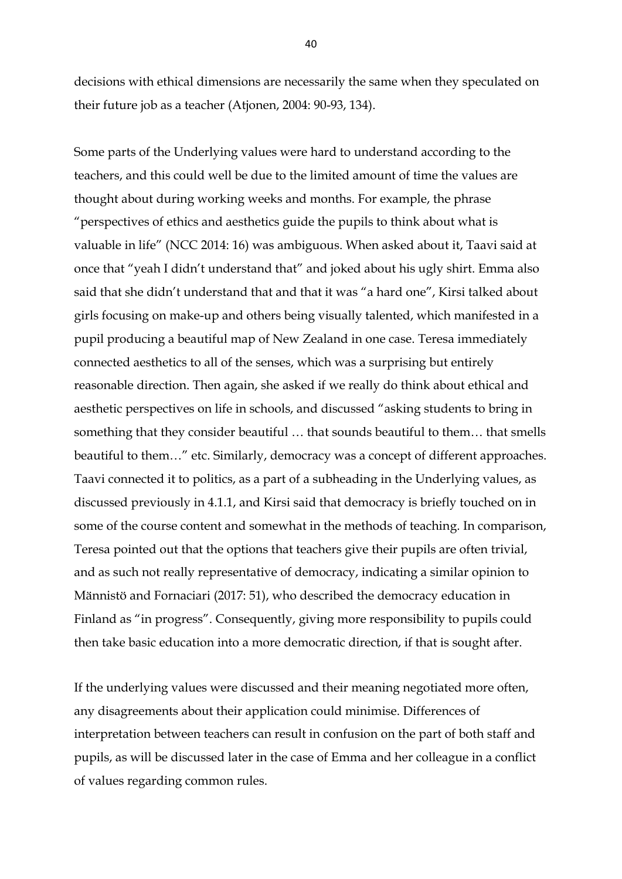decisions with ethical dimensions are necessarily the same when they speculated on their future job as a teacher (Atjonen, 2004: 90-93, 134).

Some parts of the Underlying values were hard to understand according to the teachers, and this could well be due to the limited amount of time the values are thought about during working weeks and months. For example, the phrase "perspectives of ethics and aesthetics guide the pupils to think about what is valuable in life" (NCC 2014: 16) was ambiguous. When asked about it, Taavi said at once that "yeah I didn't understand that" and joked about his ugly shirt. Emma also said that she didn't understand that and that it was "a hard one", Kirsi talked about girls focusing on make-up and others being visually talented, which manifested in a pupil producing a beautiful map of New Zealand in one case. Teresa immediately connected aesthetics to all of the senses, which was a surprising but entirely reasonable direction. Then again, she asked if we really do think about ethical and aesthetic perspectives on life in schools, and discussed "asking students to bring in something that they consider beautiful … that sounds beautiful to them… that smells beautiful to them…" etc. Similarly, democracy was a concept of different approaches. Taavi connected it to politics, as a part of a subheading in the Underlying values, as discussed previously in 4.1.1, and Kirsi said that democracy is briefly touched on in some of the course content and somewhat in the methods of teaching. In comparison, Teresa pointed out that the options that teachers give their pupils are often trivial, and as such not really representative of democracy, indicating a similar opinion to Männistö and Fornaciari (2017: 51), who described the democracy education in Finland as "in progress". Consequently, giving more responsibility to pupils could then take basic education into a more democratic direction, if that is sought after.

If the underlying values were discussed and their meaning negotiated more often, any disagreements about their application could minimise. Differences of interpretation between teachers can result in confusion on the part of both staff and pupils, as will be discussed later in the case of Emma and her colleague in a conflict of values regarding common rules.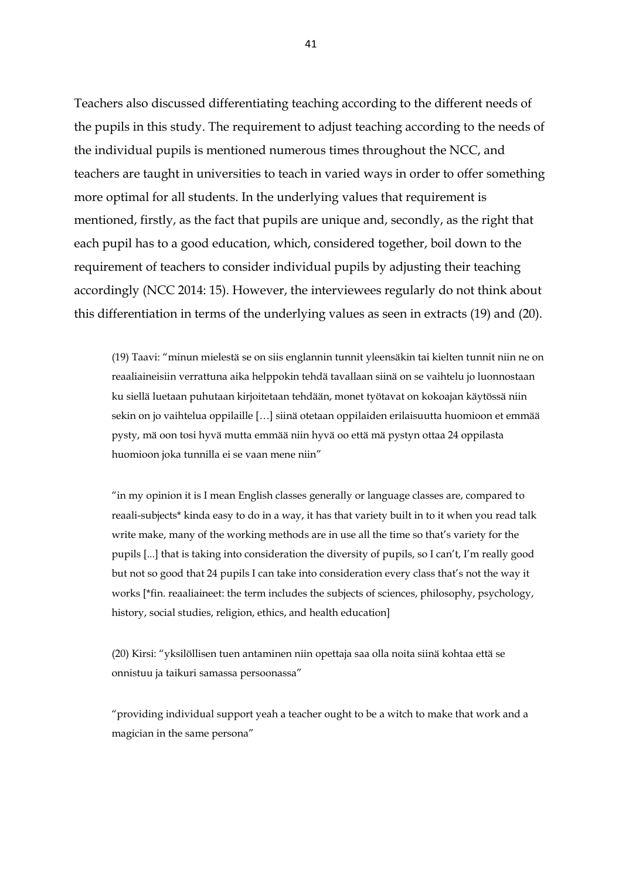Teachers also discussed differentiating teaching according to the different needs of the pupils in this study. The requirement to adjust teaching according to the needs of the individual pupils is mentioned numerous times throughout the NCC, and teachers are taught in universities to teach in varied ways in order to offer something more optimal for all students. In the underlying values that requirement is mentioned, firstly, as the fact that pupils are unique and, secondly, as the right that each pupil has to a good education, which, considered together, boil down to the requirement of teachers to consider individual pupils by adjusting their teaching accordingly (NCC 2014: 15). However, the interviewees regularly do not think about this differentiation in terms of the underlying values as seen in extracts (19) and (20).

(19) Taavi: "minun mielestä se on siis englannin tunnit yleensäkin tai kielten tunnit niin ne on reaaliaineisiin verrattuna aika helppokin tehdä tavallaan siinä on se vaihtelu jo luonnostaan ku siellä luetaan puhutaan kirjoitetaan tehdään, monet työtavat on kokoajan käytössä niin sekin on jo vaihtelua oppilaille […] siinä otetaan oppilaiden erilaisuutta huomioon et emmää pysty, mä oon tosi hyvä mutta emmää niin hyvä oo että mä pystyn ottaa 24 oppilasta huomioon joka tunnilla ei se vaan mene niin"

"in my opinion it is I mean English classes generally or language classes are, compared to reaali-subjects\* kinda easy to do in a way, it has that variety built in to it when you read talk write make, many of the working methods are in use all the time so that's variety for the pupils [...] that is taking into consideration the diversity of pupils, so I can't, I'm really good but not so good that 24 pupils I can take into consideration every class that's not the way it works [\*fin. reaaliaineet: the term includes the subjects of sciences, philosophy, psychology, history, social studies, religion, ethics, and health education]

(20) Kirsi: "yksilöllisen tuen antaminen niin opettaja saa olla noita siinä kohtaa että se onnistuu ja taikuri samassa persoonassa"

"providing individual support yeah a teacher ought to be a witch to make that work and a magician in the same persona"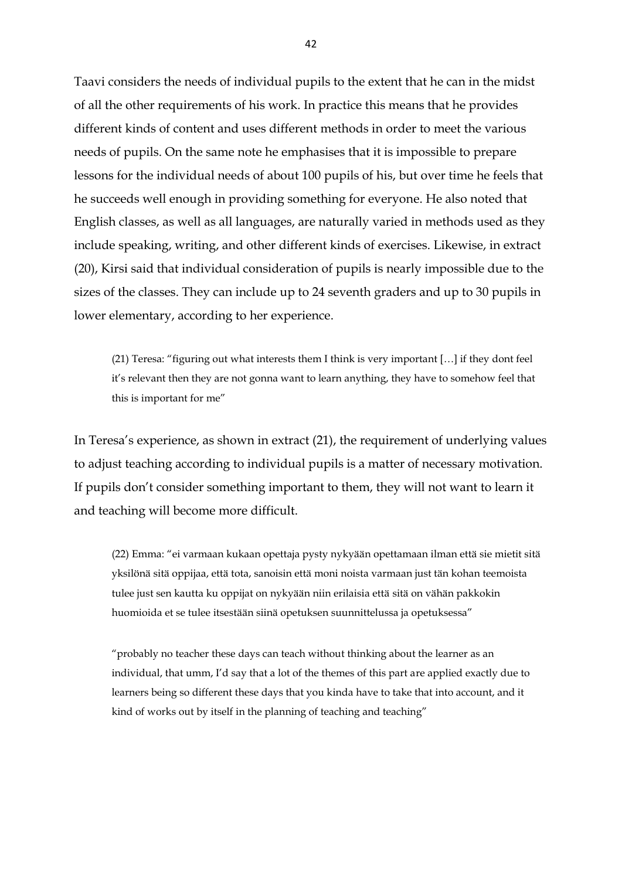Taavi considers the needs of individual pupils to the extent that he can in the midst of all the other requirements of his work. In practice this means that he provides different kinds of content and uses different methods in order to meet the various needs of pupils. On the same note he emphasises that it is impossible to prepare lessons for the individual needs of about 100 pupils of his, but over time he feels that he succeeds well enough in providing something for everyone. He also noted that English classes, as well as all languages, are naturally varied in methods used as they include speaking, writing, and other different kinds of exercises. Likewise, in extract (20), Kirsi said that individual consideration of pupils is nearly impossible due to the sizes of the classes. They can include up to 24 seventh graders and up to 30 pupils in lower elementary, according to her experience.

(21) Teresa: "figuring out what interests them I think is very important […] if they dont feel it's relevant then they are not gonna want to learn anything, they have to somehow feel that this is important for me"

In Teresa's experience, as shown in extract (21), the requirement of underlying values to adjust teaching according to individual pupils is a matter of necessary motivation. If pupils don't consider something important to them, they will not want to learn it and teaching will become more difficult.

(22) Emma: "ei varmaan kukaan opettaja pysty nykyään opettamaan ilman että sie mietit sitä yksilönä sitä oppijaa, että tota, sanoisin että moni noista varmaan just tän kohan teemoista tulee just sen kautta ku oppijat on nykyään niin erilaisia että sitä on vähän pakkokin huomioida et se tulee itsestään siinä opetuksen suunnittelussa ja opetuksessa"

"probably no teacher these days can teach without thinking about the learner as an individual, that umm, I'd say that a lot of the themes of this part are applied exactly due to learners being so different these days that you kinda have to take that into account, and it kind of works out by itself in the planning of teaching and teaching"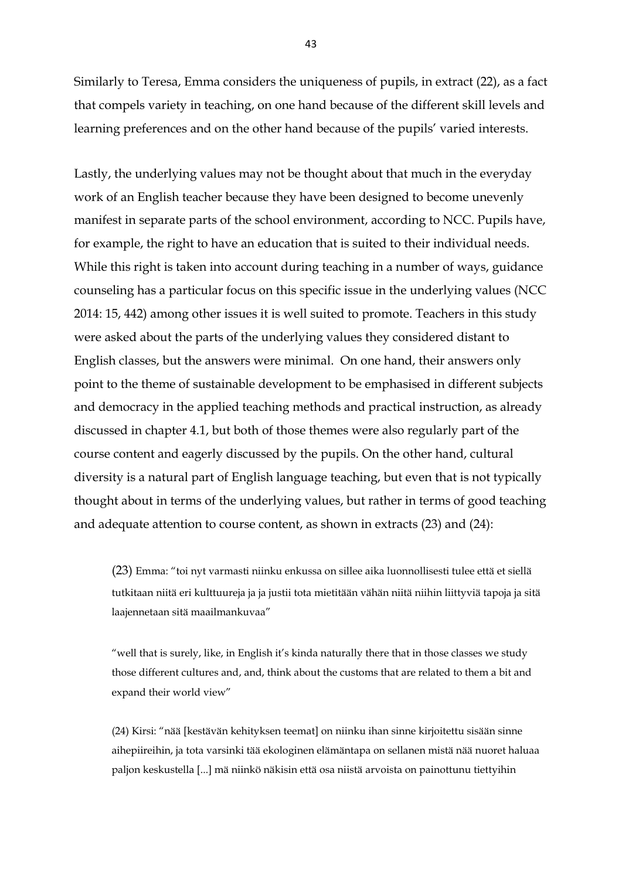Similarly to Teresa, Emma considers the uniqueness of pupils, in extract (22), as a fact that compels variety in teaching, on one hand because of the different skill levels and learning preferences and on the other hand because of the pupils' varied interests.

Lastly, the underlying values may not be thought about that much in the everyday work of an English teacher because they have been designed to become unevenly manifest in separate parts of the school environment, according to NCC. Pupils have, for example, the right to have an education that is suited to their individual needs. While this right is taken into account during teaching in a number of ways, guidance counseling has a particular focus on this specific issue in the underlying values (NCC 2014: 15, 442) among other issues it is well suited to promote. Teachers in this study were asked about the parts of the underlying values they considered distant to English classes, but the answers were minimal. On one hand, their answers only point to the theme of sustainable development to be emphasised in different subjects and democracy in the applied teaching methods and practical instruction, as already discussed in chapter 4.1, but both of those themes were also regularly part of the course content and eagerly discussed by the pupils. On the other hand, cultural diversity is a natural part of English language teaching, but even that is not typically thought about in terms of the underlying values, but rather in terms of good teaching and adequate attention to course content, as shown in extracts (23) and (24):

(23) Emma: "toi nyt varmasti niinku enkussa on sillee aika luonnollisesti tulee että et siellä tutkitaan niitä eri kulttuureja ja ja justii tota mietitään vähän niitä niihin liittyviä tapoja ja sitä laajennetaan sitä maailmankuvaa"

"well that is surely, like, in English it's kinda naturally there that in those classes we study those different cultures and, and, think about the customs that are related to them a bit and expand their world view"

(24) Kirsi: "nää [kestävän kehityksen teemat] on niinku ihan sinne kirjoitettu sisään sinne aihepiireihin, ja tota varsinki tää ekologinen elämäntapa on sellanen mistä nää nuoret haluaa paljon keskustella [...] mä niinkö näkisin että osa niistä arvoista on painottunu tiettyihin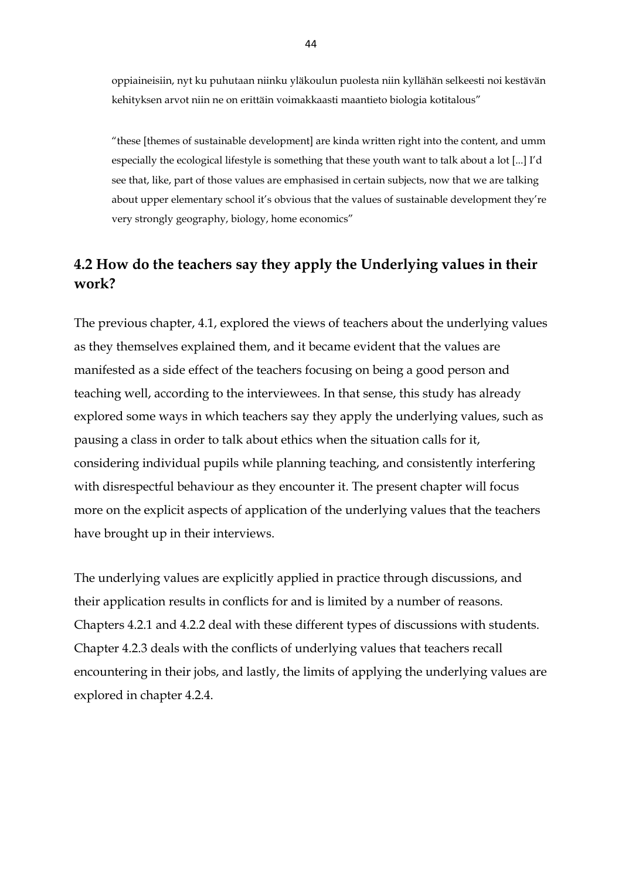oppiaineisiin, nyt ku puhutaan niinku yläkoulun puolesta niin kyllähän selkeesti noi kestävän kehityksen arvot niin ne on erittäin voimakkaasti maantieto biologia kotitalous"

"these [themes of sustainable development] are kinda written right into the content, and umm especially the ecological lifestyle is something that these youth want to talk about a lot [...] I'd see that, like, part of those values are emphasised in certain subjects, now that we are talking about upper elementary school it's obvious that the values of sustainable development they're very strongly geography, biology, home economics"

# <span id="page-44-0"></span>**4.2 How do the teachers say they apply the Underlying values in their work?**

The previous chapter, 4.1, explored the views of teachers about the underlying values as they themselves explained them, and it became evident that the values are manifested as a side effect of the teachers focusing on being a good person and teaching well, according to the interviewees. In that sense, this study has already explored some ways in which teachers say they apply the underlying values, such as pausing a class in order to talk about ethics when the situation calls for it, considering individual pupils while planning teaching, and consistently interfering with disrespectful behaviour as they encounter it. The present chapter will focus more on the explicit aspects of application of the underlying values that the teachers have brought up in their interviews.

The underlying values are explicitly applied in practice through discussions, and their application results in conflicts for and is limited by a number of reasons. Chapters 4.2.1 and 4.2.2 deal with these different types of discussions with students. Chapter 4.2.3 deals with the conflicts of underlying values that teachers recall encountering in their jobs, and lastly, the limits of applying the underlying values are explored in chapter 4.2.4.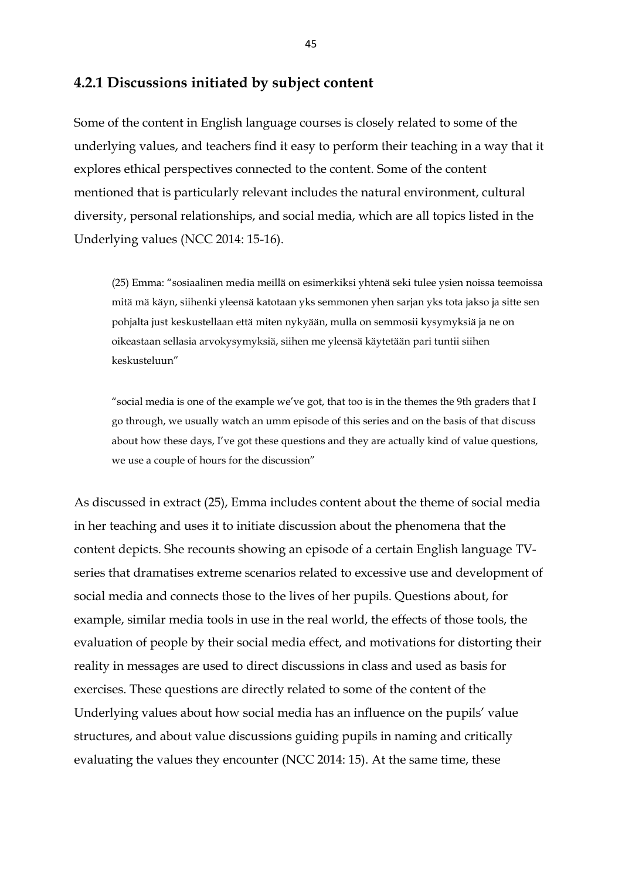### <span id="page-45-0"></span>**4.2.1 Discussions initiated by subject content**

Some of the content in English language courses is closely related to some of the underlying values, and teachers find it easy to perform their teaching in a way that it explores ethical perspectives connected to the content. Some of the content mentioned that is particularly relevant includes the natural environment, cultural diversity, personal relationships, and social media, which are all topics listed in the Underlying values (NCC 2014: 15-16).

(25) Emma: "sosiaalinen media meillä on esimerkiksi yhtenä seki tulee ysien noissa teemoissa mitä mä käyn, siihenki yleensä katotaan yks semmonen yhen sarjan yks tota jakso ja sitte sen pohjalta just keskustellaan että miten nykyään, mulla on semmosii kysymyksiä ja ne on oikeastaan sellasia arvokysymyksiä, siihen me yleensä käytetään pari tuntii siihen keskusteluun"

"social media is one of the example we've got, that too is in the themes the 9th graders that I go through, we usually watch an umm episode of this series and on the basis of that discuss about how these days, I've got these questions and they are actually kind of value questions, we use a couple of hours for the discussion"

As discussed in extract (25), Emma includes content about the theme of social media in her teaching and uses it to initiate discussion about the phenomena that the content depicts. She recounts showing an episode of a certain English language TVseries that dramatises extreme scenarios related to excessive use and development of social media and connects those to the lives of her pupils. Questions about, for example, similar media tools in use in the real world, the effects of those tools, the evaluation of people by their social media effect, and motivations for distorting their reality in messages are used to direct discussions in class and used as basis for exercises. These questions are directly related to some of the content of the Underlying values about how social media has an influence on the pupils' value structures, and about value discussions guiding pupils in naming and critically evaluating the values they encounter (NCC 2014: 15). At the same time, these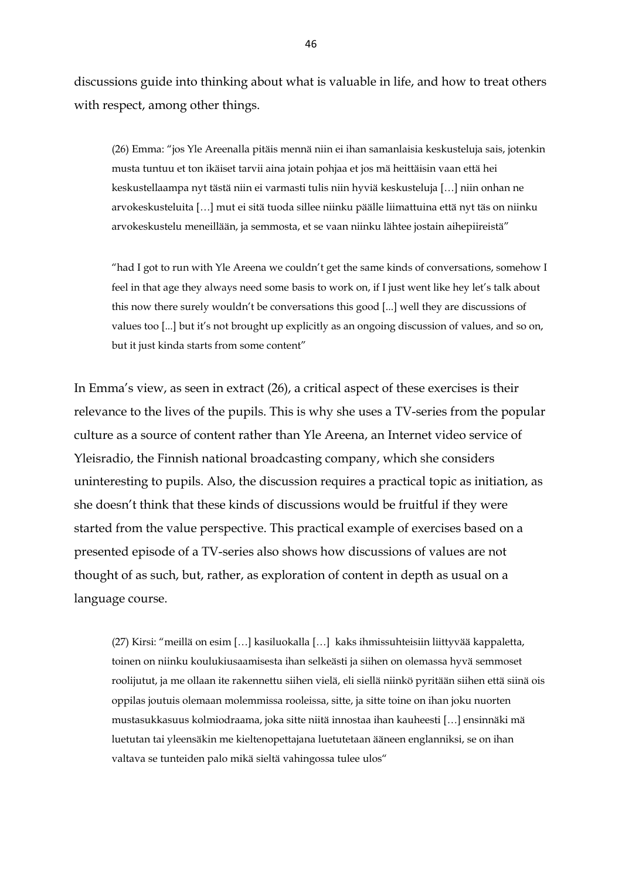discussions guide into thinking about what is valuable in life, and how to treat others with respect, among other things.

(26) Emma: "jos Yle Areenalla pitäis mennä niin ei ihan samanlaisia keskusteluja sais, jotenkin musta tuntuu et ton ikäiset tarvii aina jotain pohjaa et jos mä heittäisin vaan että hei keskustellaampa nyt tästä niin ei varmasti tulis niin hyviä keskusteluja […] niin onhan ne arvokeskusteluita […] mut ei sitä tuoda sillee niinku päälle liimattuina että nyt täs on niinku arvokeskustelu meneillään, ja semmosta, et se vaan niinku lähtee jostain aihepiireistä"

"had I got to run with Yle Areena we couldn't get the same kinds of conversations, somehow I feel in that age they always need some basis to work on, if I just went like hey let's talk about this now there surely wouldn't be conversations this good [...] well they are discussions of values too [...] but it's not brought up explicitly as an ongoing discussion of values, and so on, but it just kinda starts from some content"

In Emma's view, as seen in extract (26), a critical aspect of these exercises is their relevance to the lives of the pupils. This is why she uses a TV-series from the popular culture as a source of content rather than Yle Areena, an Internet video service of Yleisradio, the Finnish national broadcasting company, which she considers uninteresting to pupils. Also, the discussion requires a practical topic as initiation, as she doesn't think that these kinds of discussions would be fruitful if they were started from the value perspective. This practical example of exercises based on a presented episode of a TV-series also shows how discussions of values are not thought of as such, but, rather, as exploration of content in depth as usual on a language course.

(27) Kirsi: "meillä on esim […] kasiluokalla […] kaks ihmissuhteisiin liittyvää kappaletta, toinen on niinku koulukiusaamisesta ihan selkeästi ja siihen on olemassa hyvä semmoset roolijutut, ja me ollaan ite rakennettu siihen vielä, eli siellä niinkö pyritään siihen että siinä ois oppilas joutuis olemaan molemmissa rooleissa, sitte, ja sitte toine on ihan joku nuorten mustasukkasuus kolmiodraama, joka sitte niitä innostaa ihan kauheesti […] ensinnäki mä luetutan tai yleensäkin me kieltenopettajana luetutetaan ääneen englanniksi, se on ihan valtava se tunteiden palo mikä sieltä vahingossa tulee ulos"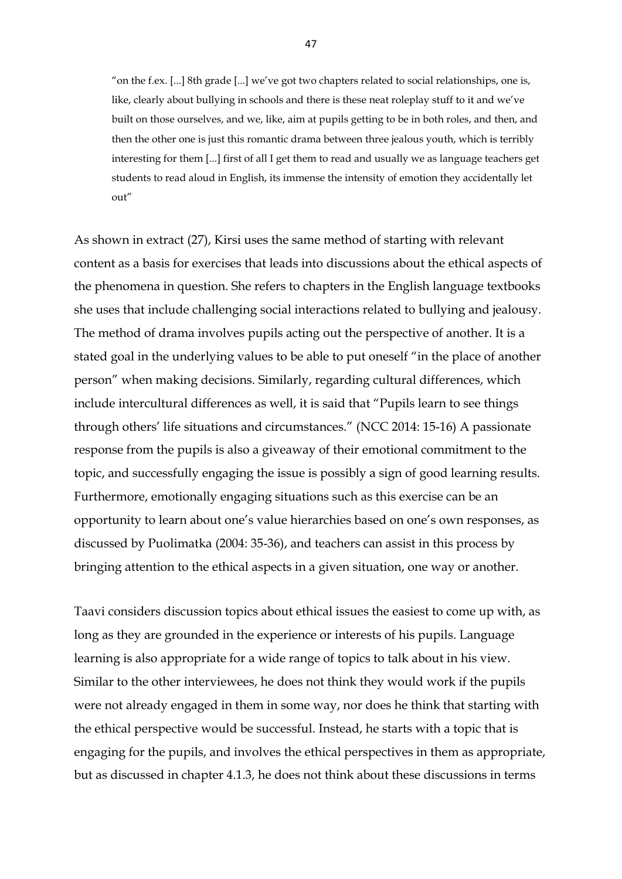"on the f.ex. [...] 8th grade [...] we've got two chapters related to social relationships, one is, like, clearly about bullying in schools and there is these neat roleplay stuff to it and we've built on those ourselves, and we, like, aim at pupils getting to be in both roles, and then, and then the other one is just this romantic drama between three jealous youth, which is terribly interesting for them [...] first of all I get them to read and usually we as language teachers get students to read aloud in English, its immense the intensity of emotion they accidentally let out"

As shown in extract (27), Kirsi uses the same method of starting with relevant content as a basis for exercises that leads into discussions about the ethical aspects of the phenomena in question. She refers to chapters in the English language textbooks she uses that include challenging social interactions related to bullying and jealousy. The method of drama involves pupils acting out the perspective of another. It is a stated goal in the underlying values to be able to put oneself "in the place of another person" when making decisions. Similarly, regarding cultural differences, which include intercultural differences as well, it is said that "Pupils learn to see things through others' life situations and circumstances." (NCC 2014: 15-16) A passionate response from the pupils is also a giveaway of their emotional commitment to the topic, and successfully engaging the issue is possibly a sign of good learning results. Furthermore, emotionally engaging situations such as this exercise can be an opportunity to learn about one's value hierarchies based on one's own responses, as discussed by Puolimatka (2004: 35-36), and teachers can assist in this process by bringing attention to the ethical aspects in a given situation, one way or another.

Taavi considers discussion topics about ethical issues the easiest to come up with, as long as they are grounded in the experience or interests of his pupils. Language learning is also appropriate for a wide range of topics to talk about in his view. Similar to the other interviewees, he does not think they would work if the pupils were not already engaged in them in some way, nor does he think that starting with the ethical perspective would be successful. Instead, he starts with a topic that is engaging for the pupils, and involves the ethical perspectives in them as appropriate, but as discussed in chapter 4.1.3, he does not think about these discussions in terms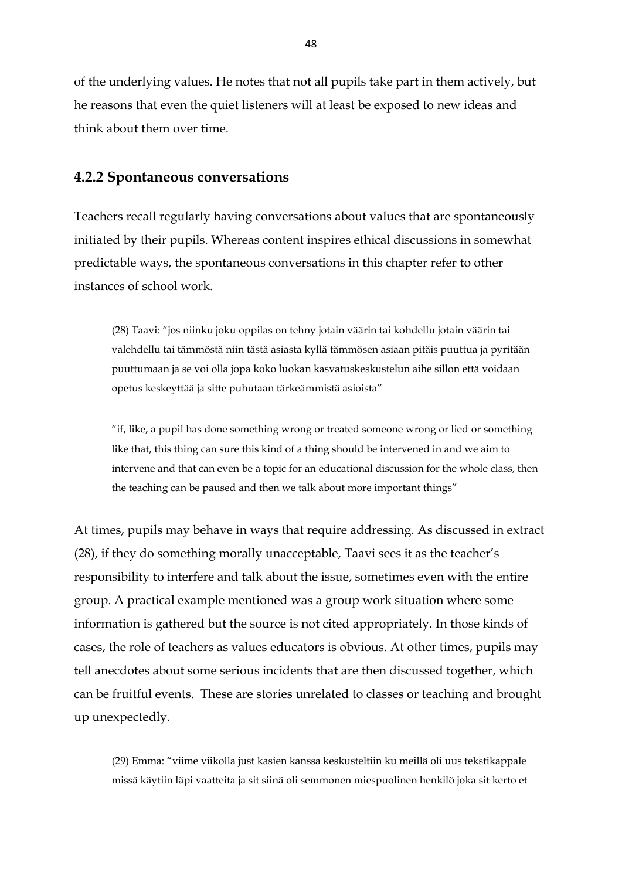of the underlying values. He notes that not all pupils take part in them actively, but he reasons that even the quiet listeners will at least be exposed to new ideas and think about them over time.

## <span id="page-48-0"></span>**4.2.2 Spontaneous conversations**

Teachers recall regularly having conversations about values that are spontaneously initiated by their pupils. Whereas content inspires ethical discussions in somewhat predictable ways, the spontaneous conversations in this chapter refer to other instances of school work.

(28) Taavi: "jos niinku joku oppilas on tehny jotain väärin tai kohdellu jotain väärin tai valehdellu tai tämmöstä niin tästä asiasta kyllä tämmösen asiaan pitäis puuttua ja pyritään puuttumaan ja se voi olla jopa koko luokan kasvatuskeskustelun aihe sillon että voidaan opetus keskeyttää ja sitte puhutaan tärkeämmistä asioista"

"if, like, a pupil has done something wrong or treated someone wrong or lied or something like that, this thing can sure this kind of a thing should be intervened in and we aim to intervene and that can even be a topic for an educational discussion for the whole class, then the teaching can be paused and then we talk about more important things"

At times, pupils may behave in ways that require addressing. As discussed in extract (28), if they do something morally unacceptable, Taavi sees it as the teacher's responsibility to interfere and talk about the issue, sometimes even with the entire group. A practical example mentioned was a group work situation where some information is gathered but the source is not cited appropriately. In those kinds of cases, the role of teachers as values educators is obvious. At other times, pupils may tell anecdotes about some serious incidents that are then discussed together, which can be fruitful events. These are stories unrelated to classes or teaching and brought up unexpectedly.

(29) Emma: "viime viikolla just kasien kanssa keskusteltiin ku meillä oli uus tekstikappale missä käytiin läpi vaatteita ja sit siinä oli semmonen miespuolinen henkilö joka sit kerto et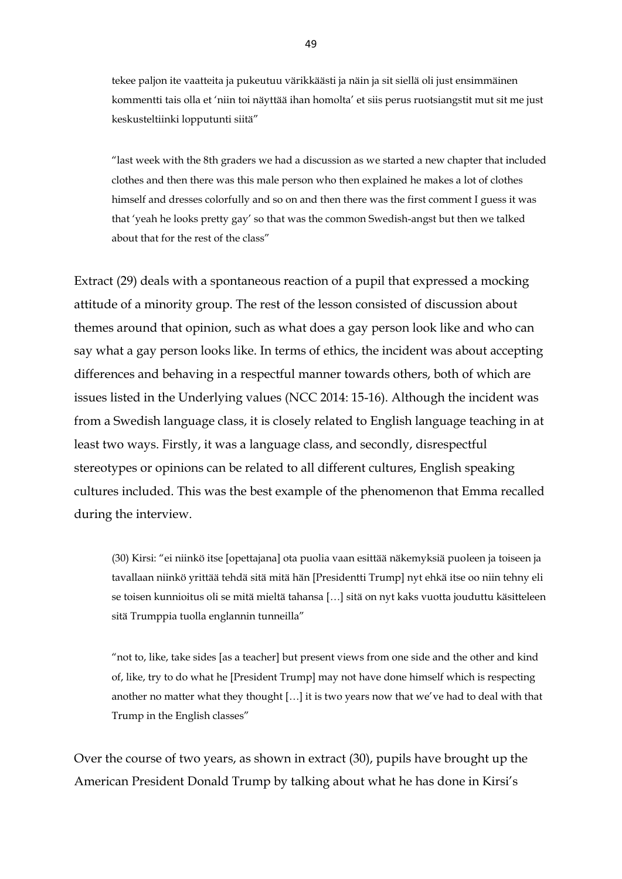tekee paljon ite vaatteita ja pukeutuu värikkäästi ja näin ja sit siellä oli just ensimmäinen kommentti tais olla et 'niin toi näyttää ihan homolta' et siis perus ruotsiangstit mut sit me just keskusteltiinki lopputunti siitä"

"last week with the 8th graders we had a discussion as we started a new chapter that included clothes and then there was this male person who then explained he makes a lot of clothes himself and dresses colorfully and so on and then there was the first comment I guess it was that 'yeah he looks pretty gay' so that was the common Swedish-angst but then we talked about that for the rest of the class"

Extract (29) deals with a spontaneous reaction of a pupil that expressed a mocking attitude of a minority group. The rest of the lesson consisted of discussion about themes around that opinion, such as what does a gay person look like and who can say what a gay person looks like. In terms of ethics, the incident was about accepting differences and behaving in a respectful manner towards others, both of which are issues listed in the Underlying values (NCC 2014: 15-16). Although the incident was from a Swedish language class, it is closely related to English language teaching in at least two ways. Firstly, it was a language class, and secondly, disrespectful stereotypes or opinions can be related to all different cultures, English speaking cultures included. This was the best example of the phenomenon that Emma recalled during the interview.

(30) Kirsi: "ei niinkö itse [opettajana] ota puolia vaan esittää näkemyksiä puoleen ja toiseen ja tavallaan niinkö yrittää tehdä sitä mitä hän [Presidentti Trump] nyt ehkä itse oo niin tehny eli se toisen kunnioitus oli se mitä mieltä tahansa […] sitä on nyt kaks vuotta jouduttu käsitteleen sitä Trumppia tuolla englannin tunneilla"

"not to, like, take sides [as a teacher] but present views from one side and the other and kind of, like, try to do what he [President Trump] may not have done himself which is respecting another no matter what they thought […] it is two years now that we've had to deal with that Trump in the English classes"

Over the course of two years, as shown in extract (30), pupils have brought up the American President Donald Trump by talking about what he has done in Kirsi's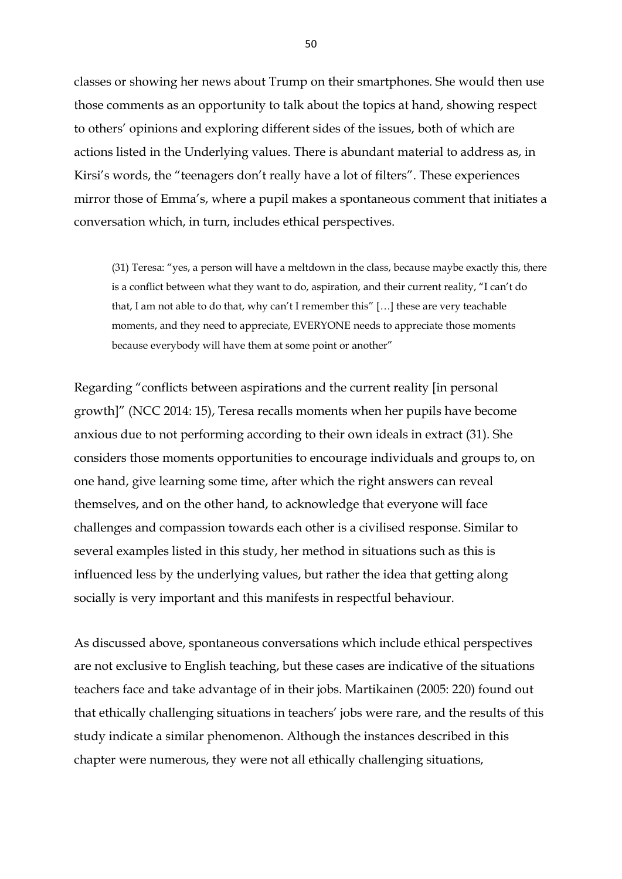classes or showing her news about Trump on their smartphones. She would then use those comments as an opportunity to talk about the topics at hand, showing respect to others' opinions and exploring different sides of the issues, both of which are actions listed in the Underlying values. There is abundant material to address as, in Kirsi's words, the "teenagers don't really have a lot of filters". These experiences mirror those of Emma's, where a pupil makes a spontaneous comment that initiates a conversation which, in turn, includes ethical perspectives.

(31) Teresa: "yes, a person will have a meltdown in the class, because maybe exactly this, there is a conflict between what they want to do, aspiration, and their current reality, "I can't do that, I am not able to do that, why can't I remember this" […] these are very teachable moments, and they need to appreciate, EVERYONE needs to appreciate those moments because everybody will have them at some point or another"

Regarding "conflicts between aspirations and the current reality [in personal growth]" (NCC 2014: 15), Teresa recalls moments when her pupils have become anxious due to not performing according to their own ideals in extract (31). She considers those moments opportunities to encourage individuals and groups to, on one hand, give learning some time, after which the right answers can reveal themselves, and on the other hand, to acknowledge that everyone will face challenges and compassion towards each other is a civilised response. Similar to several examples listed in this study, her method in situations such as this is influenced less by the underlying values, but rather the idea that getting along socially is very important and this manifests in respectful behaviour.

As discussed above, spontaneous conversations which include ethical perspectives are not exclusive to English teaching, but these cases are indicative of the situations teachers face and take advantage of in their jobs. Martikainen (2005: 220) found out that ethically challenging situations in teachers' jobs were rare, and the results of this study indicate a similar phenomenon. Although the instances described in this chapter were numerous, they were not all ethically challenging situations,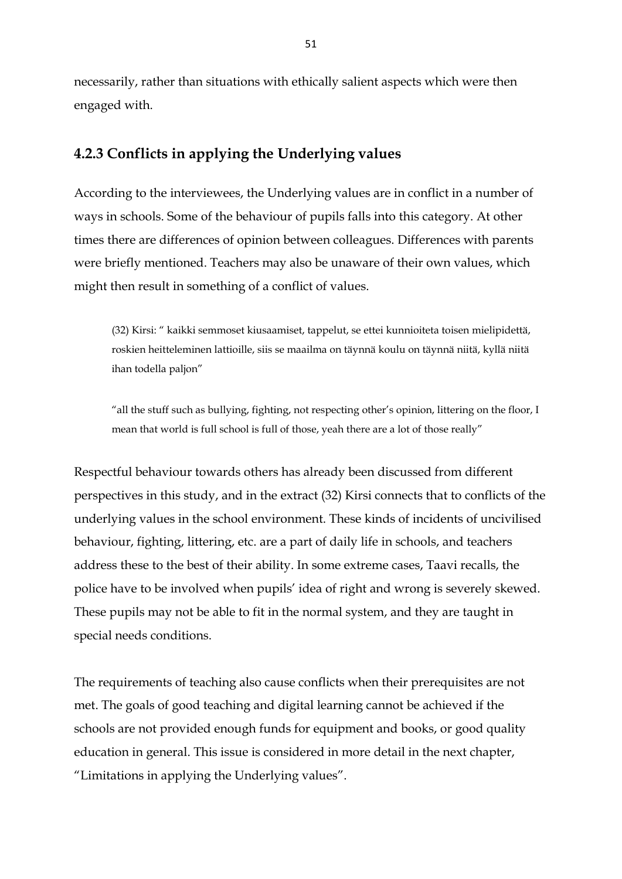necessarily, rather than situations with ethically salient aspects which were then engaged with.

# <span id="page-51-0"></span>**4.2.3 Conflicts in applying the Underlying values**

According to the interviewees, the Underlying values are in conflict in a number of ways in schools. Some of the behaviour of pupils falls into this category. At other times there are differences of opinion between colleagues. Differences with parents were briefly mentioned. Teachers may also be unaware of their own values, which might then result in something of a conflict of values.

(32) Kirsi: " kaikki semmoset kiusaamiset, tappelut, se ettei kunnioiteta toisen mielipidettä, roskien heitteleminen lattioille, siis se maailma on täynnä koulu on täynnä niitä, kyllä niitä ihan todella paljon"

"all the stuff such as bullying, fighting, not respecting other's opinion, littering on the floor, I mean that world is full school is full of those, yeah there are a lot of those really"

Respectful behaviour towards others has already been discussed from different perspectives in this study, and in the extract (32) Kirsi connects that to conflicts of the underlying values in the school environment. These kinds of incidents of uncivilised behaviour, fighting, littering, etc. are a part of daily life in schools, and teachers address these to the best of their ability. In some extreme cases, Taavi recalls, the police have to be involved when pupils' idea of right and wrong is severely skewed. These pupils may not be able to fit in the normal system, and they are taught in special needs conditions.

The requirements of teaching also cause conflicts when their prerequisites are not met. The goals of good teaching and digital learning cannot be achieved if the schools are not provided enough funds for equipment and books, or good quality education in general. This issue is considered in more detail in the next chapter, "Limitations in applying the Underlying values".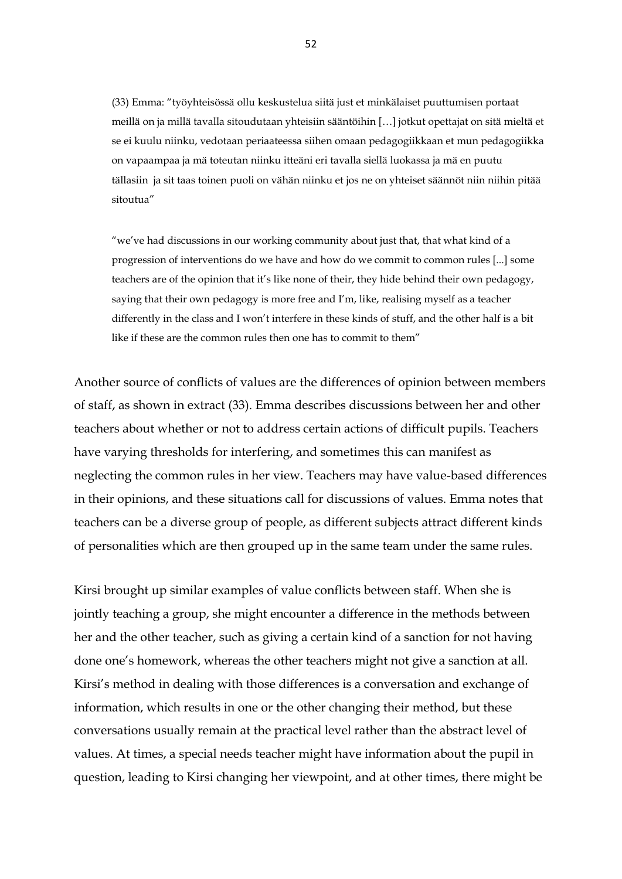(33) Emma: "työyhteisössä ollu keskustelua siitä just et minkälaiset puuttumisen portaat meillä on ja millä tavalla sitoudutaan yhteisiin sääntöihin […] jotkut opettajat on sitä mieltä et se ei kuulu niinku, vedotaan periaateessa siihen omaan pedagogiikkaan et mun pedagogiikka on vapaampaa ja mä toteutan niinku itteäni eri tavalla siellä luokassa ja mä en puutu tällasiin ja sit taas toinen puoli on vähän niinku et jos ne on yhteiset säännöt niin niihin pitää sitoutua"

"we've had discussions in our working community about just that, that what kind of a progression of interventions do we have and how do we commit to common rules [...] some teachers are of the opinion that it's like none of their, they hide behind their own pedagogy, saying that their own pedagogy is more free and I'm, like, realising myself as a teacher differently in the class and I won't interfere in these kinds of stuff, and the other half is a bit like if these are the common rules then one has to commit to them"

Another source of conflicts of values are the differences of opinion between members of staff, as shown in extract (33). Emma describes discussions between her and other teachers about whether or not to address certain actions of difficult pupils. Teachers have varying thresholds for interfering, and sometimes this can manifest as neglecting the common rules in her view. Teachers may have value-based differences in their opinions, and these situations call for discussions of values. Emma notes that teachers can be a diverse group of people, as different subjects attract different kinds of personalities which are then grouped up in the same team under the same rules.

Kirsi brought up similar examples of value conflicts between staff. When she is jointly teaching a group, she might encounter a difference in the methods between her and the other teacher, such as giving a certain kind of a sanction for not having done one's homework, whereas the other teachers might not give a sanction at all. Kirsi's method in dealing with those differences is a conversation and exchange of information, which results in one or the other changing their method, but these conversations usually remain at the practical level rather than the abstract level of values. At times, a special needs teacher might have information about the pupil in question, leading to Kirsi changing her viewpoint, and at other times, there might be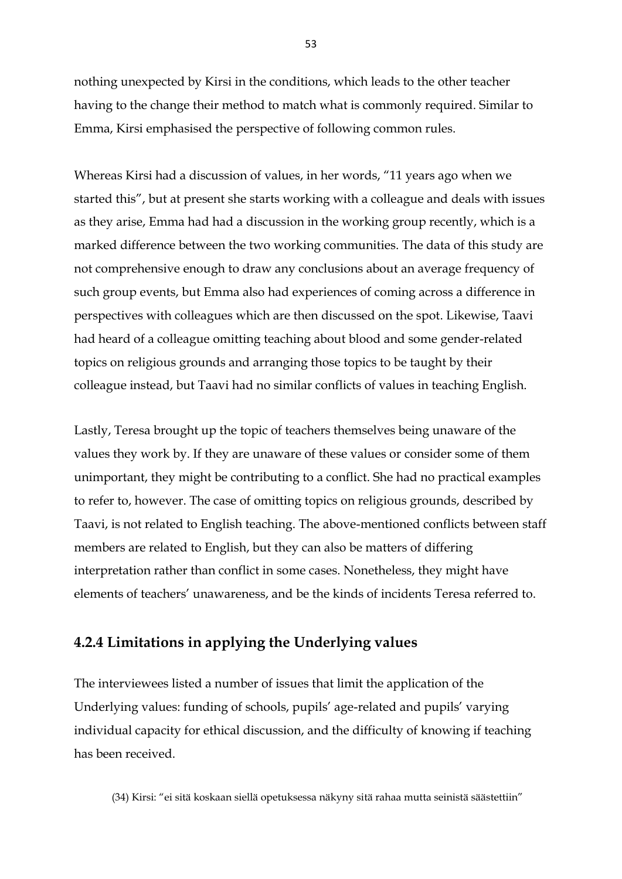nothing unexpected by Kirsi in the conditions, which leads to the other teacher having to the change their method to match what is commonly required. Similar to Emma, Kirsi emphasised the perspective of following common rules.

Whereas Kirsi had a discussion of values, in her words, "11 years ago when we started this", but at present she starts working with a colleague and deals with issues as they arise, Emma had had a discussion in the working group recently, which is a marked difference between the two working communities. The data of this study are not comprehensive enough to draw any conclusions about an average frequency of such group events, but Emma also had experiences of coming across a difference in perspectives with colleagues which are then discussed on the spot. Likewise, Taavi had heard of a colleague omitting teaching about blood and some gender-related topics on religious grounds and arranging those topics to be taught by their colleague instead, but Taavi had no similar conflicts of values in teaching English.

Lastly, Teresa brought up the topic of teachers themselves being unaware of the values they work by. If they are unaware of these values or consider some of them unimportant, they might be contributing to a conflict. She had no practical examples to refer to, however. The case of omitting topics on religious grounds, described by Taavi, is not related to English teaching. The above-mentioned conflicts between staff members are related to English, but they can also be matters of differing interpretation rather than conflict in some cases. Nonetheless, they might have elements of teachers' unawareness, and be the kinds of incidents Teresa referred to.

### <span id="page-53-0"></span>**4.2.4 Limitations in applying the Underlying values**

The interviewees listed a number of issues that limit the application of the Underlying values: funding of schools, pupils' age-related and pupils' varying individual capacity for ethical discussion, and the difficulty of knowing if teaching has been received.

(34) Kirsi: "ei sitä koskaan siellä opetuksessa näkyny sitä rahaa mutta seinistä säästettiin"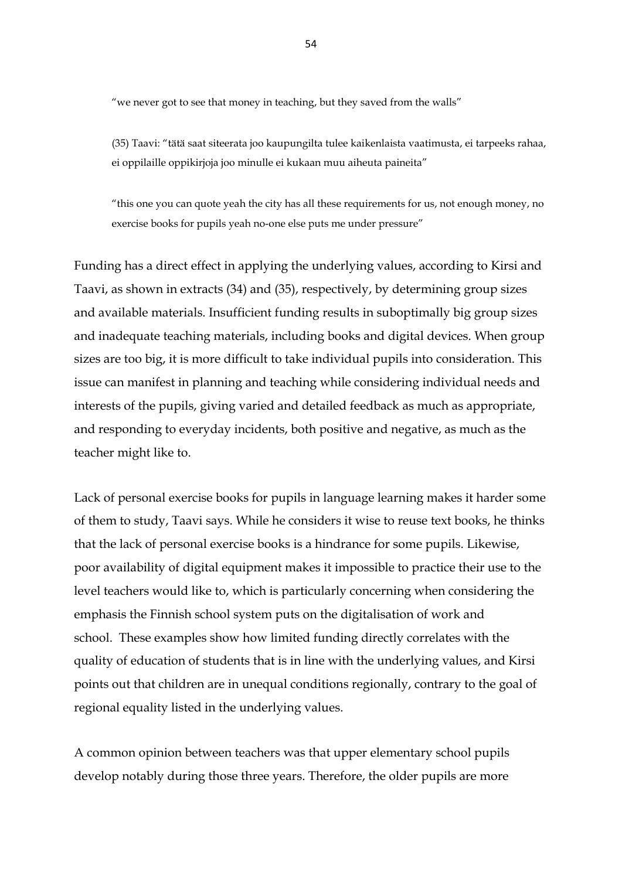"we never got to see that money in teaching, but they saved from the walls"

(35) Taavi: "tätä saat siteerata joo kaupungilta tulee kaikenlaista vaatimusta, ei tarpeeks rahaa, ei oppilaille oppikirjoja joo minulle ei kukaan muu aiheuta paineita"

"this one you can quote yeah the city has all these requirements for us, not enough money, no exercise books for pupils yeah no-one else puts me under pressure"

Funding has a direct effect in applying the underlying values, according to Kirsi and Taavi, as shown in extracts (34) and (35), respectively, by determining group sizes and available materials. Insufficient funding results in suboptimally big group sizes and inadequate teaching materials, including books and digital devices. When group sizes are too big, it is more difficult to take individual pupils into consideration. This issue can manifest in planning and teaching while considering individual needs and interests of the pupils, giving varied and detailed feedback as much as appropriate, and responding to everyday incidents, both positive and negative, as much as the teacher might like to.

Lack of personal exercise books for pupils in language learning makes it harder some of them to study, Taavi says. While he considers it wise to reuse text books, he thinks that the lack of personal exercise books is a hindrance for some pupils. Likewise, poor availability of digital equipment makes it impossible to practice their use to the level teachers would like to, which is particularly concerning when considering the emphasis the Finnish school system puts on the digitalisation of work and school. These examples show how limited funding directly correlates with the quality of education of students that is in line with the underlying values, and Kirsi points out that children are in unequal conditions regionally, contrary to the goal of regional equality listed in the underlying values.

A common opinion between teachers was that upper elementary school pupils develop notably during those three years. Therefore, the older pupils are more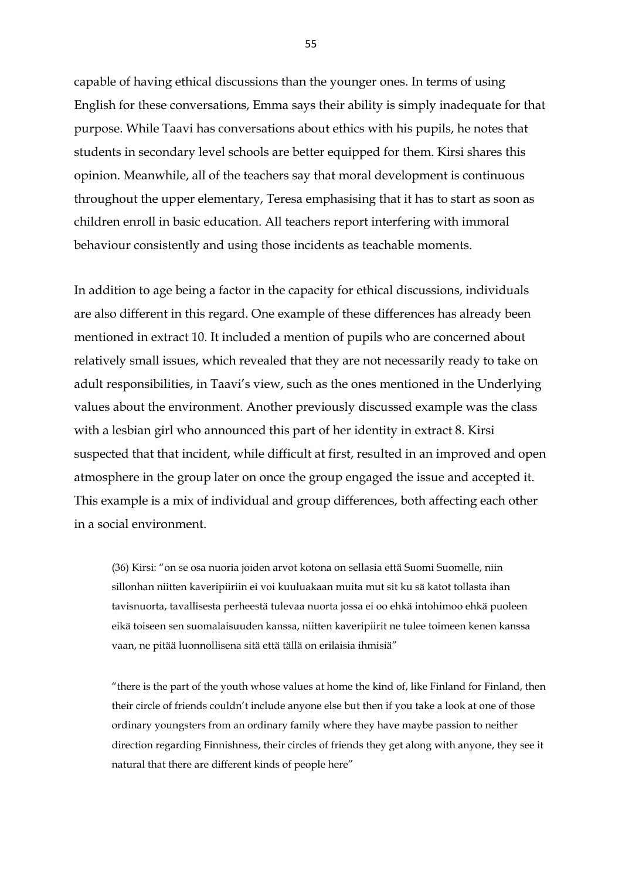capable of having ethical discussions than the younger ones. In terms of using English for these conversations, Emma says their ability is simply inadequate for that purpose. While Taavi has conversations about ethics with his pupils, he notes that students in secondary level schools are better equipped for them. Kirsi shares this opinion. Meanwhile, all of the teachers say that moral development is continuous throughout the upper elementary, Teresa emphasising that it has to start as soon as children enroll in basic education. All teachers report interfering with immoral behaviour consistently and using those incidents as teachable moments.

In addition to age being a factor in the capacity for ethical discussions, individuals are also different in this regard. One example of these differences has already been mentioned in extract 10. It included a mention of pupils who are concerned about relatively small issues, which revealed that they are not necessarily ready to take on adult responsibilities, in Taavi's view, such as the ones mentioned in the Underlying values about the environment. Another previously discussed example was the class with a lesbian girl who announced this part of her identity in extract 8. Kirsi suspected that that incident, while difficult at first, resulted in an improved and open atmosphere in the group later on once the group engaged the issue and accepted it. This example is a mix of individual and group differences, both affecting each other in a social environment.

(36) Kirsi: "on se osa nuoria joiden arvot kotona on sellasia että Suomi Suomelle, niin sillonhan niitten kaveripiiriin ei voi kuuluakaan muita mut sit ku sä katot tollasta ihan tavisnuorta, tavallisesta perheestä tulevaa nuorta jossa ei oo ehkä intohimoo ehkä puoleen eikä toiseen sen suomalaisuuden kanssa, niitten kaveripiirit ne tulee toimeen kenen kanssa vaan, ne pitää luonnollisena sitä että tällä on erilaisia ihmisiä"

"there is the part of the youth whose values at home the kind of, like Finland for Finland, then their circle of friends couldn't include anyone else but then if you take a look at one of those ordinary youngsters from an ordinary family where they have maybe passion to neither direction regarding Finnishness, their circles of friends they get along with anyone, they see it natural that there are different kinds of people here"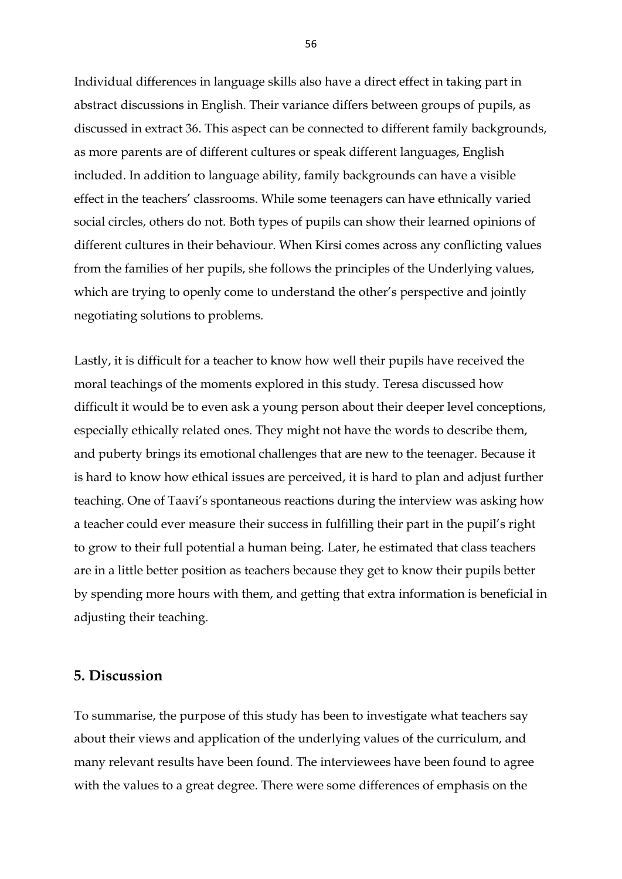Individual differences in language skills also have a direct effect in taking part in abstract discussions in English. Their variance differs between groups of pupils, as discussed in extract 36. This aspect can be connected to different family backgrounds, as more parents are of different cultures or speak different languages, English included. In addition to language ability, family backgrounds can have a visible effect in the teachers' classrooms. While some teenagers can have ethnically varied social circles, others do not. Both types of pupils can show their learned opinions of different cultures in their behaviour. When Kirsi comes across any conflicting values from the families of her pupils, she follows the principles of the Underlying values, which are trying to openly come to understand the other's perspective and jointly negotiating solutions to problems.

Lastly, it is difficult for a teacher to know how well their pupils have received the moral teachings of the moments explored in this study. Teresa discussed how difficult it would be to even ask a young person about their deeper level conceptions, especially ethically related ones. They might not have the words to describe them, and puberty brings its emotional challenges that are new to the teenager. Because it is hard to know how ethical issues are perceived, it is hard to plan and adjust further teaching. One of Taavi's spontaneous reactions during the interview was asking how a teacher could ever measure their success in fulfilling their part in the pupil's right to grow to their full potential a human being. Later, he estimated that class teachers are in a little better position as teachers because they get to know their pupils better by spending more hours with them, and getting that extra information is beneficial in adjusting their teaching.

### <span id="page-56-0"></span>**5. Discussion**

To summarise, the purpose of this study has been to investigate what teachers say about their views and application of the underlying values of the curriculum, and many relevant results have been found. The interviewees have been found to agree with the values to a great degree. There were some differences of emphasis on the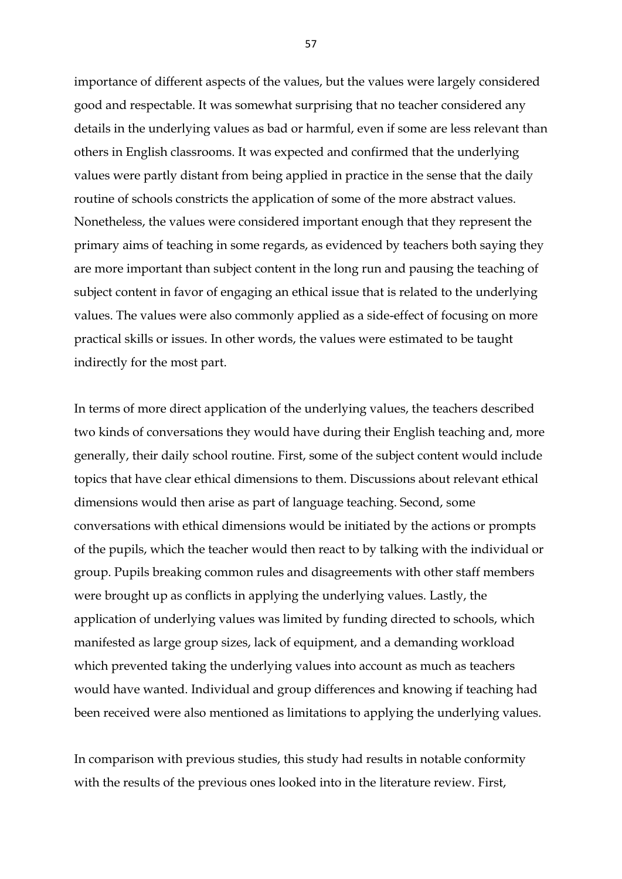importance of different aspects of the values, but the values were largely considered good and respectable. It was somewhat surprising that no teacher considered any details in the underlying values as bad or harmful, even if some are less relevant than others in English classrooms. It was expected and confirmed that the underlying values were partly distant from being applied in practice in the sense that the daily routine of schools constricts the application of some of the more abstract values. Nonetheless, the values were considered important enough that they represent the primary aims of teaching in some regards, as evidenced by teachers both saying they are more important than subject content in the long run and pausing the teaching of subject content in favor of engaging an ethical issue that is related to the underlying values. The values were also commonly applied as a side-effect of focusing on more practical skills or issues. In other words, the values were estimated to be taught indirectly for the most part.

In terms of more direct application of the underlying values, the teachers described two kinds of conversations they would have during their English teaching and, more generally, their daily school routine. First, some of the subject content would include topics that have clear ethical dimensions to them. Discussions about relevant ethical dimensions would then arise as part of language teaching. Second, some conversations with ethical dimensions would be initiated by the actions or prompts of the pupils, which the teacher would then react to by talking with the individual or group. Pupils breaking common rules and disagreements with other staff members were brought up as conflicts in applying the underlying values. Lastly, the application of underlying values was limited by funding directed to schools, which manifested as large group sizes, lack of equipment, and a demanding workload which prevented taking the underlying values into account as much as teachers would have wanted. Individual and group differences and knowing if teaching had been received were also mentioned as limitations to applying the underlying values.

In comparison with previous studies, this study had results in notable conformity with the results of the previous ones looked into in the literature review. First,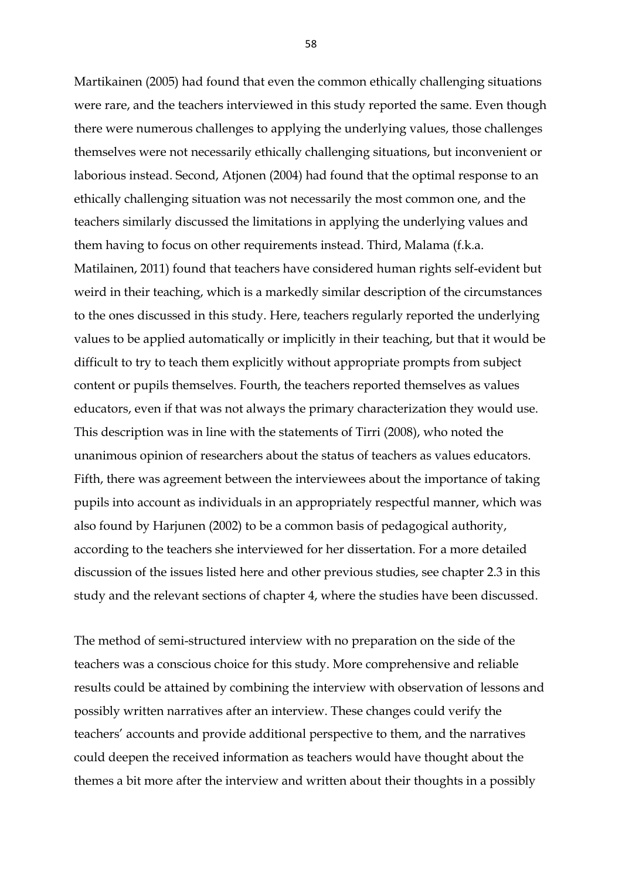Martikainen (2005) had found that even the common ethically challenging situations were rare, and the teachers interviewed in this study reported the same. Even though there were numerous challenges to applying the underlying values, those challenges themselves were not necessarily ethically challenging situations, but inconvenient or laborious instead. Second, Atjonen (2004) had found that the optimal response to an ethically challenging situation was not necessarily the most common one, and the teachers similarly discussed the limitations in applying the underlying values and them having to focus on other requirements instead. Third, Malama (f.k.a. Matilainen, 2011) found that teachers have considered human rights self-evident but weird in their teaching, which is a markedly similar description of the circumstances to the ones discussed in this study. Here, teachers regularly reported the underlying values to be applied automatically or implicitly in their teaching, but that it would be difficult to try to teach them explicitly without appropriate prompts from subject content or pupils themselves. Fourth, the teachers reported themselves as values educators, even if that was not always the primary characterization they would use. This description was in line with the statements of Tirri (2008), who noted the unanimous opinion of researchers about the status of teachers as values educators. Fifth, there was agreement between the interviewees about the importance of taking pupils into account as individuals in an appropriately respectful manner, which was also found by Harjunen (2002) to be a common basis of pedagogical authority, according to the teachers she interviewed for her dissertation. For a more detailed discussion of the issues listed here and other previous studies, see chapter 2.3 in this study and the relevant sections of chapter 4, where the studies have been discussed.

The method of semi-structured interview with no preparation on the side of the teachers was a conscious choice for this study. More comprehensive and reliable results could be attained by combining the interview with observation of lessons and possibly written narratives after an interview. These changes could verify the teachers' accounts and provide additional perspective to them, and the narratives could deepen the received information as teachers would have thought about the themes a bit more after the interview and written about their thoughts in a possibly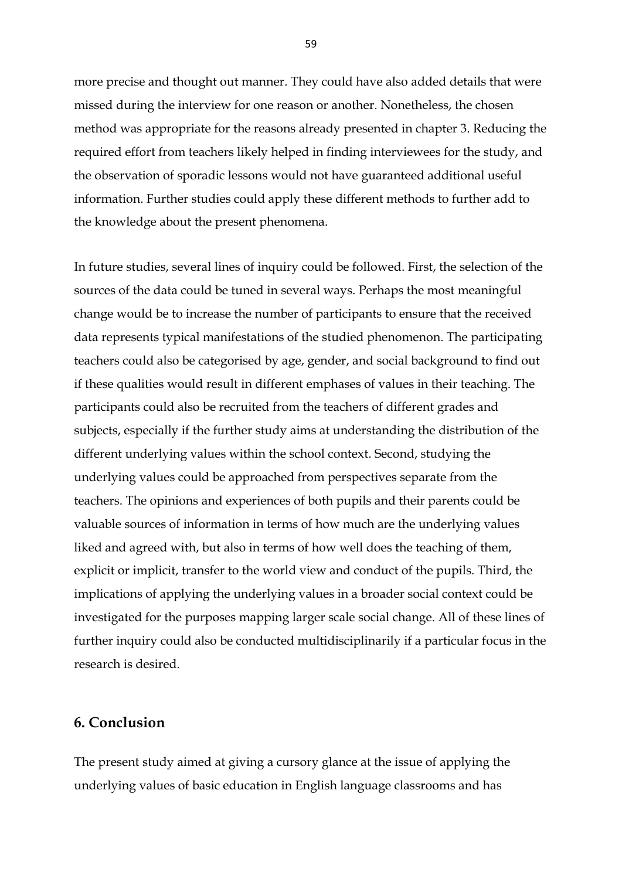more precise and thought out manner. They could have also added details that were missed during the interview for one reason or another. Nonetheless, the chosen method was appropriate for the reasons already presented in chapter 3. Reducing the required effort from teachers likely helped in finding interviewees for the study, and the observation of sporadic lessons would not have guaranteed additional useful information. Further studies could apply these different methods to further add to the knowledge about the present phenomena.

In future studies, several lines of inquiry could be followed. First, the selection of the sources of the data could be tuned in several ways. Perhaps the most meaningful change would be to increase the number of participants to ensure that the received data represents typical manifestations of the studied phenomenon. The participating teachers could also be categorised by age, gender, and social background to find out if these qualities would result in different emphases of values in their teaching. The participants could also be recruited from the teachers of different grades and subjects, especially if the further study aims at understanding the distribution of the different underlying values within the school context. Second, studying the underlying values could be approached from perspectives separate from the teachers. The opinions and experiences of both pupils and their parents could be valuable sources of information in terms of how much are the underlying values liked and agreed with, but also in terms of how well does the teaching of them, explicit or implicit, transfer to the world view and conduct of the pupils. Third, the implications of applying the underlying values in a broader social context could be investigated for the purposes mapping larger scale social change. All of these lines of further inquiry could also be conducted multidisciplinarily if a particular focus in the research is desired.

## <span id="page-59-0"></span>**6. Conclusion**

The present study aimed at giving a cursory glance at the issue of applying the underlying values of basic education in English language classrooms and has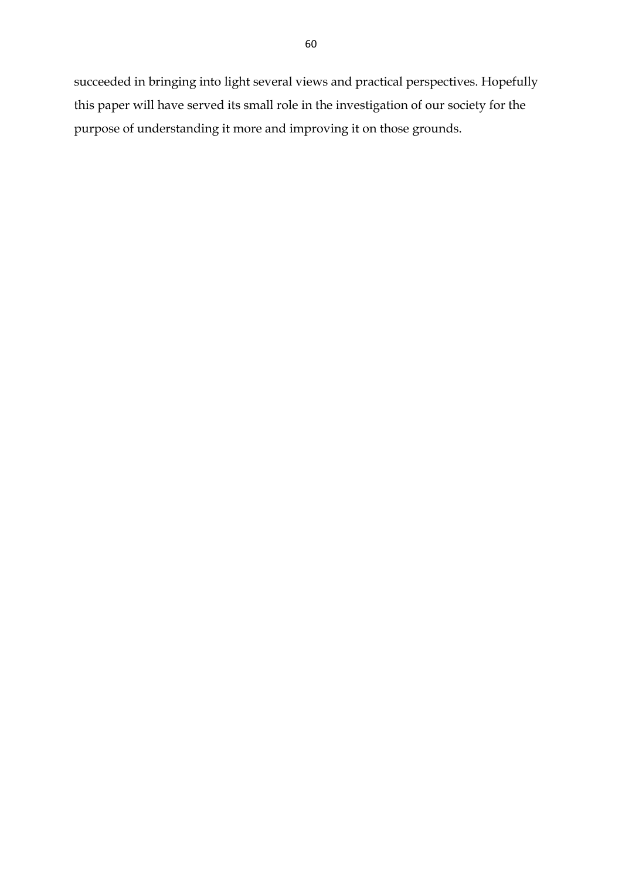succeeded in bringing into light several views and practical perspectives. Hopefully this paper will have served its small role in the investigation of our society for the purpose of understanding it more and improving it on those grounds.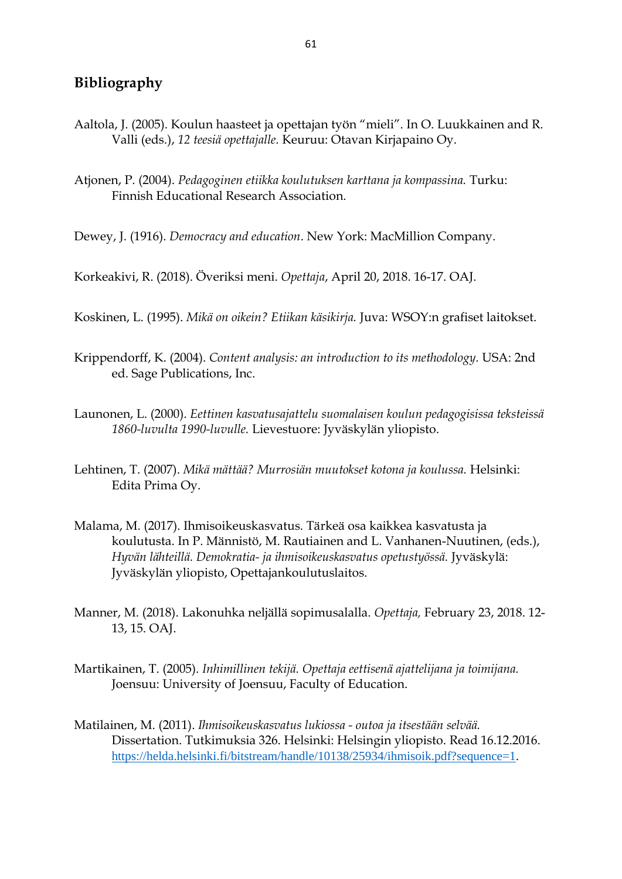# <span id="page-61-0"></span>**Bibliography**

- Aaltola, J. (2005). Koulun haasteet ja opettajan työn "mieli". In O. Luukkainen and R. Valli (eds.), *12 teesiä opettajalle.* Keuruu: Otavan Kirjapaino Oy.
- Atjonen, P. (2004). *Pedagoginen etiikka koulutuksen karttana ja kompassina.* Turku: Finnish Educational Research Association.

Dewey, J. (1916). *Democracy and education*. New York: MacMillion Company.

Korkeakivi, R. (2018). Överiksi meni. *Opettaja*, April 20, 2018. 16-17. OAJ.

Koskinen, L. (1995). *Mikä on oikein? Etiikan käsikirja.* Juva: WSOY:n grafiset laitokset.

- Krippendorff, K. (2004). *Content analysis: an introduction to its methodology.* USA: 2nd ed. Sage Publications, Inc.
- Launonen, L. (2000). *Eettinen kasvatusajattelu suomalaisen koulun pedagogisissa teksteissä 1860-luvulta 1990-luvulle.* Lievestuore: Jyväskylän yliopisto.
- Lehtinen, T. (2007). *Mikä mättää? Murrosiän muutokset kotona ja koulussa.* Helsinki: Edita Prima Oy.
- Malama, M. (2017). Ihmisoikeuskasvatus. Tärkeä osa kaikkea kasvatusta ja koulutusta. In P. Männistö, M. Rautiainen and L. Vanhanen-Nuutinen, (eds.), *Hyvän lähteillä. Demokratia- ja ihmisoikeuskasvatus opetustyössä.* Jyväskylä: Jyväskylän yliopisto, Opettajankoulutuslaitos.
- Manner, M. (2018). Lakonuhka neljällä sopimusalalla. *Opettaja,* February 23, 2018. 12- 13, 15. OAJ.
- Martikainen, T. (2005). *Inhimillinen tekijä. Opettaja eettisenä ajattelijana ja toimijana.*  Joensuu: University of Joensuu, Faculty of Education.
- Matilainen, M. (2011). *Ihmisoikeuskasvatus lukiossa - outoa ja itsestään selvää.*  Dissertation. Tutkimuksia 326. Helsinki: Helsingin yliopisto. Read 16.12.2016. <https://helda.helsinki.fi/bitstream/handle/10138/25934/ihmisoik.pdf?sequence=1>.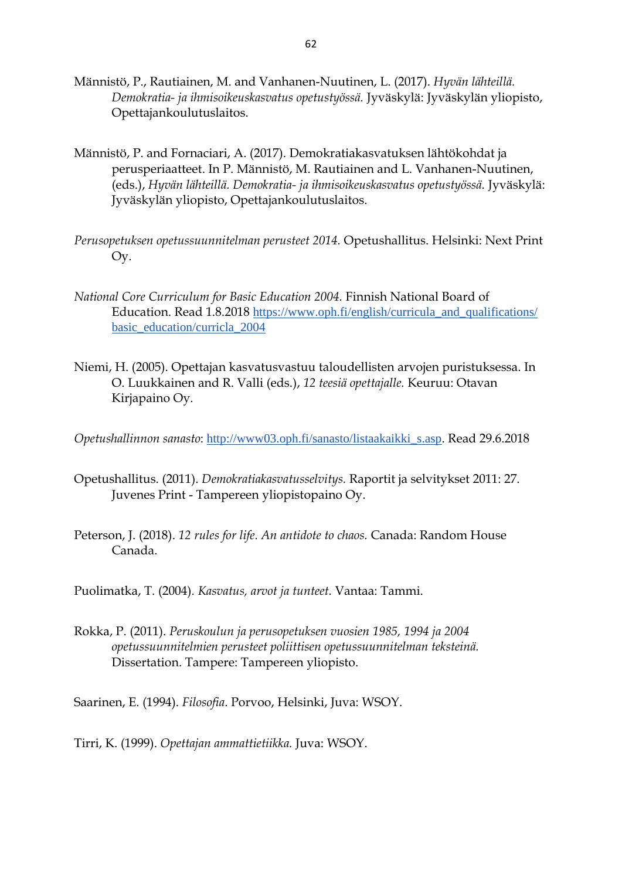- Männistö, P., Rautiainen, M. and Vanhanen-Nuutinen, L. (2017). *Hyvän lähteillä. Demokratia- ja ihmisoikeuskasvatus opetustyössä.* Jyväskylä: Jyväskylän yliopisto, Opettajankoulutuslaitos.
- Männistö, P. and Fornaciari, A. (2017). Demokratiakasvatuksen lähtökohdat ja perusperiaatteet. In P. Männistö, M. Rautiainen and L. Vanhanen-Nuutinen, (eds.), *Hyvän lähteillä. Demokratia- ja ihmisoikeuskasvatus opetustyössä.* Jyväskylä: Jyväskylän yliopisto, Opettajankoulutuslaitos.
- *Perusopetuksen opetussuunnitelman perusteet 2014.* Opetushallitus. Helsinki: Next Print Oy.
- *National Core Curriculum for Basic Education 2004.* Finnish National Board of Education. Read 1.8.2018 [https://www.oph.fi/english/curricula\\_and\\_qualifications/](https://www.oph.fi/english/curricula_and_qualifications/basic_education/curricula_2004) [basic\\_education/curricla\\_2004](https://www.oph.fi/english/curricula_and_qualifications/basic_education/curricula_2004)
- Niemi, H. (2005). Opettajan kasvatusvastuu taloudellisten arvojen puristuksessa. In O. Luukkainen and R. Valli (eds.), *12 teesiä opettajalle.* Keuruu: Otavan Kirjapaino Oy.

*Opetushallinnon sanasto*: [http://www03.oph.fi/sanasto/listaakaikki\\_s.asp](http://www03.oph.fi/sanasto/listaakaikki_s.asp). Read 29.6.2018

- Opetushallitus. (2011). *Demokratiakasvatusselvitys.* Raportit ja selvitykset 2011: 27. Juvenes Print - Tampereen yliopistopaino Oy.
- Peterson, J. (2018). *12 rules for life. An antidote to chaos.* Canada: Random House Canada.

Puolimatka, T. (2004). *Kasvatus, arvot ja tunteet.* Vantaa: Tammi.

Rokka, P. (2011). *Peruskoulun ja perusopetuksen vuosien 1985, 1994 ja 2004 opetussuunnitelmien perusteet poliittisen opetussuunnitelman teksteinä.* Dissertation. Tampere: Tampereen yliopisto.

Saarinen, E. (1994). *Filosofia*. Porvoo, Helsinki, Juva: WSOY.

Tirri, K. (1999). *Opettajan ammattietiikka.* Juva: WSOY.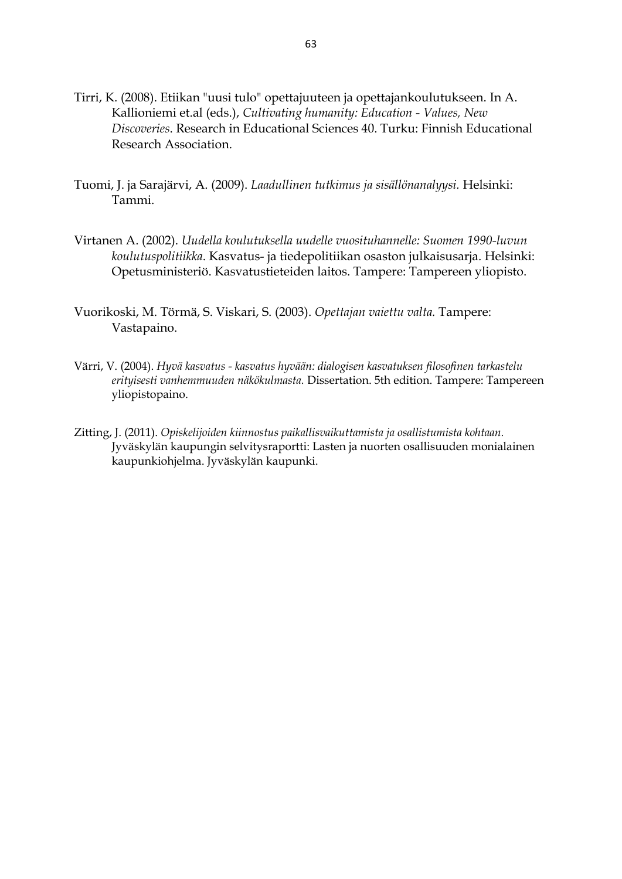- Tirri, K. (2008). Etiikan "uusi tulo" opettajuuteen ja opettajankoulutukseen. In A. Kallioniemi et.al (eds.), *Cultivating humanity: Education - Values, New Discoveries*. Research in Educational Sciences 40. Turku: Finnish Educational Research Association.
- Tuomi, J. ja Sarajärvi, A. (2009). *Laadullinen tutkimus ja sisällönanalyysi.* Helsinki: Tammi.
- Virtanen A. (2002). *Uudella koulutuksella uudelle vuosituhannelle: Suomen 1990-luvun koulutuspolitiikka*. Kasvatus- ja tiedepolitiikan osaston julkaisusarja. Helsinki: Opetusministeriö. Kasvatustieteiden laitos. Tampere: Tampereen yliopisto.
- Vuorikoski, M. Törmä, S. Viskari, S. (2003). *Opettajan vaiettu valta.* Tampere: Vastapaino.
- Värri, V. (2004). *Hyvä kasvatus - kasvatus hyvään: dialogisen kasvatuksen filosofinen tarkastelu erityisesti vanhemmuuden näkökulmasta.* Dissertation. 5th edition. Tampere: Tampereen yliopistopaino.
- Zitting, J. (2011). *Opiskelijoiden kiinnostus paikallisvaikuttamista ja osallistumista kohtaan.*  Jyväskylän kaupungin selvitysraportti: Lasten ja nuorten osallisuuden monialainen kaupunkiohjelma. Jyväskylän kaupunki.